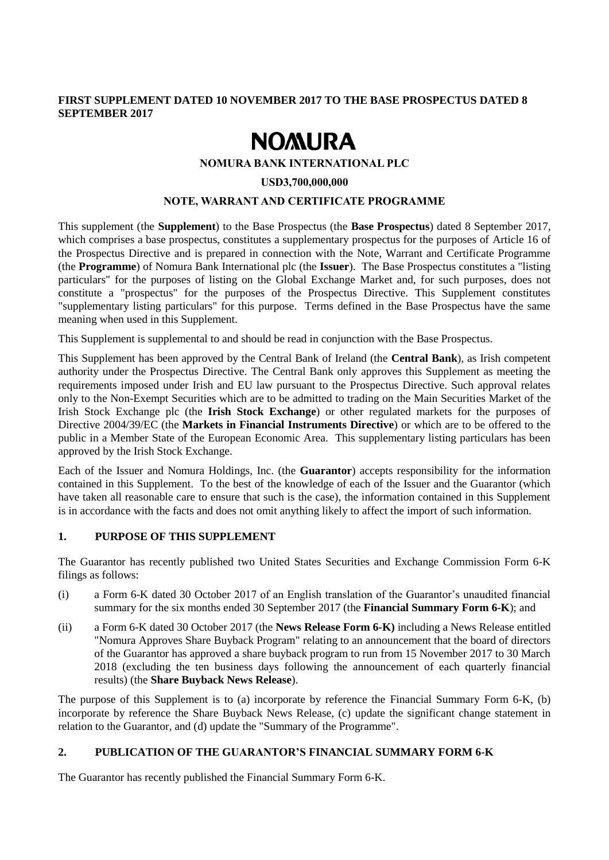# **FIRST SUPPLEMENT DATED 10 NOVEMBER 2017 TO THE BASE PROSPECTUS DATED 8 SEPTEMBER 2017**

# **NOMURA**

## **NOMURA BANK INTERNATIONAL PLC**

#### **USD3,700,000,000**

## **NOTE, WARRANT AND CERTIFICATE PROGRAMME**

This supplement (the **Supplement**) to the Base Prospectus (the **Base Prospectus**) dated 8 September 2017, which comprises a base prospectus, constitutes a supplementary prospectus for the purposes of Article 16 of the Prospectus Directive and is prepared in connection with the Note, Warrant and Certificate Programme (the **Programme**) of Nomura Bank International plc (the **Issuer**). The Base Prospectus constitutes a "listing particulars" for the purposes of listing on the Global Exchange Market and, for such purposes, does not constitute a "prospectus" for the purposes of the Prospectus Directive. This Supplement constitutes "supplementary listing particulars" for this purpose. Terms defined in the Base Prospectus have the same meaning when used in this Supplement.

This Supplement is supplemental to and should be read in conjunction with the Base Prospectus.

This Supplement has been approved by the Central Bank of Ireland (the **Central Bank**), as Irish competent authority under the Prospectus Directive. The Central Bank only approves this Supplement as meeting the requirements imposed under Irish and EU law pursuant to the Prospectus Directive. Such approval relates only to the Non-Exempt Securities which are to be admitted to trading on the Main Securities Market of the Irish Stock Exchange plc (the **Irish Stock Exchange**) or other regulated markets for the purposes of Directive 2004/39/EC (the **Markets in Financial Instruments Directive**) or which are to be offered to the public in a Member State of the European Economic Area. This supplementary listing particulars has been approved by the Irish Stock Exchange.

Each of the Issuer and Nomura Holdings, Inc. (the **Guarantor**) accepts responsibility for the information contained in this Supplement. To the best of the knowledge of each of the Issuer and the Guarantor (which have taken all reasonable care to ensure that such is the case), the information contained in this Supplement is in accordance with the facts and does not omit anything likely to affect the import of such information.

## **1. PURPOSE OF THIS SUPPLEMENT**

The Guarantor has recently published two United States Securities and Exchange Commission Form 6-K filings as follows:

- (i) a Form 6-K dated 30 October 2017 of an English translation of the Guarantor's unaudited financial summary for the six months ended 30 September 2017 (the **Financial Summary Form 6-K**); and
- (ii) a Form 6-K dated 30 October 2017 (the **News Release Form 6-K)** including a News Release entitled "Nomura Approves Share Buyback Program" relating to an announcement that the board of directors of the Guarantor has approved a share buyback program to run from 15 November 2017 to 30 March 2018 (excluding the ten business days following the announcement of each quarterly financial results) (the **Share Buyback News Release**).

The purpose of this Supplement is to (a) incorporate by reference the Financial Summary Form 6-K, (b) incorporate by reference the Share Buyback News Release, (c) update the significant change statement in relation to the Guarantor, and (d) update the "Summary of the Programme".

## **2. PUBLICATION OF THE GUARANTOR'S FINANCIAL SUMMARY FORM 6-K**

The Guarantor has recently published the Financial Summary Form 6-K.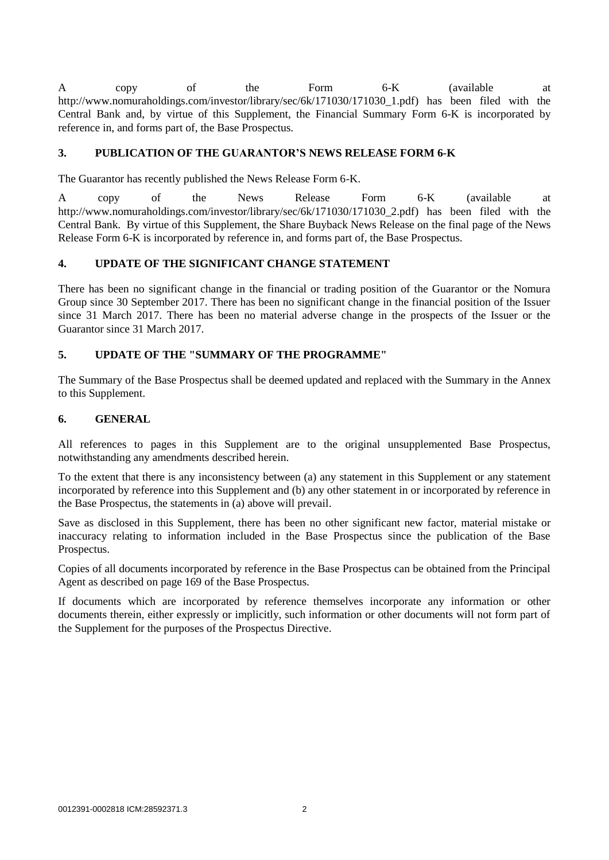A copy of the Form 6-K (available at http://www.nomuraholdings.com/investor/library/sec/6k/171030/171030\_1.pdf) has been filed with the Central Bank and, by virtue of this Supplement, the Financial Summary Form 6-K is incorporated by reference in, and forms part of, the Base Prospectus.

# **3. PUBLICATION OF THE GUARANTOR'S NEWS RELEASE FORM 6-K**

The Guarantor has recently published the News Release Form 6-K.

A copy of the News Release Form 6-K (available at http://www.nomuraholdings.com/investor/library/sec/6k/171030/171030 2.pdf) has been filed with the Central Bank. By virtue of this Supplement, the Share Buyback News Release on the final page of the News Release Form 6-K is incorporated by reference in, and forms part of, the Base Prospectus.

# **4. UPDATE OF THE SIGNIFICANT CHANGE STATEMENT**

There has been no significant change in the financial or trading position of the Guarantor or the Nomura Group since 30 September 2017. There has been no significant change in the financial position of the Issuer since 31 March 2017. There has been no material adverse change in the prospects of the Issuer or the Guarantor since 31 March 2017.

# **5. UPDATE OF THE "SUMMARY OF THE PROGRAMME"**

The Summary of the Base Prospectus shall be deemed updated and replaced with the Summary in the Annex to this Supplement.

# **6. GENERAL**

All references to pages in this Supplement are to the original unsupplemented Base Prospectus, notwithstanding any amendments described herein.

To the extent that there is any inconsistency between (a) any statement in this Supplement or any statement incorporated by reference into this Supplement and (b) any other statement in or incorporated by reference in the Base Prospectus, the statements in (a) above will prevail.

Save as disclosed in this Supplement, there has been no other significant new factor, material mistake or inaccuracy relating to information included in the Base Prospectus since the publication of the Base Prospectus.

Copies of all documents incorporated by reference in the Base Prospectus can be obtained from the Principal Agent as described on page 169 of the Base Prospectus.

If documents which are incorporated by reference themselves incorporate any information or other documents therein, either expressly or implicitly, such information or other documents will not form part of the Supplement for the purposes of the Prospectus Directive.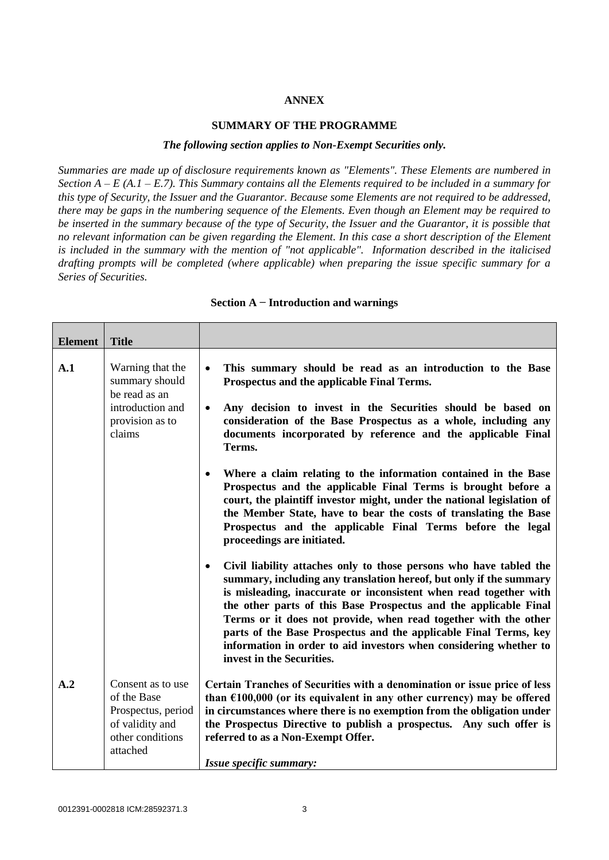# **ANNEX**

## **SUMMARY OF THE PROGRAMME**

#### *The following section applies to Non-Exempt Securities only.*

*Summaries are made up of disclosure requirements known as "Elements". These Elements are numbered in Section A – E (A.1 – E.7). This Summary contains all the Elements required to be included in a summary for this type of Security, the Issuer and the Guarantor. Because some Elements are not required to be addressed, there may be gaps in the numbering sequence of the Elements. Even though an Element may be required to be inserted in the summary because of the type of Security, the Issuer and the Guarantor, it is possible that no relevant information can be given regarding the Element. In this case a short description of the Element is included in the summary with the mention of "not applicable". Information described in the italicised drafting prompts will be completed (where applicable) when preparing the issue specific summary for a Series of Securities.*

| <b>Element</b> | <b>Title</b>                                                                                              |                                                                                                                                                                                                                                                                                                                                                                                                                                                                                                                                         |  |
|----------------|-----------------------------------------------------------------------------------------------------------|-----------------------------------------------------------------------------------------------------------------------------------------------------------------------------------------------------------------------------------------------------------------------------------------------------------------------------------------------------------------------------------------------------------------------------------------------------------------------------------------------------------------------------------------|--|
| A.1            | Warning that the<br>summary should<br>be read as an<br>introduction and<br>provision as to<br>claims      | This summary should be read as an introduction to the Base<br>$\bullet$<br>Prospectus and the applicable Final Terms.<br>Any decision to invest in the Securities should be based on<br>$\bullet$<br>consideration of the Base Prospectus as a whole, including any<br>documents incorporated by reference and the applicable Final<br>Terms.                                                                                                                                                                                           |  |
|                |                                                                                                           | Where a claim relating to the information contained in the Base<br>$\bullet$<br>Prospectus and the applicable Final Terms is brought before a<br>court, the plaintiff investor might, under the national legislation of<br>the Member State, have to bear the costs of translating the Base<br>Prospectus and the applicable Final Terms before the legal<br>proceedings are initiated.                                                                                                                                                 |  |
|                |                                                                                                           | Civil liability attaches only to those persons who have tabled the<br>$\bullet$<br>summary, including any translation hereof, but only if the summary<br>is misleading, inaccurate or inconsistent when read together with<br>the other parts of this Base Prospectus and the applicable Final<br>Terms or it does not provide, when read together with the other<br>parts of the Base Prospectus and the applicable Final Terms, key<br>information in order to aid investors when considering whether to<br>invest in the Securities. |  |
| A.2            | Consent as to use<br>of the Base<br>Prospectus, period<br>of validity and<br>other conditions<br>attached | Certain Tranches of Securities with a denomination or issue price of less<br>than $£100,000$ (or its equivalent in any other currency) may be offered<br>in circumstances where there is no exemption from the obligation under<br>the Prospectus Directive to publish a prospectus. Any such offer is<br>referred to as a Non-Exempt Offer.<br>Issue specific summary:                                                                                                                                                                 |  |

#### **Section A − Introduction and warnings**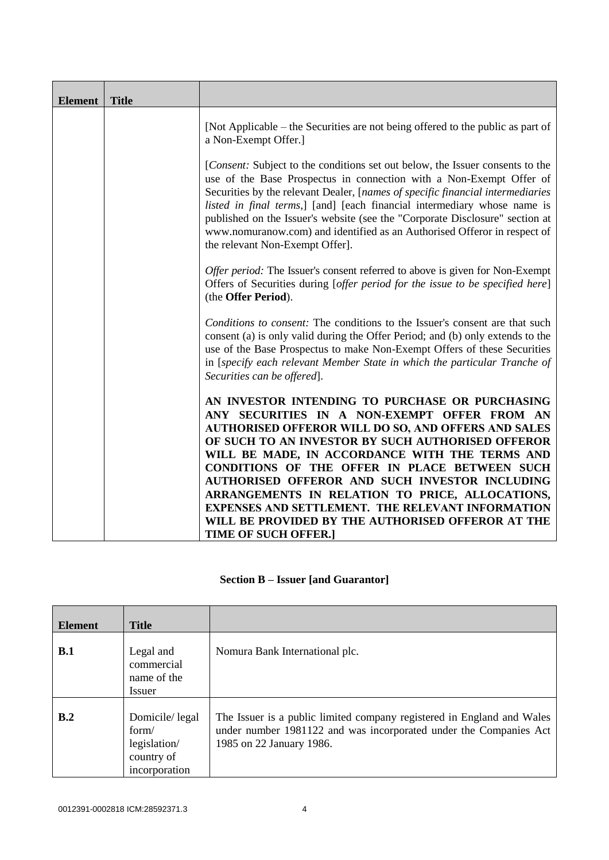| <b>Element</b> | <b>Title</b> |                                                                                                                                                                                                                                                                                                                                                                                                                                                                                                                    |  |
|----------------|--------------|--------------------------------------------------------------------------------------------------------------------------------------------------------------------------------------------------------------------------------------------------------------------------------------------------------------------------------------------------------------------------------------------------------------------------------------------------------------------------------------------------------------------|--|
|                |              | [Not Applicable – the Securities are not being offered to the public as part of<br>a Non-Exempt Offer.]                                                                                                                                                                                                                                                                                                                                                                                                            |  |
|                |              | [Consent: Subject to the conditions set out below, the Issuer consents to the<br>use of the Base Prospectus in connection with a Non-Exempt Offer of<br>Securities by the relevant Dealer, [names of specific financial intermediaries]<br>listed in final terms,] [and] [each financial intermediary whose name is<br>published on the Issuer's website (see the "Corporate Disclosure" section at<br>www.nomuranow.com) and identified as an Authorised Offeror in respect of<br>the relevant Non-Exempt Offer]. |  |
|                |              | Offer period: The Issuer's consent referred to above is given for Non-Exempt<br>Offers of Securities during [offer period for the issue to be specified here]<br>(the Offer Period).                                                                                                                                                                                                                                                                                                                               |  |
|                |              | Conditions to consent: The conditions to the Issuer's consent are that such<br>consent (a) is only valid during the Offer Period; and (b) only extends to the<br>use of the Base Prospectus to make Non-Exempt Offers of these Securities<br>in [specify each relevant Member State in which the particular Tranche of<br>Securities can be offered.                                                                                                                                                               |  |
|                |              | AN INVESTOR INTENDING TO PURCHASE OR PURCHASING<br>ANY SECURITIES IN A NON-EXEMPT OFFER FROM AN<br><b>AUTHORISED OFFEROR WILL DO SO, AND OFFERS AND SALES</b><br>OF SUCH TO AN INVESTOR BY SUCH AUTHORISED OFFEROR<br>WILL BE MADE, IN ACCORDANCE WITH THE TERMS AND<br>CONDITIONS OF THE OFFER IN PLACE BETWEEN SUCH<br>AUTHORISED OFFEROR AND SUCH INVESTOR INCLUDING<br>ARRANGEMENTS IN RELATION TO PRICE, ALLOCATIONS,                                                                                         |  |
|                |              | EXPENSES AND SETTLEMENT. THE RELEVANT INFORMATION<br>WILL BE PROVIDED BY THE AUTHORISED OFFEROR AT THE<br><b>TIME OF SUCH OFFER.]</b>                                                                                                                                                                                                                                                                                                                                                                              |  |

# **Section B – Issuer [and Guarantor]**

| <b>Element</b> | <b>Title</b>                                                           |                                                                                                                                                                         |
|----------------|------------------------------------------------------------------------|-------------------------------------------------------------------------------------------------------------------------------------------------------------------------|
| B.1            | Legal and<br>commercial<br>name of the<br>Issuer                       | Nomura Bank International plc.                                                                                                                                          |
| B.2            | Domicile/legal<br>form/<br>legislation/<br>country of<br>incorporation | The Issuer is a public limited company registered in England and Wales<br>under number 1981122 and was incorporated under the Companies Act<br>1985 on 22 January 1986. |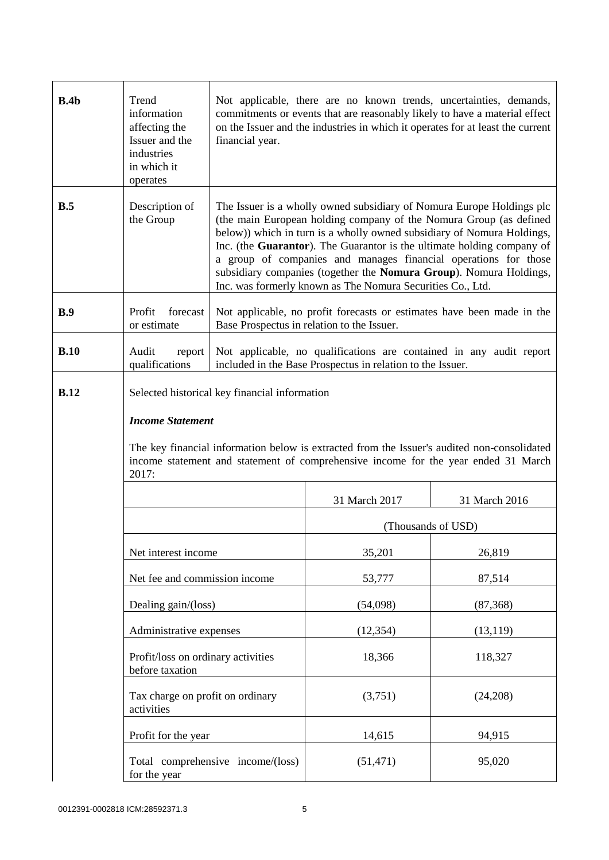| B.4b | Trend<br>information<br>affecting the<br>Issuer and the<br>industries<br>in which it<br>operates | Not applicable, there are no known trends, uncertainties, demands,<br>commitments or events that are reasonably likely to have a material effect<br>on the Issuer and the industries in which it operates for at least the current<br>financial year.                                                                                                                                                                                                                                                  |                    |               |
|------|--------------------------------------------------------------------------------------------------|--------------------------------------------------------------------------------------------------------------------------------------------------------------------------------------------------------------------------------------------------------------------------------------------------------------------------------------------------------------------------------------------------------------------------------------------------------------------------------------------------------|--------------------|---------------|
| B.5  | Description of<br>the Group                                                                      | The Issuer is a wholly owned subsidiary of Nomura Europe Holdings plc<br>(the main European holding company of the Nomura Group (as defined<br>below)) which in turn is a wholly owned subsidiary of Nomura Holdings,<br>Inc. (the Guarantor). The Guarantor is the ultimate holding company of<br>a group of companies and manages financial operations for those<br>subsidiary companies (together the Nomura Group). Nomura Holdings,<br>Inc. was formerly known as The Nomura Securities Co., Ltd. |                    |               |
| B.9  | forecast<br>Profit<br>or estimate                                                                | Not applicable, no profit forecasts or estimates have been made in the<br>Base Prospectus in relation to the Issuer.                                                                                                                                                                                                                                                                                                                                                                                   |                    |               |
| B.10 | Audit<br>report<br>qualifications                                                                | Not applicable, no qualifications are contained in any audit report<br>included in the Base Prospectus in relation to the Issuer.                                                                                                                                                                                                                                                                                                                                                                      |                    |               |
| B.12 | <b>Income Statement</b><br>2017:                                                                 | Selected historical key financial information<br>The key financial information below is extracted from the Issuer's audited non-consolidated<br>income statement and statement of comprehensive income for the year ended 31 March                                                                                                                                                                                                                                                                     |                    |               |
|      |                                                                                                  |                                                                                                                                                                                                                                                                                                                                                                                                                                                                                                        | 31 March 2017      | 31 March 2016 |
|      |                                                                                                  |                                                                                                                                                                                                                                                                                                                                                                                                                                                                                                        | (Thousands of USD) |               |
|      | Net interest income                                                                              |                                                                                                                                                                                                                                                                                                                                                                                                                                                                                                        | 35,201             | 26,819        |
|      | Net fee and commission income                                                                    |                                                                                                                                                                                                                                                                                                                                                                                                                                                                                                        | 53,777             | 87,514        |
|      | Dealing gain/(loss)                                                                              |                                                                                                                                                                                                                                                                                                                                                                                                                                                                                                        | (54,098)           | (87, 368)     |
|      | Administrative expenses                                                                          |                                                                                                                                                                                                                                                                                                                                                                                                                                                                                                        | (12, 354)          | (13, 119)     |
|      | Profit/loss on ordinary activities<br>before taxation                                            |                                                                                                                                                                                                                                                                                                                                                                                                                                                                                                        | 18,366             | 118,327       |
|      | Tax charge on profit on ordinary<br>activities                                                   |                                                                                                                                                                                                                                                                                                                                                                                                                                                                                                        | (3,751)            | (24,208)      |
|      | Profit for the year                                                                              |                                                                                                                                                                                                                                                                                                                                                                                                                                                                                                        | 14,615             | 94,915        |
|      | for the year                                                                                     | Total comprehensive income/(loss)                                                                                                                                                                                                                                                                                                                                                                                                                                                                      | (51, 471)          | 95,020        |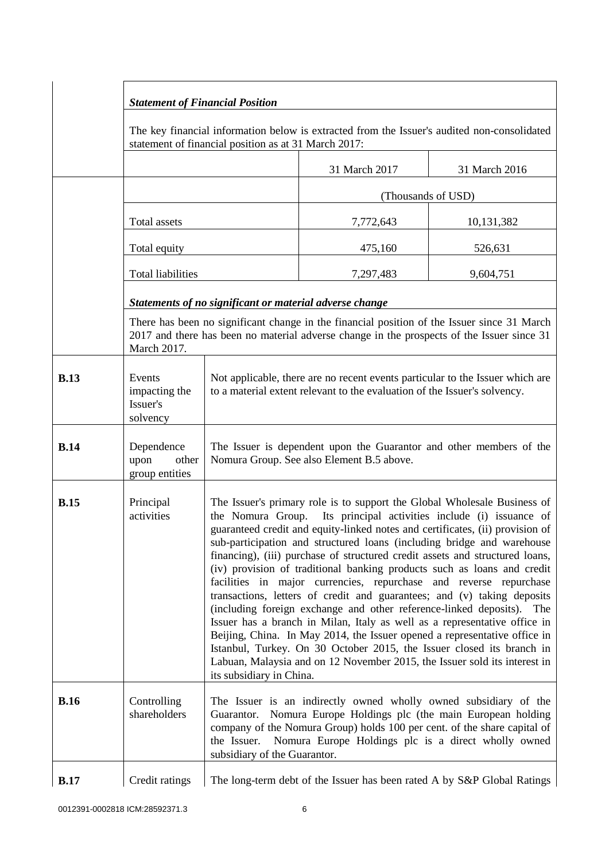|             | <b>Statement of Financial Position</b>                                                                                                              |                                                                                                                                                                                                                                                                                                                                                                                                                                                                                                                                                                                                                                                                                                                                                                                                                                                                                                                                                                                                                                              |                                                                                                                                                                                           |               |
|-------------|-----------------------------------------------------------------------------------------------------------------------------------------------------|----------------------------------------------------------------------------------------------------------------------------------------------------------------------------------------------------------------------------------------------------------------------------------------------------------------------------------------------------------------------------------------------------------------------------------------------------------------------------------------------------------------------------------------------------------------------------------------------------------------------------------------------------------------------------------------------------------------------------------------------------------------------------------------------------------------------------------------------------------------------------------------------------------------------------------------------------------------------------------------------------------------------------------------------|-------------------------------------------------------------------------------------------------------------------------------------------------------------------------------------------|---------------|
|             | The key financial information below is extracted from the Issuer's audited non-consolidated<br>statement of financial position as at 31 March 2017: |                                                                                                                                                                                                                                                                                                                                                                                                                                                                                                                                                                                                                                                                                                                                                                                                                                                                                                                                                                                                                                              |                                                                                                                                                                                           |               |
|             |                                                                                                                                                     |                                                                                                                                                                                                                                                                                                                                                                                                                                                                                                                                                                                                                                                                                                                                                                                                                                                                                                                                                                                                                                              | 31 March 2017                                                                                                                                                                             | 31 March 2016 |
|             |                                                                                                                                                     |                                                                                                                                                                                                                                                                                                                                                                                                                                                                                                                                                                                                                                                                                                                                                                                                                                                                                                                                                                                                                                              | (Thousands of USD)                                                                                                                                                                        |               |
|             | Total assets                                                                                                                                        |                                                                                                                                                                                                                                                                                                                                                                                                                                                                                                                                                                                                                                                                                                                                                                                                                                                                                                                                                                                                                                              | 7,772,643                                                                                                                                                                                 | 10,131,382    |
|             | Total equity                                                                                                                                        |                                                                                                                                                                                                                                                                                                                                                                                                                                                                                                                                                                                                                                                                                                                                                                                                                                                                                                                                                                                                                                              | 475,160                                                                                                                                                                                   | 526,631       |
|             | <b>Total liabilities</b>                                                                                                                            |                                                                                                                                                                                                                                                                                                                                                                                                                                                                                                                                                                                                                                                                                                                                                                                                                                                                                                                                                                                                                                              | 7,297,483                                                                                                                                                                                 | 9,604,751     |
|             |                                                                                                                                                     | Statements of no significant or material adverse change                                                                                                                                                                                                                                                                                                                                                                                                                                                                                                                                                                                                                                                                                                                                                                                                                                                                                                                                                                                      |                                                                                                                                                                                           |               |
|             | March 2017.                                                                                                                                         |                                                                                                                                                                                                                                                                                                                                                                                                                                                                                                                                                                                                                                                                                                                                                                                                                                                                                                                                                                                                                                              | There has been no significant change in the financial position of the Issuer since 31 March<br>2017 and there has been no material adverse change in the prospects of the Issuer since 31 |               |
| <b>B.13</b> | Events<br>impacting the<br>Issuer's<br>solvency                                                                                                     | Not applicable, there are no recent events particular to the Issuer which are<br>to a material extent relevant to the evaluation of the Issuer's solvency.                                                                                                                                                                                                                                                                                                                                                                                                                                                                                                                                                                                                                                                                                                                                                                                                                                                                                   |                                                                                                                                                                                           |               |
| <b>B.14</b> | Dependence<br>upon<br>other<br>group entities                                                                                                       | The Issuer is dependent upon the Guarantor and other members of the<br>Nomura Group. See also Element B.5 above.                                                                                                                                                                                                                                                                                                                                                                                                                                                                                                                                                                                                                                                                                                                                                                                                                                                                                                                             |                                                                                                                                                                                           |               |
| <b>B.15</b> | Principal<br>activities                                                                                                                             | The Issuer's primary role is to support the Global Wholesale Business of<br>the Nomura Group.<br>Its principal activities include (i) issuance of<br>guaranteed credit and equity-linked notes and certificates, (ii) provision of<br>sub-participation and structured loans (including bridge and warehouse<br>financing), (iii) purchase of structured credit assets and structured loans,<br>(iv) provision of traditional banking products such as loans and credit<br>facilities in major currencies, repurchase and reverse repurchase<br>transactions, letters of credit and guarantees; and (v) taking deposits<br>(including foreign exchange and other reference-linked deposits). The<br>Issuer has a branch in Milan, Italy as well as a representative office in<br>Beijing, China. In May 2014, the Issuer opened a representative office in<br>Istanbul, Turkey. On 30 October 2015, the Issuer closed its branch in<br>Labuan, Malaysia and on 12 November 2015, the Issuer sold its interest in<br>its subsidiary in China. |                                                                                                                                                                                           |               |
| <b>B.16</b> | Controlling<br>shareholders                                                                                                                         | The Issuer is an indirectly owned wholly owned subsidiary of the<br>Guarantor. Nomura Europe Holdings plc (the main European holding<br>company of the Nomura Group) holds 100 per cent. of the share capital of<br>Nomura Europe Holdings plc is a direct wholly owned<br>the Issuer.<br>subsidiary of the Guarantor.                                                                                                                                                                                                                                                                                                                                                                                                                                                                                                                                                                                                                                                                                                                       |                                                                                                                                                                                           |               |
| <b>B.17</b> | Credit ratings                                                                                                                                      |                                                                                                                                                                                                                                                                                                                                                                                                                                                                                                                                                                                                                                                                                                                                                                                                                                                                                                                                                                                                                                              | The long-term debt of the Issuer has been rated A by S&P Global Ratings                                                                                                                   |               |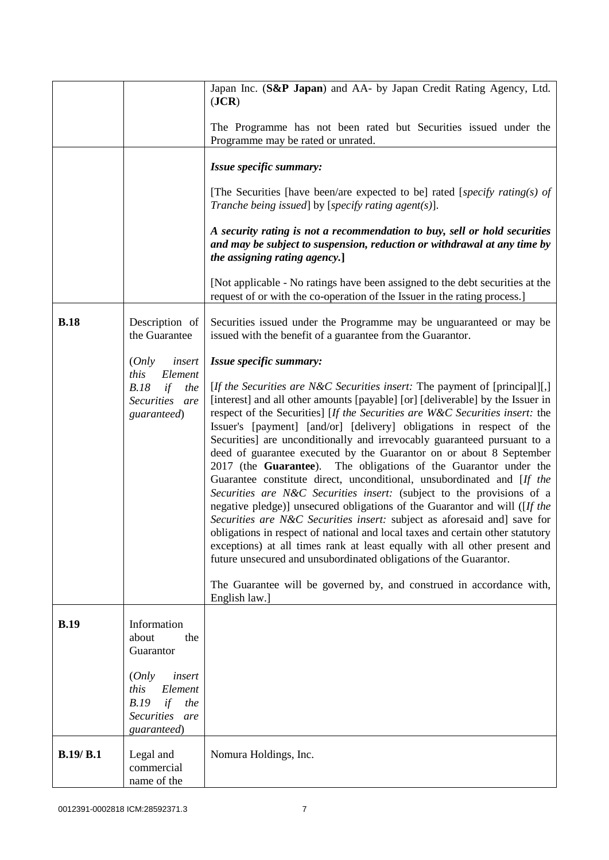|             |                                                                                          | Japan Inc. (S&P Japan) and AA- by Japan Credit Rating Agency, Ltd.<br>( <b>JCR</b> )                                                                                                                                                                                                                                                                                                                                                                                                                                                                                                                                                                                                                                                                                                                                                                                                                                                                                                                                                                                                                                                                                                               |  |
|-------------|------------------------------------------------------------------------------------------|----------------------------------------------------------------------------------------------------------------------------------------------------------------------------------------------------------------------------------------------------------------------------------------------------------------------------------------------------------------------------------------------------------------------------------------------------------------------------------------------------------------------------------------------------------------------------------------------------------------------------------------------------------------------------------------------------------------------------------------------------------------------------------------------------------------------------------------------------------------------------------------------------------------------------------------------------------------------------------------------------------------------------------------------------------------------------------------------------------------------------------------------------------------------------------------------------|--|
|             |                                                                                          | The Programme has not been rated but Securities issued under the<br>Programme may be rated or unrated.                                                                                                                                                                                                                                                                                                                                                                                                                                                                                                                                                                                                                                                                                                                                                                                                                                                                                                                                                                                                                                                                                             |  |
|             |                                                                                          | Issue specific summary:                                                                                                                                                                                                                                                                                                                                                                                                                                                                                                                                                                                                                                                                                                                                                                                                                                                                                                                                                                                                                                                                                                                                                                            |  |
|             |                                                                                          | [The Securities [have been/are expected to be] rated [specify rating(s) of<br>Tranche being issued] by [specify rating agent(s)].                                                                                                                                                                                                                                                                                                                                                                                                                                                                                                                                                                                                                                                                                                                                                                                                                                                                                                                                                                                                                                                                  |  |
|             |                                                                                          | A security rating is not a recommendation to buy, sell or hold securities<br>and may be subject to suspension, reduction or withdrawal at any time by<br>the assigning rating agency.]                                                                                                                                                                                                                                                                                                                                                                                                                                                                                                                                                                                                                                                                                                                                                                                                                                                                                                                                                                                                             |  |
|             |                                                                                          | [Not applicable - No ratings have been assigned to the debt securities at the<br>request of or with the co-operation of the Issuer in the rating process.]                                                                                                                                                                                                                                                                                                                                                                                                                                                                                                                                                                                                                                                                                                                                                                                                                                                                                                                                                                                                                                         |  |
| <b>B.18</b> | Description of<br>the Guarantee                                                          | Securities issued under the Programme may be unguaranteed or may be<br>issued with the benefit of a guarantee from the Guarantor.                                                                                                                                                                                                                                                                                                                                                                                                                                                                                                                                                                                                                                                                                                                                                                                                                                                                                                                                                                                                                                                                  |  |
|             | (Only<br>insert                                                                          | Issue specific summary:                                                                                                                                                                                                                                                                                                                                                                                                                                                                                                                                                                                                                                                                                                                                                                                                                                                                                                                                                                                                                                                                                                                                                                            |  |
|             | this<br>Element<br>B.18<br>if<br>the<br>Securities are<br>guaranteed)                    | [ <i>If the Securities are N&amp;C Securities insert:</i> The payment of [principal][,]<br>[interest] and all other amounts [payable] [or] [deliverable] by the Issuer in<br>respect of the Securities] [If the Securities are W&C Securities insert: the<br>Issuer's [payment] [and/or] [delivery] obligations in respect of the<br>Securities] are unconditionally and irrevocably guaranteed pursuant to a<br>deed of guarantee executed by the Guarantor on or about 8 September<br>2017 (the Guarantee). The obligations of the Guarantor under the<br>Guarantee constitute direct, unconditional, unsubordinated and [If the<br>Securities are N&C Securities insert: (subject to the provisions of a<br>negative pledge)] unsecured obligations of the Guarantor and will ([If the<br>Securities are N&C Securities insert: subject as aforesaid and] save for<br>obligations in respect of national and local taxes and certain other statutory<br>exceptions) at all times rank at least equally with all other present and<br>future unsecured and unsubordinated obligations of the Guarantor.<br>The Guarantee will be governed by, and construed in accordance with,<br>English law.] |  |
| <b>B.19</b> | Information<br>about<br>the<br>Guarantor                                                 |                                                                                                                                                                                                                                                                                                                                                                                                                                                                                                                                                                                                                                                                                                                                                                                                                                                                                                                                                                                                                                                                                                                                                                                                    |  |
|             | (Only<br>insert<br>this<br>Element<br>B.19<br>if<br>the<br>Securities are<br>guaranteed) |                                                                                                                                                                                                                                                                                                                                                                                                                                                                                                                                                                                                                                                                                                                                                                                                                                                                                                                                                                                                                                                                                                                                                                                                    |  |
| B.19/B.1    | Legal and<br>commercial<br>name of the                                                   | Nomura Holdings, Inc.                                                                                                                                                                                                                                                                                                                                                                                                                                                                                                                                                                                                                                                                                                                                                                                                                                                                                                                                                                                                                                                                                                                                                                              |  |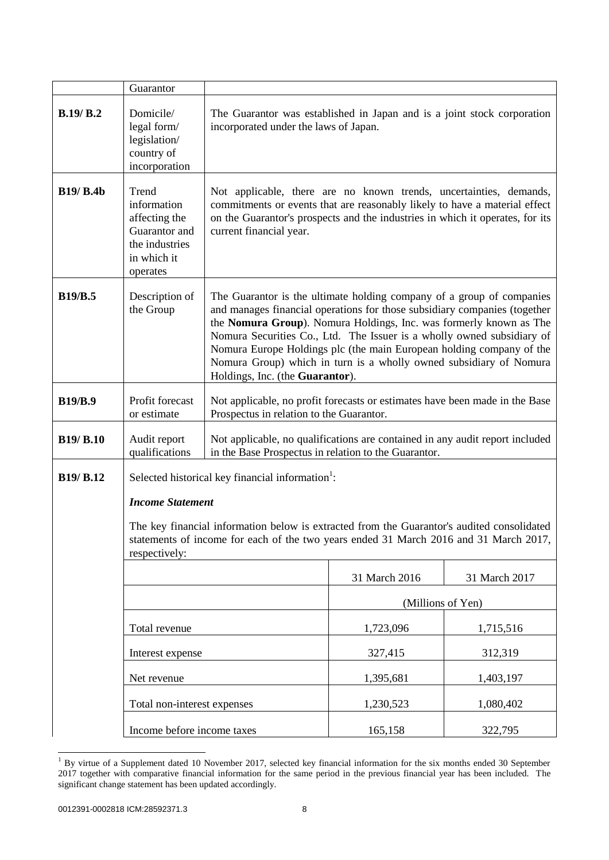|                  | Guarantor                                                                                                                                                                                            |                                                                                                                                                                                                                                                                                                                                                                                                                                                                                     |                   |               |
|------------------|------------------------------------------------------------------------------------------------------------------------------------------------------------------------------------------------------|-------------------------------------------------------------------------------------------------------------------------------------------------------------------------------------------------------------------------------------------------------------------------------------------------------------------------------------------------------------------------------------------------------------------------------------------------------------------------------------|-------------------|---------------|
| B.19/B.2         | Domicile/                                                                                                                                                                                            | The Guarantor was established in Japan and is a joint stock corporation                                                                                                                                                                                                                                                                                                                                                                                                             |                   |               |
|                  | legal form/<br>legislation/<br>country of<br>incorporation                                                                                                                                           | incorporated under the laws of Japan.                                                                                                                                                                                                                                                                                                                                                                                                                                               |                   |               |
| <b>B19/ B.4b</b> | Trend<br>information<br>affecting the<br>Guarantor and<br>the industries<br>in which it<br>operates                                                                                                  | Not applicable, there are no known trends, uncertainties, demands,<br>commitments or events that are reasonably likely to have a material effect<br>on the Guarantor's prospects and the industries in which it operates, for its<br>current financial year.                                                                                                                                                                                                                        |                   |               |
| <b>B19/B.5</b>   | Description of<br>the Group                                                                                                                                                                          | The Guarantor is the ultimate holding company of a group of companies<br>and manages financial operations for those subsidiary companies (together<br>the Nomura Group). Nomura Holdings, Inc. was formerly known as The<br>Nomura Securities Co., Ltd. The Issuer is a wholly owned subsidiary of<br>Nomura Europe Holdings plc (the main European holding company of the<br>Nomura Group) which in turn is a wholly owned subsidiary of Nomura<br>Holdings, Inc. (the Guarantor). |                   |               |
| <b>B19/B.9</b>   | Profit forecast<br>or estimate                                                                                                                                                                       | Not applicable, no profit forecasts or estimates have been made in the Base<br>Prospectus in relation to the Guarantor.                                                                                                                                                                                                                                                                                                                                                             |                   |               |
| <b>B19/ B.10</b> | Audit report<br>qualifications                                                                                                                                                                       | Not applicable, no qualifications are contained in any audit report included<br>in the Base Prospectus in relation to the Guarantor.                                                                                                                                                                                                                                                                                                                                                |                   |               |
| <b>B19/ B.12</b> |                                                                                                                                                                                                      | Selected historical key financial information <sup>1</sup> :                                                                                                                                                                                                                                                                                                                                                                                                                        |                   |               |
|                  | <b>Income Statement</b>                                                                                                                                                                              |                                                                                                                                                                                                                                                                                                                                                                                                                                                                                     |                   |               |
|                  | The key financial information below is extracted from the Guarantor's audited consolidated<br>statements of income for each of the two years ended 31 March 2016 and 31 March 2017,<br>respectively: |                                                                                                                                                                                                                                                                                                                                                                                                                                                                                     |                   |               |
|                  |                                                                                                                                                                                                      |                                                                                                                                                                                                                                                                                                                                                                                                                                                                                     | 31 March 2016     | 31 March 2017 |
|                  |                                                                                                                                                                                                      |                                                                                                                                                                                                                                                                                                                                                                                                                                                                                     | (Millions of Yen) |               |
|                  | Total revenue                                                                                                                                                                                        |                                                                                                                                                                                                                                                                                                                                                                                                                                                                                     | 1,723,096         | 1,715,516     |
|                  | Interest expense                                                                                                                                                                                     |                                                                                                                                                                                                                                                                                                                                                                                                                                                                                     | 327,415           | 312,319       |
|                  | Net revenue                                                                                                                                                                                          |                                                                                                                                                                                                                                                                                                                                                                                                                                                                                     | 1,395,681         | 1,403,197     |
|                  | Total non-interest expenses                                                                                                                                                                          |                                                                                                                                                                                                                                                                                                                                                                                                                                                                                     | 1,230,523         | 1,080,402     |
|                  | Income before income taxes                                                                                                                                                                           |                                                                                                                                                                                                                                                                                                                                                                                                                                                                                     | 165,158           | 322,795       |

 $\overline{a}$ <sup>1</sup> By virtue of a Supplement dated 10 November 2017, selected key financial information for the six months ended 30 September 2017 together with comparative financial information for the same period in the previous financial year has been included. The significant change statement has been updated accordingly.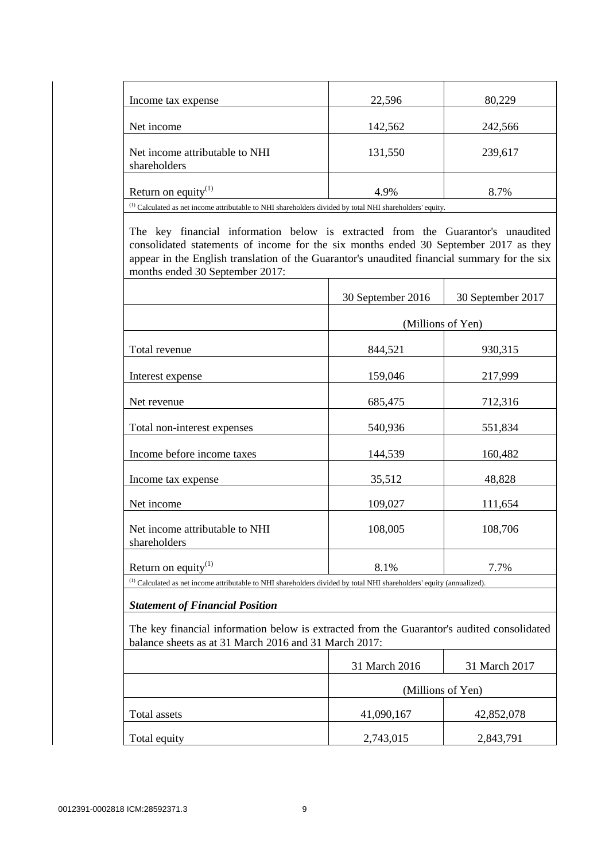| Income tax expense              | 22,596  | 80,229  |
|---------------------------------|---------|---------|
|                                 |         |         |
| Net income                      | 142,562 | 242,566 |
|                                 |         |         |
| Net income attributable to NHI  | 131,550 | 239,617 |
| shareholders                    |         |         |
|                                 |         |         |
| Return on equity <sup>(1)</sup> | 4.9%    | 8.7%    |
| $(1)$ and $(2)$ and $(3)$       |         |         |

(1) Calculated as net income attributable to NHI shareholders divided by total NHI shareholders' equity.

The key financial information below is extracted from the Guarantor's unaudited consolidated statements of income for the six months ended 30 September 2017 as they appear in the English translation of the Guarantor's unaudited financial summary for the six months ended 30 September 2017:

|                                                | 30 September 2016 | 30 September 2017 |
|------------------------------------------------|-------------------|-------------------|
|                                                | (Millions of Yen) |                   |
| Total revenue                                  | 844,521           | 930,315           |
| Interest expense                               | 159,046           | 217,999           |
| Net revenue                                    | 685,475           | 712,316           |
| Total non-interest expenses                    | 540,936           | 551,834           |
| Income before income taxes                     | 144,539           | 160,482           |
| Income tax expense                             | 35,512            | 48,828            |
| Net income                                     | 109,027           | 111,654           |
| Net income attributable to NHI<br>shareholders | 108,005           | 108,706           |
| Return on equity $^{(1)}$                      | 8.1%              | 7.7%              |

(1) Calculated as net income attributable to NHI shareholders divided by total NHI shareholders' equity (annualized).

## *Statement of Financial Position*

The key financial information below is extracted from the Guarantor's audited consolidated balance sheets as at 31 March 2016 and 31 March 2017:

|              | 31 March 2016     | 31 March 2017 |
|--------------|-------------------|---------------|
|              | (Millions of Yen) |               |
| Total assets | 41,090,167        | 42,852,078    |
| Total equity | 2,743,015         | 2,843,791     |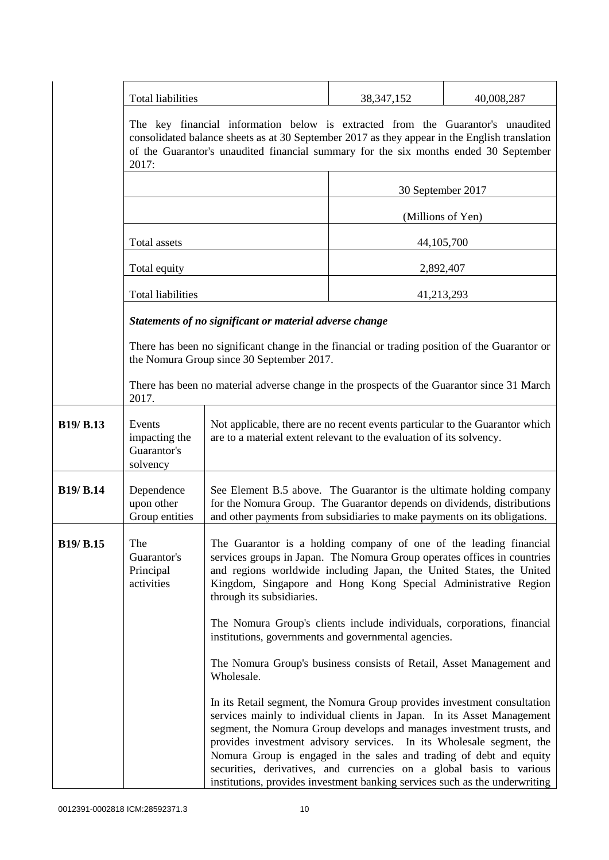|                  | <b>Total liabilities</b>                                                                                                                                                                                                                                                          |                                                                                                                                                                                                                                                                                                                                                                                                                                                                                                                                    | 38, 347, 152 | 40,008,287        |
|------------------|-----------------------------------------------------------------------------------------------------------------------------------------------------------------------------------------------------------------------------------------------------------------------------------|------------------------------------------------------------------------------------------------------------------------------------------------------------------------------------------------------------------------------------------------------------------------------------------------------------------------------------------------------------------------------------------------------------------------------------------------------------------------------------------------------------------------------------|--------------|-------------------|
|                  | The key financial information below is extracted from the Guarantor's unaudited<br>consolidated balance sheets as at 30 September 2017 as they appear in the English translation<br>of the Guarantor's unaudited financial summary for the six months ended 30 September<br>2017: |                                                                                                                                                                                                                                                                                                                                                                                                                                                                                                                                    |              |                   |
|                  |                                                                                                                                                                                                                                                                                   |                                                                                                                                                                                                                                                                                                                                                                                                                                                                                                                                    |              | 30 September 2017 |
|                  | Total assets                                                                                                                                                                                                                                                                      |                                                                                                                                                                                                                                                                                                                                                                                                                                                                                                                                    |              | (Millions of Yen) |
|                  |                                                                                                                                                                                                                                                                                   |                                                                                                                                                                                                                                                                                                                                                                                                                                                                                                                                    |              | 44, 105, 700      |
|                  | Total equity                                                                                                                                                                                                                                                                      |                                                                                                                                                                                                                                                                                                                                                                                                                                                                                                                                    |              | 2,892,407         |
|                  | <b>Total liabilities</b>                                                                                                                                                                                                                                                          |                                                                                                                                                                                                                                                                                                                                                                                                                                                                                                                                    |              | 41,213,293        |
|                  |                                                                                                                                                                                                                                                                                   | Statements of no significant or material adverse change                                                                                                                                                                                                                                                                                                                                                                                                                                                                            |              |                   |
|                  |                                                                                                                                                                                                                                                                                   | There has been no significant change in the financial or trading position of the Guarantor or<br>the Nomura Group since 30 September 2017.                                                                                                                                                                                                                                                                                                                                                                                         |              |                   |
|                  | 2017.                                                                                                                                                                                                                                                                             | There has been no material adverse change in the prospects of the Guarantor since 31 March                                                                                                                                                                                                                                                                                                                                                                                                                                         |              |                   |
| <b>B19/ B.13</b> | Events<br>impacting the<br>Guarantor's<br>solvency                                                                                                                                                                                                                                | Not applicable, there are no recent events particular to the Guarantor which<br>are to a material extent relevant to the evaluation of its solvency.                                                                                                                                                                                                                                                                                                                                                                               |              |                   |
| <b>B19/ B.14</b> | Dependence<br>upon other<br>Group entities                                                                                                                                                                                                                                        | See Element B.5 above. The Guarantor is the ultimate holding company<br>for the Nomura Group. The Guarantor depends on dividends, distributions<br>and other payments from subsidiaries to make payments on its obligations.                                                                                                                                                                                                                                                                                                       |              |                   |
| B19/ B.15        | The<br>Guarantor's<br>Principal<br>activities                                                                                                                                                                                                                                     | The Guarantor is a holding company of one of the leading financial<br>services groups in Japan. The Nomura Group operates offices in countries<br>and regions worldwide including Japan, the United States, the United<br>Kingdom, Singapore and Hong Kong Special Administrative Region<br>through its subsidiaries.                                                                                                                                                                                                              |              |                   |
|                  |                                                                                                                                                                                                                                                                                   | The Nomura Group's clients include individuals, corporations, financial<br>institutions, governments and governmental agencies.                                                                                                                                                                                                                                                                                                                                                                                                    |              |                   |
|                  |                                                                                                                                                                                                                                                                                   | The Nomura Group's business consists of Retail, Asset Management and<br>Wholesale.                                                                                                                                                                                                                                                                                                                                                                                                                                                 |              |                   |
|                  |                                                                                                                                                                                                                                                                                   | In its Retail segment, the Nomura Group provides investment consultation<br>services mainly to individual clients in Japan. In its Asset Management<br>segment, the Nomura Group develops and manages investment trusts, and<br>provides investment advisory services. In its Wholesale segment, the<br>Nomura Group is engaged in the sales and trading of debt and equity<br>securities, derivatives, and currencies on a global basis to various<br>institutions, provides investment banking services such as the underwriting |              |                   |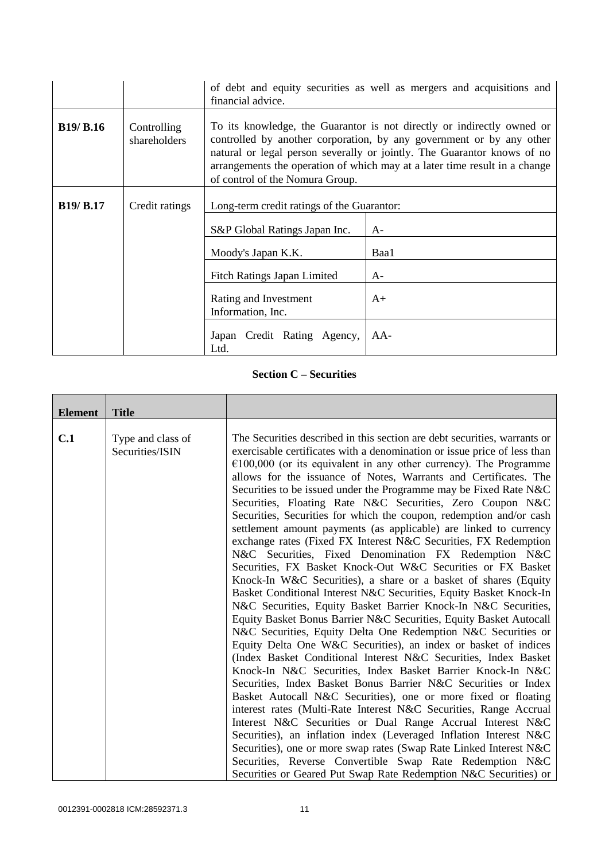|                  |                             | of debt and equity securities as well as mergers and acquisitions and<br>financial advice.                                                                                                                                                                                                                                                 |       |  |
|------------------|-----------------------------|--------------------------------------------------------------------------------------------------------------------------------------------------------------------------------------------------------------------------------------------------------------------------------------------------------------------------------------------|-------|--|
| <b>B19/ B.16</b> | Controlling<br>shareholders | To its knowledge, the Guarantor is not directly or indirectly owned or<br>controlled by another corporation, by any government or by any other<br>natural or legal person severally or jointly. The Guarantor knows of no<br>arrangements the operation of which may at a later time result in a change<br>of control of the Nomura Group. |       |  |
| <b>B19/ B.17</b> | Credit ratings              | Long-term credit ratings of the Guarantor:                                                                                                                                                                                                                                                                                                 |       |  |
|                  |                             | S&P Global Ratings Japan Inc.                                                                                                                                                                                                                                                                                                              | $A-$  |  |
|                  |                             | Moody's Japan K.K.<br>Baa1                                                                                                                                                                                                                                                                                                                 |       |  |
|                  |                             | <b>Fitch Ratings Japan Limited</b><br>$A-$                                                                                                                                                                                                                                                                                                 |       |  |
|                  |                             | Rating and Investment<br>$A+$<br>Information, Inc.                                                                                                                                                                                                                                                                                         |       |  |
|                  |                             | Japan Credit Rating Agency,<br>Ltd.                                                                                                                                                                                                                                                                                                        | $AA-$ |  |

# **Section C – Securities**

| <b>Element</b> | <b>Title</b>                         |                                                                                                                                                                                                                                                                                                                                                                                                                                                                                                                                                                                                                                                                                                                                             |
|----------------|--------------------------------------|---------------------------------------------------------------------------------------------------------------------------------------------------------------------------------------------------------------------------------------------------------------------------------------------------------------------------------------------------------------------------------------------------------------------------------------------------------------------------------------------------------------------------------------------------------------------------------------------------------------------------------------------------------------------------------------------------------------------------------------------|
| C.1            | Type and class of<br>Securities/ISIN | The Securities described in this section are debt securities, warrants or<br>exercisable certificates with a denomination or issue price of less than<br>$€100,000$ (or its equivalent in any other currency). The Programme<br>allows for the issuance of Notes, Warrants and Certificates. The<br>Securities to be issued under the Programme may be Fixed Rate N&C<br>Securities, Floating Rate N&C Securities, Zero Coupon N&C<br>Securities, Securities for which the coupon, redemption and/or cash<br>settlement amount payments (as applicable) are linked to currency<br>exchange rates (Fixed FX Interest N&C Securities, FX Redemption                                                                                           |
|                |                                      | N&C Securities, Fixed Denomination FX Redemption N&C<br>Securities, FX Basket Knock-Out W&C Securities or FX Basket<br>Knock-In W&C Securities), a share or a basket of shares (Equity<br>Basket Conditional Interest N&C Securities, Equity Basket Knock-In<br>N&C Securities, Equity Basket Barrier Knock-In N&C Securities,<br>Equity Basket Bonus Barrier N&C Securities, Equity Basket Autocall<br>N&C Securities, Equity Delta One Redemption N&C Securities or<br>Equity Delta One W&C Securities), an index or basket of indices<br>(Index Basket Conditional Interest N&C Securities, Index Basket<br>Knock-In N&C Securities, Index Basket Barrier Knock-In N&C<br>Securities, Index Basket Bonus Barrier N&C Securities or Index |
|                |                                      | Basket Autocall N&C Securities), one or more fixed or floating<br>interest rates (Multi-Rate Interest N&C Securities, Range Accrual<br>Interest N&C Securities or Dual Range Accrual Interest N&C<br>Securities), an inflation index (Leveraged Inflation Interest N&C<br>Securities), one or more swap rates (Swap Rate Linked Interest N&C<br>Securities, Reverse Convertible Swap Rate Redemption N&C<br>Securities or Geared Put Swap Rate Redemption N&C Securities) or                                                                                                                                                                                                                                                                |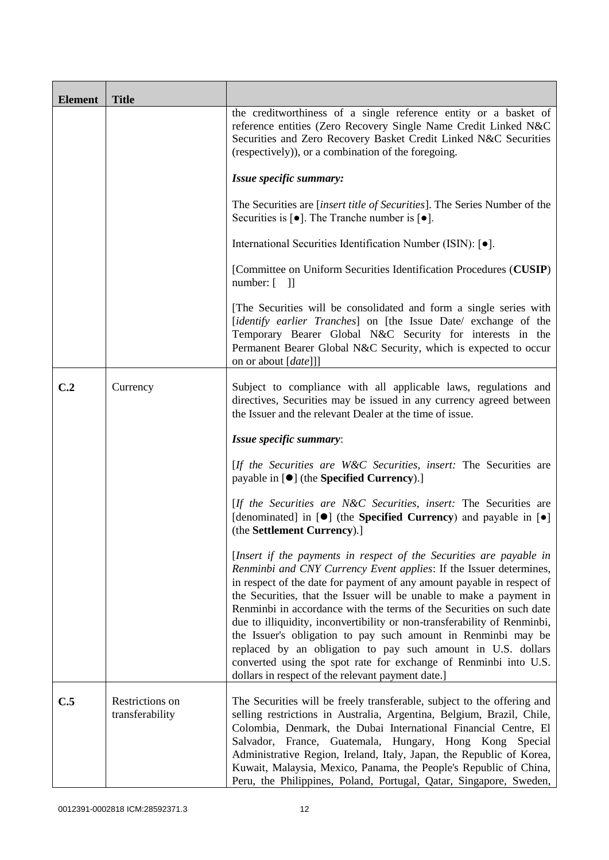| <b>Element</b> | <b>Title</b>                       |                                                                                                                                                                                                                                                                                                                                                                                                                                                                                                                                                                                                                                                                                                          |
|----------------|------------------------------------|----------------------------------------------------------------------------------------------------------------------------------------------------------------------------------------------------------------------------------------------------------------------------------------------------------------------------------------------------------------------------------------------------------------------------------------------------------------------------------------------------------------------------------------------------------------------------------------------------------------------------------------------------------------------------------------------------------|
|                |                                    | the creditworthiness of a single reference entity or a basket of<br>reference entities (Zero Recovery Single Name Credit Linked N&C<br>Securities and Zero Recovery Basket Credit Linked N&C Securities<br>(respectively)), or a combination of the foregoing.                                                                                                                                                                                                                                                                                                                                                                                                                                           |
|                |                                    | Issue specific summary:                                                                                                                                                                                                                                                                                                                                                                                                                                                                                                                                                                                                                                                                                  |
|                |                                    | The Securities are <i>[insert title of Securities]</i> . The Series Number of the<br>Securities is $\lceil \bullet \rceil$ . The Tranche number is $\lceil \bullet \rceil$ .                                                                                                                                                                                                                                                                                                                                                                                                                                                                                                                             |
|                |                                    | International Securities Identification Number (ISIN): [ $\bullet$ ].                                                                                                                                                                                                                                                                                                                                                                                                                                                                                                                                                                                                                                    |
|                |                                    | [Committee on Uniform Securities Identification Procedures (CUSIP)<br>$number: [$ ]]                                                                                                                                                                                                                                                                                                                                                                                                                                                                                                                                                                                                                     |
|                |                                    | [The Securities will be consolidated and form a single series with<br>[identify earlier Tranches] on [the Issue Date/ exchange of the<br>Temporary Bearer Global N&C Security for interests in the<br>Permanent Bearer Global N&C Security, which is expected to occur<br>on or about [date]]]                                                                                                                                                                                                                                                                                                                                                                                                           |
| C.2            | Currency                           | Subject to compliance with all applicable laws, regulations and<br>directives, Securities may be issued in any currency agreed between<br>the Issuer and the relevant Dealer at the time of issue.                                                                                                                                                                                                                                                                                                                                                                                                                                                                                                       |
|                |                                    | Issue specific summary:                                                                                                                                                                                                                                                                                                                                                                                                                                                                                                                                                                                                                                                                                  |
|                |                                    | [If the Securities are W&C Securities, insert: The Securities are<br>payable in [ $\bullet$ ] (the Specified Currency).]                                                                                                                                                                                                                                                                                                                                                                                                                                                                                                                                                                                 |
|                |                                    | [If the Securities are N&C Securities, insert: The Securities are<br>[denominated] in [ $\bullet$ ] (the Specified Currency) and payable in [ $\bullet$ ]<br>(the Settlement Currency).]                                                                                                                                                                                                                                                                                                                                                                                                                                                                                                                 |
|                |                                    | [Insert if the payments in respect of the Securities are payable in<br>Renminbi and CNY Currency Event applies: If the Issuer determines,<br>in respect of the date for payment of any amount payable in respect of<br>the Securities, that the Issuer will be unable to make a payment in<br>Renminbi in accordance with the terms of the Securities on such date<br>due to illiquidity, inconvertibility or non-transferability of Renminbi,<br>the Issuer's obligation to pay such amount in Renminbi may be<br>replaced by an obligation to pay such amount in U.S. dollars<br>converted using the spot rate for exchange of Renminbi into U.S.<br>dollars in respect of the relevant payment date.] |
| C.5            | Restrictions on<br>transferability | The Securities will be freely transferable, subject to the offering and<br>selling restrictions in Australia, Argentina, Belgium, Brazil, Chile,<br>Colombia, Denmark, the Dubai International Financial Centre, El<br>Salvador, France, Guatemala, Hungary, Hong Kong Special<br>Administrative Region, Ireland, Italy, Japan, the Republic of Korea,<br>Kuwait, Malaysia, Mexico, Panama, the People's Republic of China,<br>Peru, the Philippines, Poland, Portugal, Qatar, Singapore, Sweden,                                                                                                                                                                                                        |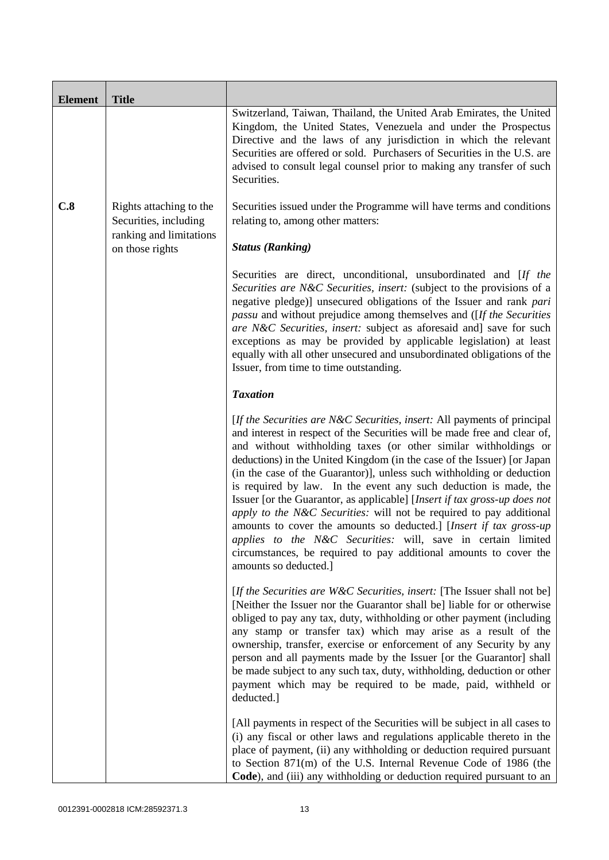| <b>Element</b> | <b>Title</b>                                     |                                                                                                                                                                                                                                                                                                                                                                                                                                                                                                                                                                                                                                                                                                                                                                                                                                          |
|----------------|--------------------------------------------------|------------------------------------------------------------------------------------------------------------------------------------------------------------------------------------------------------------------------------------------------------------------------------------------------------------------------------------------------------------------------------------------------------------------------------------------------------------------------------------------------------------------------------------------------------------------------------------------------------------------------------------------------------------------------------------------------------------------------------------------------------------------------------------------------------------------------------------------|
|                |                                                  | Switzerland, Taiwan, Thailand, the United Arab Emirates, the United<br>Kingdom, the United States, Venezuela and under the Prospectus<br>Directive and the laws of any jurisdiction in which the relevant<br>Securities are offered or sold. Purchasers of Securities in the U.S. are<br>advised to consult legal counsel prior to making any transfer of such<br>Securities.                                                                                                                                                                                                                                                                                                                                                                                                                                                            |
| C.8            | Rights attaching to the<br>Securities, including | Securities issued under the Programme will have terms and conditions<br>relating to, among other matters:                                                                                                                                                                                                                                                                                                                                                                                                                                                                                                                                                                                                                                                                                                                                |
|                | ranking and limitations<br>on those rights       | <b>Status (Ranking)</b>                                                                                                                                                                                                                                                                                                                                                                                                                                                                                                                                                                                                                                                                                                                                                                                                                  |
|                |                                                  | Securities are direct, unconditional, unsubordinated and [If the<br>Securities are N&C Securities, insert: (subject to the provisions of a<br>negative pledge)] unsecured obligations of the Issuer and rank pari<br>passu and without prejudice among themselves and ([If the Securities<br>are N&C Securities, insert: subject as aforesaid and] save for such<br>exceptions as may be provided by applicable legislation) at least<br>equally with all other unsecured and unsubordinated obligations of the<br>Issuer, from time to time outstanding.                                                                                                                                                                                                                                                                                |
|                |                                                  | <b>Taxation</b>                                                                                                                                                                                                                                                                                                                                                                                                                                                                                                                                                                                                                                                                                                                                                                                                                          |
|                |                                                  | [If the Securities are N&C Securities, insert: All payments of principal<br>and interest in respect of the Securities will be made free and clear of,<br>and without withholding taxes (or other similar withholdings or<br>deductions) in the United Kingdom (in the case of the Issuer) [or Japan<br>(in the case of the Guarantor)], unless such withholding or deduction<br>is required by law. In the event any such deduction is made, the<br>Issuer [or the Guarantor, as applicable] [Insert if tax gross-up does not<br>apply to the N&C Securities: will not be required to pay additional<br>amounts to cover the amounts so deducted.] [Insert if tax gross-up<br>applies to the N&C Securities: will, save in certain limited<br>circumstances, be required to pay additional amounts to cover the<br>amounts so deducted.] |
|                |                                                  | [If the Securities are W&C Securities, insert: [The Issuer shall not be]<br>[Neither the Issuer nor the Guarantor shall be] liable for or otherwise<br>obliged to pay any tax, duty, withholding or other payment (including<br>any stamp or transfer tax) which may arise as a result of the<br>ownership, transfer, exercise or enforcement of any Security by any<br>person and all payments made by the Issuer [or the Guarantor] shall<br>be made subject to any such tax, duty, withholding, deduction or other<br>payment which may be required to be made, paid, withheld or<br>deducted.]                                                                                                                                                                                                                                       |
|                |                                                  | [All payments in respect of the Securities will be subject in all cases to<br>(i) any fiscal or other laws and regulations applicable thereto in the<br>place of payment, (ii) any withholding or deduction required pursuant<br>to Section 871(m) of the U.S. Internal Revenue Code of 1986 (the<br>Code), and (iii) any withholding or deduction required pursuant to an                                                                                                                                                                                                                                                                                                                                                                                                                                                               |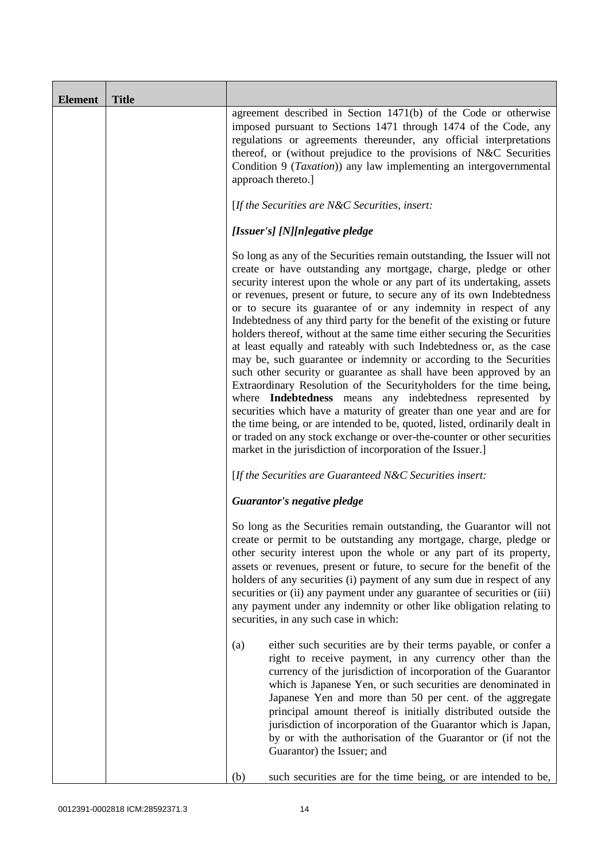| <b>Element</b> | <b>Title</b> |                                                                                                                                                                                                                                                                                                                                                                                                                                                                                                                                                                                                                                                                                                                                                                                                                                                                                                                                                                                                                                                                                                                                                                                              |
|----------------|--------------|----------------------------------------------------------------------------------------------------------------------------------------------------------------------------------------------------------------------------------------------------------------------------------------------------------------------------------------------------------------------------------------------------------------------------------------------------------------------------------------------------------------------------------------------------------------------------------------------------------------------------------------------------------------------------------------------------------------------------------------------------------------------------------------------------------------------------------------------------------------------------------------------------------------------------------------------------------------------------------------------------------------------------------------------------------------------------------------------------------------------------------------------------------------------------------------------|
|                |              | agreement described in Section 1471(b) of the Code or otherwise<br>imposed pursuant to Sections 1471 through 1474 of the Code, any<br>regulations or agreements thereunder, any official interpretations<br>thereof, or (without prejudice to the provisions of N&C Securities<br>Condition 9 (Taxation)) any law implementing an intergovernmental<br>approach thereto.]                                                                                                                                                                                                                                                                                                                                                                                                                                                                                                                                                                                                                                                                                                                                                                                                                    |
|                |              | [If the Securities are N&C Securities, insert:                                                                                                                                                                                                                                                                                                                                                                                                                                                                                                                                                                                                                                                                                                                                                                                                                                                                                                                                                                                                                                                                                                                                               |
|                |              | [Issuer's] [N][n]egative pledge                                                                                                                                                                                                                                                                                                                                                                                                                                                                                                                                                                                                                                                                                                                                                                                                                                                                                                                                                                                                                                                                                                                                                              |
|                |              | So long as any of the Securities remain outstanding, the Issuer will not<br>create or have outstanding any mortgage, charge, pledge or other<br>security interest upon the whole or any part of its undertaking, assets<br>or revenues, present or future, to secure any of its own Indebtedness<br>or to secure its guarantee of or any indemnity in respect of any<br>Indebtedness of any third party for the benefit of the existing or future<br>holders thereof, without at the same time either securing the Securities<br>at least equally and rateably with such Indebtedness or, as the case<br>may be, such guarantee or indemnity or according to the Securities<br>such other security or guarantee as shall have been approved by an<br>Extraordinary Resolution of the Securityholders for the time being,<br>where <b>Indebtedness</b> means any indebtedness represented by<br>securities which have a maturity of greater than one year and are for<br>the time being, or are intended to be, quoted, listed, ordinarily dealt in<br>or traded on any stock exchange or over-the-counter or other securities<br>market in the jurisdiction of incorporation of the Issuer.] |
|                |              | [If the Securities are Guaranteed N&C Securities insert:                                                                                                                                                                                                                                                                                                                                                                                                                                                                                                                                                                                                                                                                                                                                                                                                                                                                                                                                                                                                                                                                                                                                     |
|                |              | Guarantor's negative pledge                                                                                                                                                                                                                                                                                                                                                                                                                                                                                                                                                                                                                                                                                                                                                                                                                                                                                                                                                                                                                                                                                                                                                                  |
|                |              | So long as the Securities remain outstanding, the Guarantor will not<br>create or permit to be outstanding any mortgage, charge, pledge or<br>other security interest upon the whole or any part of its property,<br>assets or revenues, present or future, to secure for the benefit of the<br>holders of any securities (i) payment of any sum due in respect of any<br>securities or (ii) any payment under any guarantee of securities or (iii)<br>any payment under any indemnity or other like obligation relating to<br>securities, in any such case in which:                                                                                                                                                                                                                                                                                                                                                                                                                                                                                                                                                                                                                        |
|                |              | either such securities are by their terms payable, or confer a<br>(a)<br>right to receive payment, in any currency other than the<br>currency of the jurisdiction of incorporation of the Guarantor<br>which is Japanese Yen, or such securities are denominated in<br>Japanese Yen and more than 50 per cent. of the aggregate<br>principal amount thereof is initially distributed outside the<br>jurisdiction of incorporation of the Guarantor which is Japan,<br>by or with the authorisation of the Guarantor or (if not the<br>Guarantor) the Issuer; and                                                                                                                                                                                                                                                                                                                                                                                                                                                                                                                                                                                                                             |
|                |              | such securities are for the time being, or are intended to be,<br>(b)                                                                                                                                                                                                                                                                                                                                                                                                                                                                                                                                                                                                                                                                                                                                                                                                                                                                                                                                                                                                                                                                                                                        |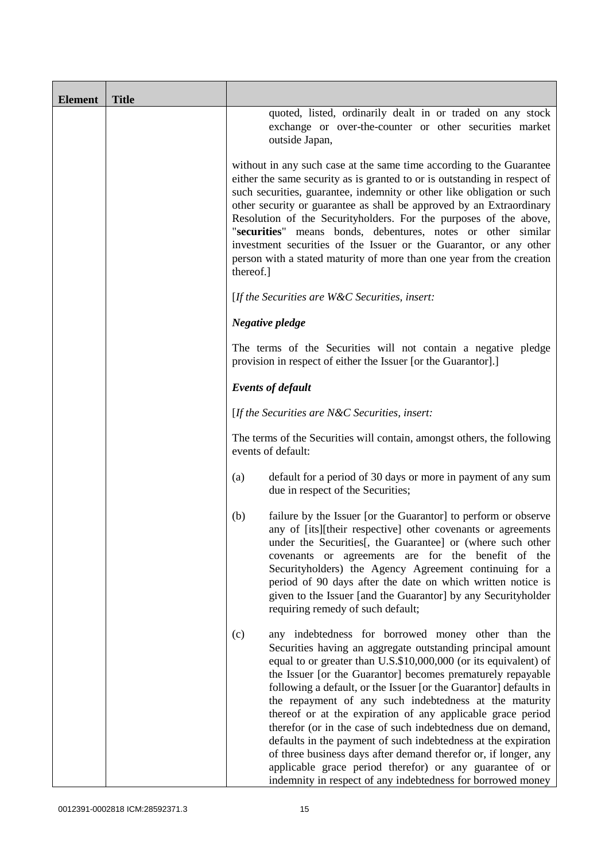| <b>Element</b> | <b>Title</b> |                                                                                                                                                                                                                                                                                                                                                                                                                                                                                                                                                                                                                                                                                                                                                                                           |
|----------------|--------------|-------------------------------------------------------------------------------------------------------------------------------------------------------------------------------------------------------------------------------------------------------------------------------------------------------------------------------------------------------------------------------------------------------------------------------------------------------------------------------------------------------------------------------------------------------------------------------------------------------------------------------------------------------------------------------------------------------------------------------------------------------------------------------------------|
|                |              | quoted, listed, ordinarily dealt in or traded on any stock<br>exchange or over-the-counter or other securities market<br>outside Japan,                                                                                                                                                                                                                                                                                                                                                                                                                                                                                                                                                                                                                                                   |
|                |              | without in any such case at the same time according to the Guarantee<br>either the same security as is granted to or is outstanding in respect of<br>such securities, guarantee, indemnity or other like obligation or such<br>other security or guarantee as shall be approved by an Extraordinary<br>Resolution of the Securityholders. For the purposes of the above,<br>"securities" means bonds, debentures, notes or other similar<br>investment securities of the Issuer or the Guarantor, or any other<br>person with a stated maturity of more than one year from the creation<br>thereof.]                                                                                                                                                                                      |
|                |              | [If the Securities are $W\&C$ Securities, insert:                                                                                                                                                                                                                                                                                                                                                                                                                                                                                                                                                                                                                                                                                                                                         |
|                |              | Negative pledge                                                                                                                                                                                                                                                                                                                                                                                                                                                                                                                                                                                                                                                                                                                                                                           |
|                |              | The terms of the Securities will not contain a negative pledge<br>provision in respect of either the Issuer [or the Guarantor].]                                                                                                                                                                                                                                                                                                                                                                                                                                                                                                                                                                                                                                                          |
|                |              | <b>Events of default</b>                                                                                                                                                                                                                                                                                                                                                                                                                                                                                                                                                                                                                                                                                                                                                                  |
|                |              | [If the Securities are $N\&C$ Securities, insert:                                                                                                                                                                                                                                                                                                                                                                                                                                                                                                                                                                                                                                                                                                                                         |
|                |              | The terms of the Securities will contain, amongst others, the following<br>events of default:                                                                                                                                                                                                                                                                                                                                                                                                                                                                                                                                                                                                                                                                                             |
|                |              | default for a period of 30 days or more in payment of any sum<br>(a)<br>due in respect of the Securities;                                                                                                                                                                                                                                                                                                                                                                                                                                                                                                                                                                                                                                                                                 |
|                |              | (b)<br>failure by the Issuer [or the Guarantor] to perform or observe<br>any of [its][their respective] other covenants or agreements<br>under the Securities[, the Guarantee] or (where such other<br>covenants or agreements are for the benefit of the<br>Securityholders) the Agency Agreement continuing for a<br>period of 90 days after the date on which written notice is<br>given to the Issuer [and the Guarantor] by any Securityholder<br>requiring remedy of such default;                                                                                                                                                                                                                                                                                                  |
|                |              | any indebtedness for borrowed money other than the<br>(c)<br>Securities having an aggregate outstanding principal amount<br>equal to or greater than U.S.\$10,000,000 (or its equivalent) of<br>the Issuer [or the Guarantor] becomes prematurely repayable<br>following a default, or the Issuer [or the Guarantor] defaults in<br>the repayment of any such indebtedness at the maturity<br>thereof or at the expiration of any applicable grace period<br>therefor (or in the case of such indebtedness due on demand,<br>defaults in the payment of such indebtedness at the expiration<br>of three business days after demand therefor or, if longer, any<br>applicable grace period therefor) or any guarantee of or<br>indemnity in respect of any indebtedness for borrowed money |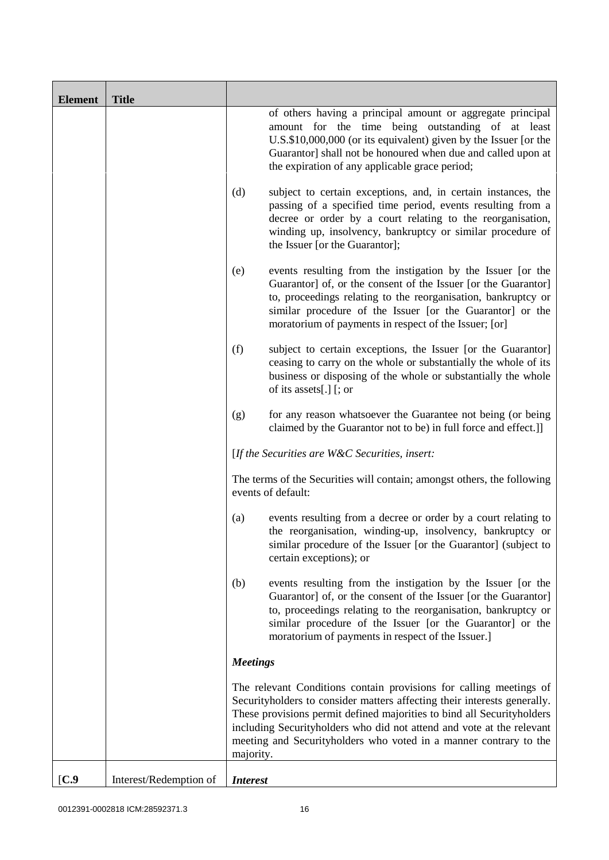| <b>Element</b>   | <b>Title</b>           |                 |                                                                                                                                                                                                                                                                                                                                                                         |
|------------------|------------------------|-----------------|-------------------------------------------------------------------------------------------------------------------------------------------------------------------------------------------------------------------------------------------------------------------------------------------------------------------------------------------------------------------------|
|                  |                        |                 | of others having a principal amount or aggregate principal<br>amount for the time being outstanding of at least<br>U.S.\$10,000,000 (or its equivalent) given by the Issuer [or the<br>Guarantor] shall not be honoured when due and called upon at<br>the expiration of any applicable grace period;                                                                   |
|                  |                        | (d)             | subject to certain exceptions, and, in certain instances, the<br>passing of a specified time period, events resulting from a<br>decree or order by a court relating to the reorganisation,<br>winding up, insolvency, bankruptcy or similar procedure of<br>the Issuer [or the Guarantor];                                                                              |
|                  |                        | (e)             | events resulting from the instigation by the Issuer [or the<br>Guarantor] of, or the consent of the Issuer [or the Guarantor]<br>to, proceedings relating to the reorganisation, bankruptcy or<br>similar procedure of the Issuer [or the Guarantor] or the<br>moratorium of payments in respect of the Issuer; [or]                                                    |
|                  |                        | (f)             | subject to certain exceptions, the Issuer [or the Guarantor]<br>ceasing to carry on the whole or substantially the whole of its<br>business or disposing of the whole or substantially the whole<br>of its assets[.] [; or                                                                                                                                              |
|                  |                        | (g)             | for any reason whatsoever the Guarantee not being (or being<br>claimed by the Guarantor not to be) in full force and effect.]                                                                                                                                                                                                                                           |
|                  |                        |                 | [If the Securities are $W\&C$ Securities, insert:                                                                                                                                                                                                                                                                                                                       |
|                  |                        |                 | The terms of the Securities will contain; amongst others, the following<br>events of default:                                                                                                                                                                                                                                                                           |
|                  |                        | (a)             | events resulting from a decree or order by a court relating to<br>the reorganisation, winding-up, insolvency, bankruptcy or<br>similar procedure of the Issuer [or the Guarantor] (subject to<br>certain exceptions); or                                                                                                                                                |
|                  |                        | (b)             | events resulting from the instigation by the Issuer [or the<br>Guarantor] of, or the consent of the Issuer [or the Guarantor]<br>to, proceedings relating to the reorganisation, bankruptcy or<br>similar procedure of the Issuer [or the Guarantor] or the<br>moratorium of payments in respect of the Issuer.]                                                        |
|                  |                        | <b>Meetings</b> |                                                                                                                                                                                                                                                                                                                                                                         |
|                  |                        | majority.       | The relevant Conditions contain provisions for calling meetings of<br>Securityholders to consider matters affecting their interests generally.<br>These provisions permit defined majorities to bind all Security holders<br>including Securityholders who did not attend and vote at the relevant<br>meeting and Securityholders who voted in a manner contrary to the |
| $\mathbf{[C.9]}$ | Interest/Redemption of | <b>Interest</b> |                                                                                                                                                                                                                                                                                                                                                                         |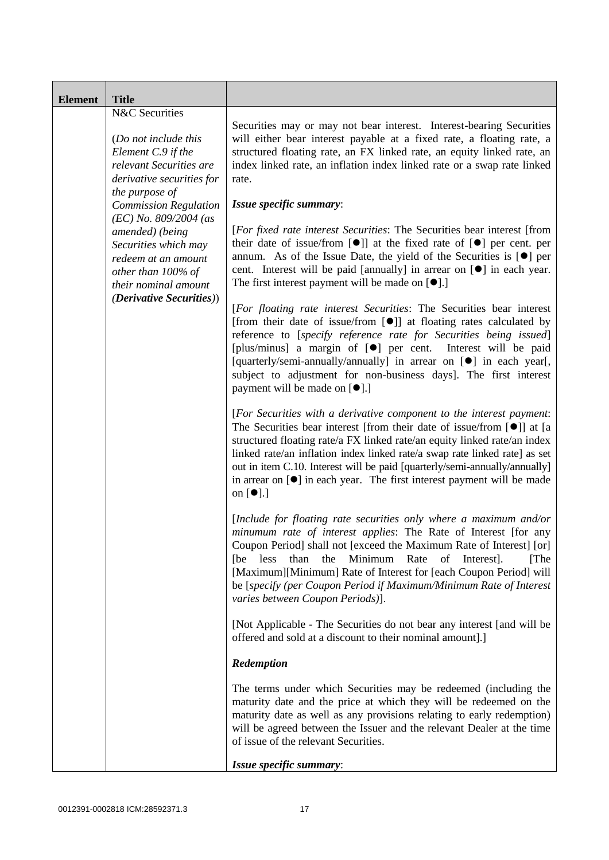| <b>Element</b> | <b>Title</b>                                                                                                                                                            |                                                                                                                                                                                                                                                                                                                                                                                                                                                                                                                        |
|----------------|-------------------------------------------------------------------------------------------------------------------------------------------------------------------------|------------------------------------------------------------------------------------------------------------------------------------------------------------------------------------------------------------------------------------------------------------------------------------------------------------------------------------------------------------------------------------------------------------------------------------------------------------------------------------------------------------------------|
|                | N&C Securities<br>(Do not include this<br>Element C.9 if the<br>relevant Securities are<br>derivative securities for<br>the purpose of                                  | Securities may or may not bear interest. Interest-bearing Securities<br>will either bear interest payable at a fixed rate, a floating rate, a<br>structured floating rate, an FX linked rate, an equity linked rate, an<br>index linked rate, an inflation index linked rate or a swap rate linked<br>rate.                                                                                                                                                                                                            |
|                | <b>Commission Regulation</b><br>$(EC)$ No. 809/2004 (as<br>amended) (being<br>Securities which may<br>redeem at an amount<br>other than 100% of<br>their nominal amount | Issue specific summary:<br>[For fixed rate interest Securities: The Securities bear interest [from<br>their date of issue/from $[\bullet]$ at the fixed rate of $[\bullet]$ per cent. per<br>annum. As of the Issue Date, the yield of the Securities is $[•]$ per<br>cent. Interest will be paid [annually] in arrear on [ <sup>•</sup> ] in each year.<br>The first interest payment will be made on $[\bullet]$ .]                                                                                                  |
|                | <i>(Derivative Securities))</i>                                                                                                                                         | [For floating rate interest Securities: The Securities bear interest<br>[from their date of issue/from [ $\bullet$ ]] at floating rates calculated by<br>reference to [specify reference rate for Securities being issued]<br>[plus/minus] a margin of [ <sup>o</sup> ] per cent. Interest will be paid<br>[quarterly/semi-annually/annually] in arrear on [ $\bullet$ ] in each year[,<br>subject to adjustment for non-business days]. The first interest<br>payment will be made on [●].]                           |
|                |                                                                                                                                                                         | [For Securities with a derivative component to the interest payment:<br>The Securities bear interest [from their date of issue/from [ <sup>●</sup> ]] at [a<br>structured floating rate/a FX linked rate/an equity linked rate/an index<br>linked rate/an inflation index linked rate/a swap rate linked rate] as set<br>out in item C.10. Interest will be paid [quarterly/semi-annually/annually]<br>in arrear on $[\bullet]$ in each year. The first interest payment will be made<br>on $\lceil \bullet \rceil$ .] |
|                |                                                                                                                                                                         | [Include for floating rate securities only where a maximum and/or<br>minumum rate of interest applies: The Rate of Interest [for any<br>Coupon Period] shall not [exceed the Maximum Rate of Interest] [or]<br>less<br>than<br>the<br>Minimum Rate<br>of<br>[The<br>[be<br>Interest.<br>[Maximum][Minimum] Rate of Interest for [each Coupon Period] will<br>be [specify (per Coupon Period if Maximum/Minimum Rate of Interest<br>varies between Coupon Periods)].                                                    |
|                |                                                                                                                                                                         | [Not Applicable - The Securities do not bear any interest [and will be<br>offered and sold at a discount to their nominal amount].]                                                                                                                                                                                                                                                                                                                                                                                    |
|                |                                                                                                                                                                         | Redemption                                                                                                                                                                                                                                                                                                                                                                                                                                                                                                             |
|                |                                                                                                                                                                         | The terms under which Securities may be redeemed (including the<br>maturity date and the price at which they will be redeemed on the<br>maturity date as well as any provisions relating to early redemption)<br>will be agreed between the Issuer and the relevant Dealer at the time<br>of issue of the relevant Securities.                                                                                                                                                                                         |
|                |                                                                                                                                                                         | Issue specific summary:                                                                                                                                                                                                                                                                                                                                                                                                                                                                                                |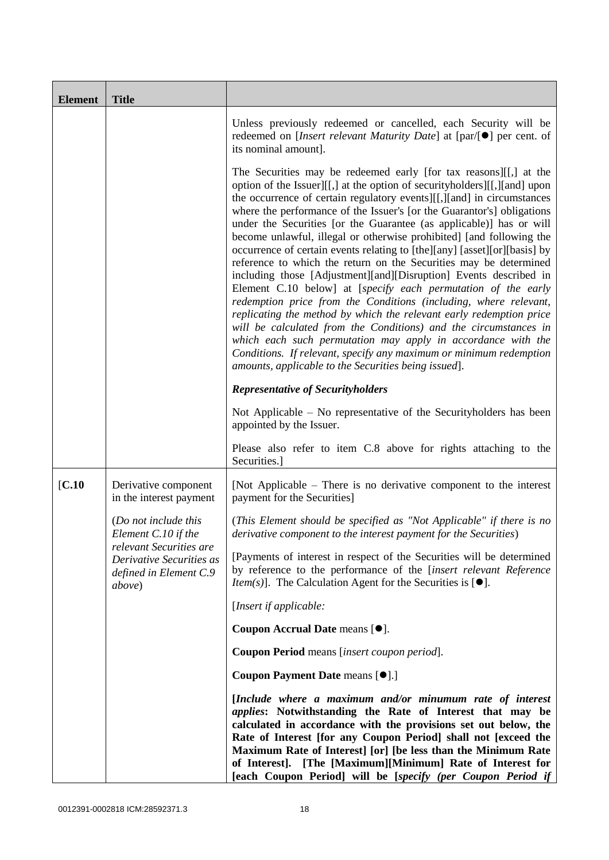| <b>Element</b> | <b>Title</b>                                                                                    |                                                                                                                                                                                                                                                                                                                                                                                                                                                                                                                                                                                                                                                                                                                                                                                                                                                                                                                                                                                                                                                                                                                                                        |
|----------------|-------------------------------------------------------------------------------------------------|--------------------------------------------------------------------------------------------------------------------------------------------------------------------------------------------------------------------------------------------------------------------------------------------------------------------------------------------------------------------------------------------------------------------------------------------------------------------------------------------------------------------------------------------------------------------------------------------------------------------------------------------------------------------------------------------------------------------------------------------------------------------------------------------------------------------------------------------------------------------------------------------------------------------------------------------------------------------------------------------------------------------------------------------------------------------------------------------------------------------------------------------------------|
|                |                                                                                                 | Unless previously redeemed or cancelled, each Security will be<br>redeemed on [ <i>Insert relevant Maturity Date</i> ] at $\lceil \text{par}/\lceil \bullet \rceil$ per cent. of<br>its nominal amount].                                                                                                                                                                                                                                                                                                                                                                                                                                                                                                                                                                                                                                                                                                                                                                                                                                                                                                                                               |
|                |                                                                                                 | The Securities may be redeemed early [for tax reasons][[,] at the<br>option of the Issuer][[,] at the option of securityholders][[,][and] upon<br>the occurrence of certain regulatory events][[,][and] in circumstances<br>where the performance of the Issuer's [or the Guarantor's] obligations<br>under the Securities [or the Guarantee (as applicable)] has or will<br>become unlawful, illegal or otherwise prohibited] [and following the<br>occurrence of certain events relating to [the][any] [asset][or][basis] by<br>reference to which the return on the Securities may be determined<br>including those [Adjustment][and][Disruption] Events described in<br>Element C.10 below] at [specify each permutation of the early<br>redemption price from the Conditions (including, where relevant,<br>replicating the method by which the relevant early redemption price<br>will be calculated from the Conditions) and the circumstances in<br>which each such permutation may apply in accordance with the<br>Conditions. If relevant, specify any maximum or minimum redemption<br>amounts, applicable to the Securities being issued]. |
|                |                                                                                                 | <b>Representative of Securityholders</b>                                                                                                                                                                                                                                                                                                                                                                                                                                                                                                                                                                                                                                                                                                                                                                                                                                                                                                                                                                                                                                                                                                               |
|                |                                                                                                 | Not Applicable – No representative of the Securityholders has been<br>appointed by the Issuer.                                                                                                                                                                                                                                                                                                                                                                                                                                                                                                                                                                                                                                                                                                                                                                                                                                                                                                                                                                                                                                                         |
|                |                                                                                                 | Please also refer to item C.8 above for rights attaching to the<br>Securities.]                                                                                                                                                                                                                                                                                                                                                                                                                                                                                                                                                                                                                                                                                                                                                                                                                                                                                                                                                                                                                                                                        |
| [C.10]         | Derivative component<br>in the interest payment                                                 | [Not Applicable – There is no derivative component to the interest<br>payment for the Securities]                                                                                                                                                                                                                                                                                                                                                                                                                                                                                                                                                                                                                                                                                                                                                                                                                                                                                                                                                                                                                                                      |
|                | (Do not include this<br>Element C.10 if the                                                     | (This Element should be specified as "Not Applicable" if there is no<br>derivative component to the interest payment for the Securities)                                                                                                                                                                                                                                                                                                                                                                                                                                                                                                                                                                                                                                                                                                                                                                                                                                                                                                                                                                                                               |
|                | relevant Securities are<br>Derivative Securities as<br>defined in Element C.9<br><i>above</i> ) | [Payments of interest in respect of the Securities will be determined<br>by reference to the performance of the [insert relevant Reference<br><i>Item(s)</i> ]. The Calculation Agent for the Securities is $[•]$ .                                                                                                                                                                                                                                                                                                                                                                                                                                                                                                                                                                                                                                                                                                                                                                                                                                                                                                                                    |
|                |                                                                                                 | [Insert if applicable:                                                                                                                                                                                                                                                                                                                                                                                                                                                                                                                                                                                                                                                                                                                                                                                                                                                                                                                                                                                                                                                                                                                                 |
|                |                                                                                                 | Coupon Accrual Date means [ $\bullet$ ].                                                                                                                                                                                                                                                                                                                                                                                                                                                                                                                                                                                                                                                                                                                                                                                                                                                                                                                                                                                                                                                                                                               |
|                |                                                                                                 | Coupon Period means [insert coupon period].                                                                                                                                                                                                                                                                                                                                                                                                                                                                                                                                                                                                                                                                                                                                                                                                                                                                                                                                                                                                                                                                                                            |
|                |                                                                                                 | Coupon Payment Date means [ $\bullet$ ].]                                                                                                                                                                                                                                                                                                                                                                                                                                                                                                                                                                                                                                                                                                                                                                                                                                                                                                                                                                                                                                                                                                              |
|                |                                                                                                 | [Include where a maximum and/or minumum rate of interest<br><i>applies:</i> Notwithstanding the Rate of Interest that may be<br>calculated in accordance with the provisions set out below, the<br>Rate of Interest [for any Coupon Period] shall not [exceed the<br>Maximum Rate of Interest] [or] [be less than the Minimum Rate<br>of Interest]. [The [Maximum][Minimum] Rate of Interest for<br>[each Coupon Period] will be [specify (per Coupon Period if                                                                                                                                                                                                                                                                                                                                                                                                                                                                                                                                                                                                                                                                                        |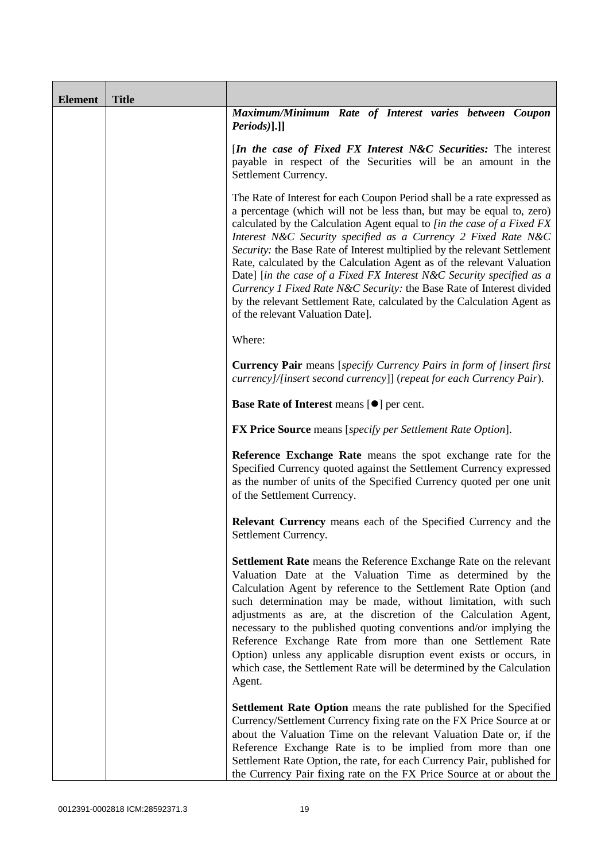| <b>Element</b> | <b>Title</b> |                                                                                                                                                                                                                                                                                                                                                                                                                                                                                                                                                                                                                                                                                                                        |
|----------------|--------------|------------------------------------------------------------------------------------------------------------------------------------------------------------------------------------------------------------------------------------------------------------------------------------------------------------------------------------------------------------------------------------------------------------------------------------------------------------------------------------------------------------------------------------------------------------------------------------------------------------------------------------------------------------------------------------------------------------------------|
|                |              | Maximum/Minimum Rate of Interest varies between Coupon<br>$Periods$ ].]]                                                                                                                                                                                                                                                                                                                                                                                                                                                                                                                                                                                                                                               |
|                |              | [In the case of Fixed FX Interest $N&C$ Securities: The interest<br>payable in respect of the Securities will be an amount in the<br>Settlement Currency.                                                                                                                                                                                                                                                                                                                                                                                                                                                                                                                                                              |
|                |              | The Rate of Interest for each Coupon Period shall be a rate expressed as<br>a percentage (which will not be less than, but may be equal to, zero)<br>calculated by the Calculation Agent equal to [in the case of a Fixed FX<br>Interest N&C Security specified as a Currency 2 Fixed Rate N&C<br>Security: the Base Rate of Interest multiplied by the relevant Settlement<br>Rate, calculated by the Calculation Agent as of the relevant Valuation<br>Date] [in the case of a Fixed FX Interest N&C Security specified as a<br>Currency 1 Fixed Rate N&C Security: the Base Rate of Interest divided<br>by the relevant Settlement Rate, calculated by the Calculation Agent as<br>of the relevant Valuation Date]. |
|                |              | Where:                                                                                                                                                                                                                                                                                                                                                                                                                                                                                                                                                                                                                                                                                                                 |
|                |              | <b>Currency Pair</b> means [specify Currency Pairs in form of [insert first]<br>currency]/[insert second currency]] (repeat for each Currency Pair).                                                                                                                                                                                                                                                                                                                                                                                                                                                                                                                                                                   |
|                |              | <b>Base Rate of Interest means [<math>\bullet</math>] per cent.</b>                                                                                                                                                                                                                                                                                                                                                                                                                                                                                                                                                                                                                                                    |
|                |              | <b>FX Price Source</b> means [specify per Settlement Rate Option].                                                                                                                                                                                                                                                                                                                                                                                                                                                                                                                                                                                                                                                     |
|                |              | Reference Exchange Rate means the spot exchange rate for the<br>Specified Currency quoted against the Settlement Currency expressed<br>as the number of units of the Specified Currency quoted per one unit<br>of the Settlement Currency.                                                                                                                                                                                                                                                                                                                                                                                                                                                                             |
|                |              | <b>Relevant Currency</b> means each of the Specified Currency and the<br>Settlement Currency.                                                                                                                                                                                                                                                                                                                                                                                                                                                                                                                                                                                                                          |
|                |              | Settlement Rate means the Reference Exchange Rate on the relevant<br>Valuation Date at the Valuation Time as determined by the<br>Calculation Agent by reference to the Settlement Rate Option (and<br>such determination may be made, without limitation, with such<br>adjustments as are, at the discretion of the Calculation Agent,<br>necessary to the published quoting conventions and/or implying the<br>Reference Exchange Rate from more than one Settlement Rate<br>Option) unless any applicable disruption event exists or occurs, in<br>which case, the Settlement Rate will be determined by the Calculation<br>Agent.                                                                                  |
|                |              | <b>Settlement Rate Option</b> means the rate published for the Specified<br>Currency/Settlement Currency fixing rate on the FX Price Source at or<br>about the Valuation Time on the relevant Valuation Date or, if the<br>Reference Exchange Rate is to be implied from more than one<br>Settlement Rate Option, the rate, for each Currency Pair, published for<br>the Currency Pair fixing rate on the FX Price Source at or about the                                                                                                                                                                                                                                                                              |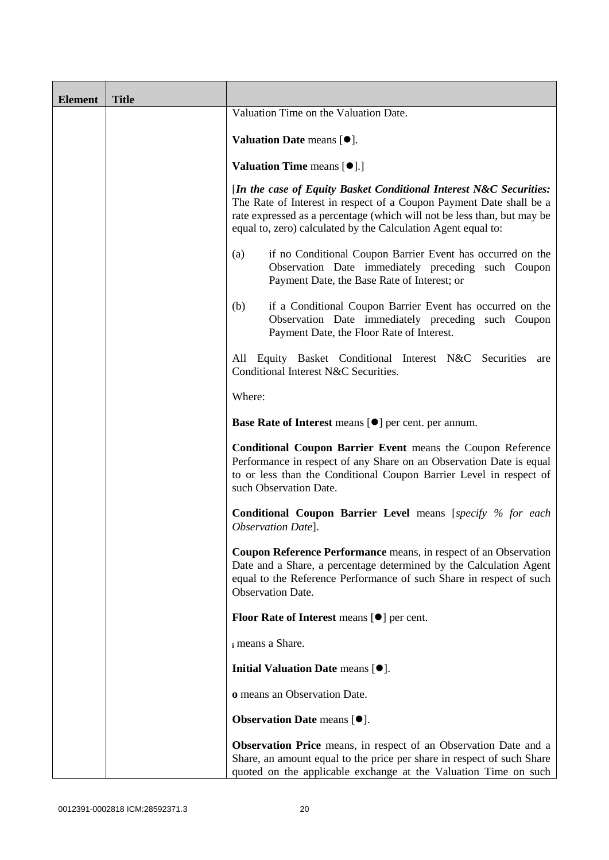| <b>Element</b> | <b>Title</b> |                                                                                                                                                                                                                                                                                       |
|----------------|--------------|---------------------------------------------------------------------------------------------------------------------------------------------------------------------------------------------------------------------------------------------------------------------------------------|
|                |              | Valuation Time on the Valuation Date.                                                                                                                                                                                                                                                 |
|                |              | Valuation Date means $[\bullet].$                                                                                                                                                                                                                                                     |
|                |              | Valuation Time means [ $\bullet$ ].]                                                                                                                                                                                                                                                  |
|                |              | [In the case of Equity Basket Conditional Interest N&C Securities:<br>The Rate of Interest in respect of a Coupon Payment Date shall be a<br>rate expressed as a percentage (which will not be less than, but may be<br>equal to, zero) calculated by the Calculation Agent equal to: |
|                |              | if no Conditional Coupon Barrier Event has occurred on the<br>(a)<br>Observation Date immediately preceding such Coupon<br>Payment Date, the Base Rate of Interest; or                                                                                                                |
|                |              | if a Conditional Coupon Barrier Event has occurred on the<br>(b)<br>Observation Date immediately preceding such Coupon<br>Payment Date, the Floor Rate of Interest.                                                                                                                   |
|                |              | All Equity Basket Conditional Interest N&C Securities<br>are<br>Conditional Interest N&C Securities.                                                                                                                                                                                  |
|                |              | Where:                                                                                                                                                                                                                                                                                |
|                |              | <b>Base Rate of Interest means [<math>\bullet</math>] per cent. per annum.</b>                                                                                                                                                                                                        |
|                |              | <b>Conditional Coupon Barrier Event means the Coupon Reference</b><br>Performance in respect of any Share on an Observation Date is equal<br>to or less than the Conditional Coupon Barrier Level in respect of<br>such Observation Date.                                             |
|                |              | <b>Conditional Coupon Barrier Level</b> means [specify % for each<br>Observation Date].                                                                                                                                                                                               |
|                |              | <b>Coupon Reference Performance</b> means, in respect of an Observation<br>Date and a Share, a percentage determined by the Calculation Agent<br>equal to the Reference Performance of such Share in respect of such<br><b>Observation Date.</b>                                      |
|                |              | <b>Floor Rate of Interest means <math>[•]</math> per cent.</b>                                                                                                                                                                                                                        |
|                |              | i means a Share.                                                                                                                                                                                                                                                                      |
|                |              | Initial Valuation Date means [ $\bullet$ ].                                                                                                                                                                                                                                           |
|                |              | o means an Observation Date.                                                                                                                                                                                                                                                          |
|                |              | <b>Observation Date</b> means $[•]$ .                                                                                                                                                                                                                                                 |
|                |              | <b>Observation Price</b> means, in respect of an Observation Date and a<br>Share, an amount equal to the price per share in respect of such Share<br>quoted on the applicable exchange at the Valuation Time on such                                                                  |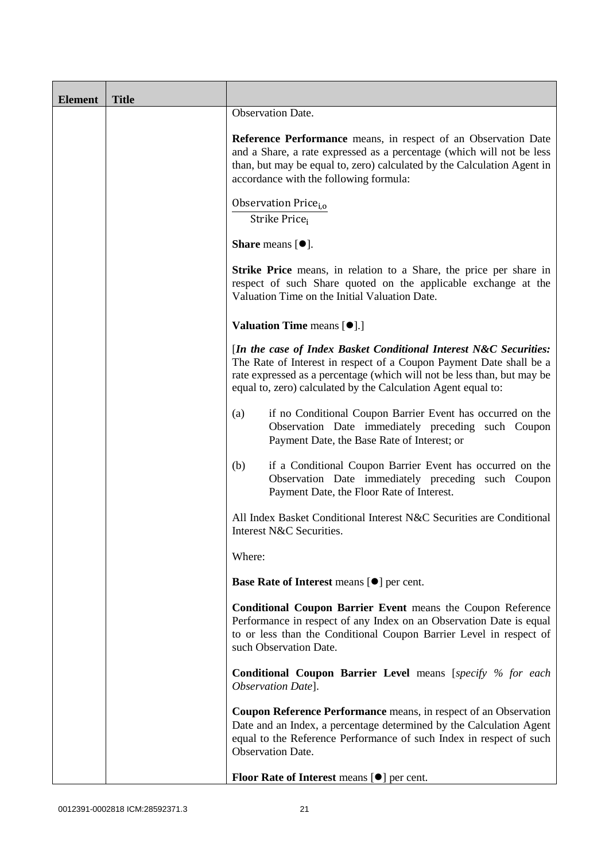| <b>Element</b> | <b>Title</b> |                                                                                                                                                                                                                                                                                      |
|----------------|--------------|--------------------------------------------------------------------------------------------------------------------------------------------------------------------------------------------------------------------------------------------------------------------------------------|
|                |              | Observation Date.                                                                                                                                                                                                                                                                    |
|                |              | Reference Performance means, in respect of an Observation Date<br>and a Share, a rate expressed as a percentage (which will not be less<br>than, but may be equal to, zero) calculated by the Calculation Agent in<br>accordance with the following formula:                         |
|                |              | Observation Price <sub>i.o</sub><br>Strike Price <sub>i</sub>                                                                                                                                                                                                                        |
|                |              | <b>Share</b> means $[•]$ .                                                                                                                                                                                                                                                           |
|                |              | <b>Strike Price</b> means, in relation to a Share, the price per share in<br>respect of such Share quoted on the applicable exchange at the<br>Valuation Time on the Initial Valuation Date.                                                                                         |
|                |              | <b>Valuation Time means [O].]</b>                                                                                                                                                                                                                                                    |
|                |              | [In the case of Index Basket Conditional Interest N&C Securities:<br>The Rate of Interest in respect of a Coupon Payment Date shall be a<br>rate expressed as a percentage (which will not be less than, but may be<br>equal to, zero) calculated by the Calculation Agent equal to: |
|                |              | if no Conditional Coupon Barrier Event has occurred on the<br>(a)<br>Observation Date immediately preceding such Coupon<br>Payment Date, the Base Rate of Interest; or                                                                                                               |
|                |              | if a Conditional Coupon Barrier Event has occurred on the<br>(b)<br>Observation Date immediately preceding such Coupon<br>Payment Date, the Floor Rate of Interest.                                                                                                                  |
|                |              | All Index Basket Conditional Interest N&C Securities are Conditional<br>Interest N&C Securities.                                                                                                                                                                                     |
|                |              | Where:                                                                                                                                                                                                                                                                               |
|                |              | <b>Base Rate of Interest means [<math>\bullet</math>] per cent.</b>                                                                                                                                                                                                                  |
|                |              | Conditional Coupon Barrier Event means the Coupon Reference<br>Performance in respect of any Index on an Observation Date is equal<br>to or less than the Conditional Coupon Barrier Level in respect of<br>such Observation Date.                                                   |
|                |              | <b>Conditional Coupon Barrier Level</b> means [specify % for each<br>Observation Date].                                                                                                                                                                                              |
|                |              | Coupon Reference Performance means, in respect of an Observation<br>Date and an Index, a percentage determined by the Calculation Agent<br>equal to the Reference Performance of such Index in respect of such<br><b>Observation Date.</b>                                           |
|                |              | Floor Rate of Interest means [ $\bullet$ ] per cent.                                                                                                                                                                                                                                 |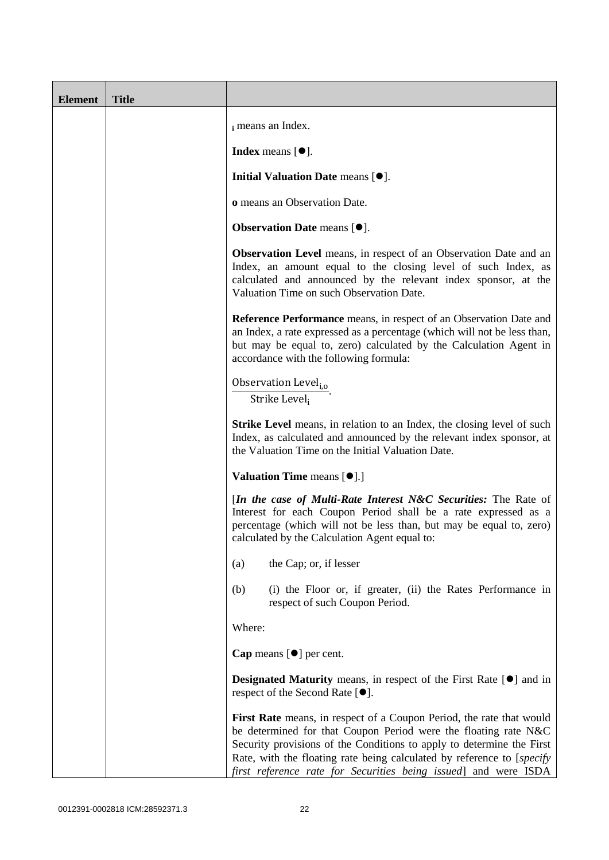| <b>Element</b> | <b>Title</b> |                                                                                                                                                                                                                                                                                                                                                               |
|----------------|--------------|---------------------------------------------------------------------------------------------------------------------------------------------------------------------------------------------------------------------------------------------------------------------------------------------------------------------------------------------------------------|
|                |              | i means an Index.                                                                                                                                                                                                                                                                                                                                             |
|                |              | <b>Index</b> means $[\bullet]$ .                                                                                                                                                                                                                                                                                                                              |
|                |              | Initial Valuation Date means $[•]$ .                                                                                                                                                                                                                                                                                                                          |
|                |              | o means an Observation Date.                                                                                                                                                                                                                                                                                                                                  |
|                |              | <b>Observation Date means <math>[•]</math>.</b>                                                                                                                                                                                                                                                                                                               |
|                |              | Observation Level means, in respect of an Observation Date and an<br>Index, an amount equal to the closing level of such Index, as<br>calculated and announced by the relevant index sponsor, at the<br>Valuation Time on such Observation Date.                                                                                                              |
|                |              | Reference Performance means, in respect of an Observation Date and<br>an Index, a rate expressed as a percentage (which will not be less than,<br>but may be equal to, zero) calculated by the Calculation Agent in<br>accordance with the following formula:                                                                                                 |
|                |              | Observation Level <sub>i,o</sub><br>Strike Level <sub>i</sub>                                                                                                                                                                                                                                                                                                 |
|                |              | <b>Strike Level</b> means, in relation to an Index, the closing level of such<br>Index, as calculated and announced by the relevant index sponsor, at<br>the Valuation Time on the Initial Valuation Date.                                                                                                                                                    |
|                |              | <b>Valuation Time means [<math>\bullet</math>].]</b>                                                                                                                                                                                                                                                                                                          |
|                |              | [In the case of Multi-Rate Interest N&C Securities: The Rate of<br>Interest for each Coupon Period shall be a rate expressed as a<br>percentage (which will not be less than, but may be equal to, zero)<br>calculated by the Calculation Agent equal to:                                                                                                     |
|                |              | the Cap; or, if lesser<br>(a)                                                                                                                                                                                                                                                                                                                                 |
|                |              | (b)<br>(i) the Floor or, if greater, (ii) the Rates Performance in<br>respect of such Coupon Period.                                                                                                                                                                                                                                                          |
|                |              | Where:                                                                                                                                                                                                                                                                                                                                                        |
|                |              | <b>Cap</b> means $[\bullet]$ per cent.                                                                                                                                                                                                                                                                                                                        |
|                |              | <b>Designated Maturity</b> means, in respect of the First Rate $[\bullet]$ and in<br>respect of the Second Rate $[•]$ .                                                                                                                                                                                                                                       |
|                |              | First Rate means, in respect of a Coupon Period, the rate that would<br>be determined for that Coupon Period were the floating rate N&C<br>Security provisions of the Conditions to apply to determine the First<br>Rate, with the floating rate being calculated by reference to [specify<br>first reference rate for Securities being issued] and were ISDA |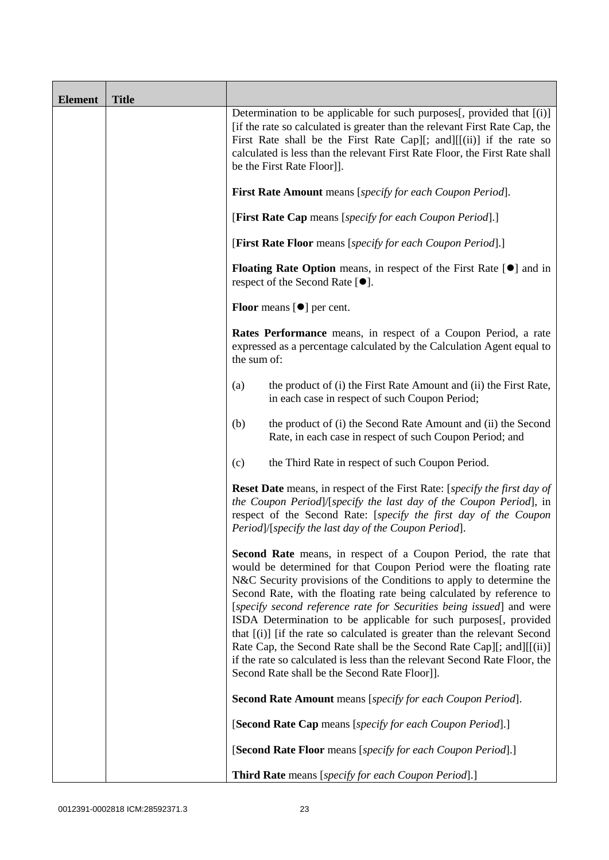| <b>Element</b> | <b>Title</b> |                                                                                                                                                                                                                                                                                                                                                                                                                                                                                                                                                                                                                                                                                                                             |
|----------------|--------------|-----------------------------------------------------------------------------------------------------------------------------------------------------------------------------------------------------------------------------------------------------------------------------------------------------------------------------------------------------------------------------------------------------------------------------------------------------------------------------------------------------------------------------------------------------------------------------------------------------------------------------------------------------------------------------------------------------------------------------|
|                |              | Determination to be applicable for such purposes[, provided that [(i)]<br>[if the rate so calculated is greater than the relevant First Rate Cap, the<br>First Rate shall be the First Rate Cap][; and][[(ii)] if the rate so<br>calculated is less than the relevant First Rate Floor, the First Rate shall<br>be the First Rate Floor]].                                                                                                                                                                                                                                                                                                                                                                                  |
|                |              | <b>First Rate Amount</b> means [specify for each Coupon Period].                                                                                                                                                                                                                                                                                                                                                                                                                                                                                                                                                                                                                                                            |
|                |              | [First Rate Cap means [specify for each Coupon Period].]                                                                                                                                                                                                                                                                                                                                                                                                                                                                                                                                                                                                                                                                    |
|                |              | [First Rate Floor means [specify for each Coupon Period].]                                                                                                                                                                                                                                                                                                                                                                                                                                                                                                                                                                                                                                                                  |
|                |              | <b>Floating Rate Option</b> means, in respect of the First Rate $[\bullet]$ and in<br>respect of the Second Rate [ <sup>●</sup> ].                                                                                                                                                                                                                                                                                                                                                                                                                                                                                                                                                                                          |
|                |              | <b>Floor</b> means $[\bullet]$ per cent.                                                                                                                                                                                                                                                                                                                                                                                                                                                                                                                                                                                                                                                                                    |
|                |              | Rates Performance means, in respect of a Coupon Period, a rate<br>expressed as a percentage calculated by the Calculation Agent equal to<br>the sum of:                                                                                                                                                                                                                                                                                                                                                                                                                                                                                                                                                                     |
|                |              | the product of (i) the First Rate Amount and (ii) the First Rate,<br>(a)<br>in each case in respect of such Coupon Period;                                                                                                                                                                                                                                                                                                                                                                                                                                                                                                                                                                                                  |
|                |              | the product of (i) the Second Rate Amount and (ii) the Second<br>(b)<br>Rate, in each case in respect of such Coupon Period; and                                                                                                                                                                                                                                                                                                                                                                                                                                                                                                                                                                                            |
|                |              | the Third Rate in respect of such Coupon Period.<br>(c)                                                                                                                                                                                                                                                                                                                                                                                                                                                                                                                                                                                                                                                                     |
|                |              | <b>Reset Date</b> means, in respect of the First Rate: [specify the first day of<br>the Coupon Period]/[specify the last day of the Coupon Period], in<br>respect of the Second Rate: [specify the first day of the Coupon<br>Period]/[specify the last day of the Coupon Period].                                                                                                                                                                                                                                                                                                                                                                                                                                          |
|                |              | <b>Second Rate</b> means, in respect of a Coupon Period, the rate that<br>would be determined for that Coupon Period were the floating rate<br>N&C Security provisions of the Conditions to apply to determine the<br>Second Rate, with the floating rate being calculated by reference to<br>[specify second reference rate for Securities being issued] and were<br>ISDA Determination to be applicable for such purposes[, provided<br>that [(i)] [if the rate so calculated is greater than the relevant Second<br>Rate Cap, the Second Rate shall be the Second Rate Cap][; and][[(ii)]<br>if the rate so calculated is less than the relevant Second Rate Floor, the<br>Second Rate shall be the Second Rate Floor]]. |
|                |              | <b>Second Rate Amount</b> means [specify for each Coupon Period].                                                                                                                                                                                                                                                                                                                                                                                                                                                                                                                                                                                                                                                           |
|                |              | [Second Rate Cap means [specify for each Coupon Period].]                                                                                                                                                                                                                                                                                                                                                                                                                                                                                                                                                                                                                                                                   |
|                |              | [Second Rate Floor means [specify for each Coupon Period].]                                                                                                                                                                                                                                                                                                                                                                                                                                                                                                                                                                                                                                                                 |
|                |              | <b>Third Rate</b> means [specify for each Coupon Period].]                                                                                                                                                                                                                                                                                                                                                                                                                                                                                                                                                                                                                                                                  |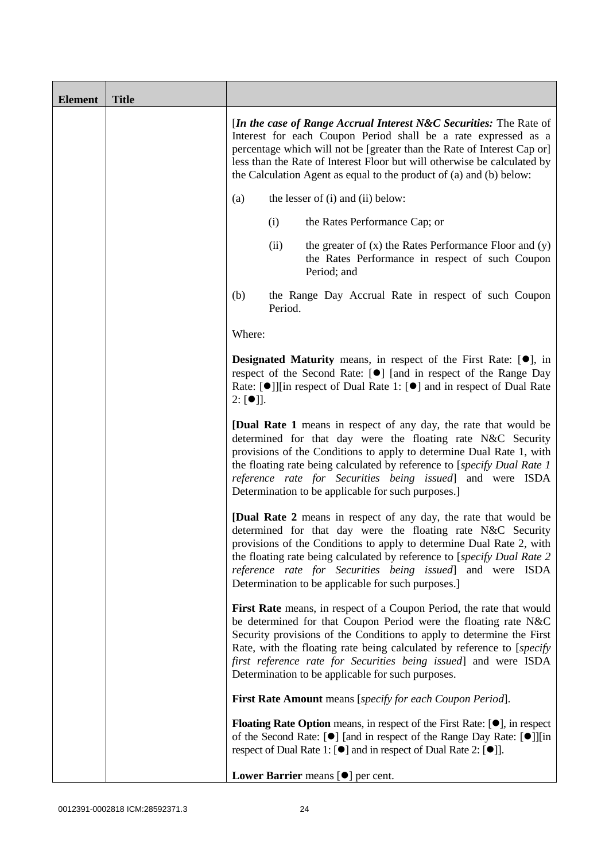| <b>Element</b> | <b>Title</b> |                                                                                                                                                                                                                                                                                                                                                                                                                    |
|----------------|--------------|--------------------------------------------------------------------------------------------------------------------------------------------------------------------------------------------------------------------------------------------------------------------------------------------------------------------------------------------------------------------------------------------------------------------|
|                |              | [In the case of Range Accrual Interest N&C Securities: The Rate of<br>Interest for each Coupon Period shall be a rate expressed as a<br>percentage which will not be [greater than the Rate of Interest Cap or]<br>less than the Rate of Interest Floor but will otherwise be calculated by<br>the Calculation Agent as equal to the product of (a) and (b) below:                                                 |
|                |              | (a)<br>the lesser of (i) and (ii) below:                                                                                                                                                                                                                                                                                                                                                                           |
|                |              | (i)<br>the Rates Performance Cap; or                                                                                                                                                                                                                                                                                                                                                                               |
|                |              | the greater of $(x)$ the Rates Performance Floor and $(y)$<br>(ii)<br>the Rates Performance in respect of such Coupon<br>Period; and                                                                                                                                                                                                                                                                               |
|                |              | (b)<br>the Range Day Accrual Rate in respect of such Coupon<br>Period.                                                                                                                                                                                                                                                                                                                                             |
|                |              | Where:                                                                                                                                                                                                                                                                                                                                                                                                             |
|                |              | <b>Designated Maturity</b> means, in respect of the First Rate: $[•]$ , in<br>respect of the Second Rate: [●] [and in respect of the Range Day<br>Rate: [●]][in respect of Dual Rate 1: [●] and in respect of Dual Rate<br>$2: [\bullet]$ ].                                                                                                                                                                       |
|                |              | [Dual Rate 1 means in respect of any day, the rate that would be<br>determined for that day were the floating rate N&C Security<br>provisions of the Conditions to apply to determine Dual Rate 1, with<br>the floating rate being calculated by reference to [specify Dual Rate 1]<br>reference rate for Securities being issued] and were ISDA<br>Determination to be applicable for such purposes.]             |
|                |              | <b>[Dual Rate 2</b> means in respect of any day, the rate that would be<br>determined for that day were the floating rate N&C Security<br>provisions of the Conditions to apply to determine Dual Rate 2, with<br>the floating rate being calculated by reference to [specify Dual Rate 2<br>reference rate for Securities being issued] and were ISDA<br>Determination to be applicable for such purposes.]       |
|                |              | First Rate means, in respect of a Coupon Period, the rate that would<br>be determined for that Coupon Period were the floating rate N&C<br>Security provisions of the Conditions to apply to determine the First<br>Rate, with the floating rate being calculated by reference to [specify<br>first reference rate for Securities being issued] and were ISDA<br>Determination to be applicable for such purposes. |
|                |              | <b>First Rate Amount</b> means [specify for each Coupon Period].                                                                                                                                                                                                                                                                                                                                                   |
|                |              | <b>Floating Rate Option</b> means, in respect of the First Rate: $[•]$ , in respect<br>of the Second Rate: [ $\bullet$ ] [and in respect of the Range Day Rate: [ $\bullet$ ]][in<br>respect of Dual Rate 1: [ <sup>●</sup> ] and in respect of Dual Rate 2: [ <sup>●</sup> ]].                                                                                                                                    |
|                |              | Lower Barrier means $[\bullet]$ per cent.                                                                                                                                                                                                                                                                                                                                                                          |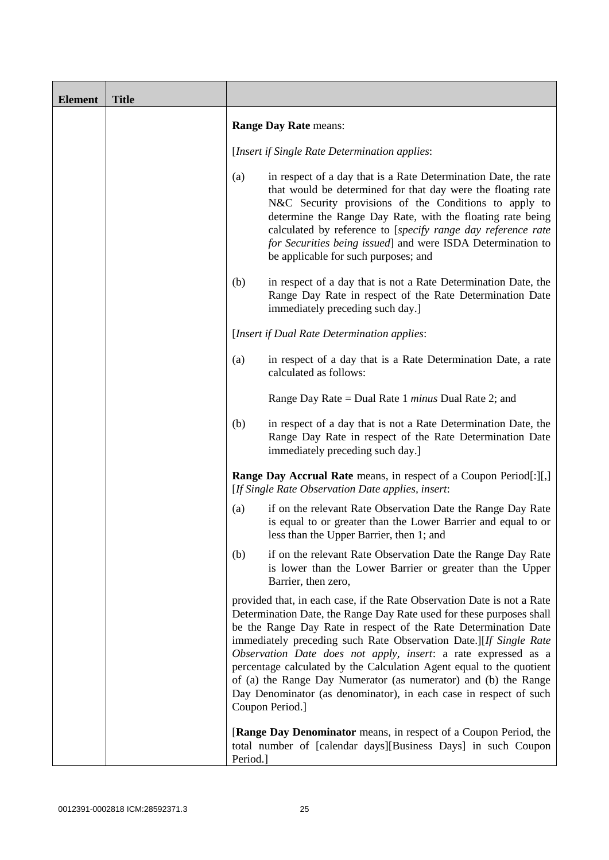| <b>Element</b> | <b>Title</b> |          |                                                                                                                                                                                                                                                                                                                                                                                                                                                                                                                                                                                              |
|----------------|--------------|----------|----------------------------------------------------------------------------------------------------------------------------------------------------------------------------------------------------------------------------------------------------------------------------------------------------------------------------------------------------------------------------------------------------------------------------------------------------------------------------------------------------------------------------------------------------------------------------------------------|
|                |              |          | <b>Range Day Rate means:</b>                                                                                                                                                                                                                                                                                                                                                                                                                                                                                                                                                                 |
|                |              |          | [Insert if Single Rate Determination applies:                                                                                                                                                                                                                                                                                                                                                                                                                                                                                                                                                |
|                |              | (a)      | in respect of a day that is a Rate Determination Date, the rate<br>that would be determined for that day were the floating rate<br>N&C Security provisions of the Conditions to apply to<br>determine the Range Day Rate, with the floating rate being<br>calculated by reference to [specify range day reference rate<br>for Securities being issued] and were ISDA Determination to<br>be applicable for such purposes; and                                                                                                                                                                |
|                |              | (b)      | in respect of a day that is not a Rate Determination Date, the<br>Range Day Rate in respect of the Rate Determination Date<br>immediately preceding such day.]                                                                                                                                                                                                                                                                                                                                                                                                                               |
|                |              |          | [Insert if Dual Rate Determination applies:                                                                                                                                                                                                                                                                                                                                                                                                                                                                                                                                                  |
|                |              | (a)      | in respect of a day that is a Rate Determination Date, a rate<br>calculated as follows:                                                                                                                                                                                                                                                                                                                                                                                                                                                                                                      |
|                |              |          | Range Day Rate = Dual Rate 1 <i>minus</i> Dual Rate 2; and                                                                                                                                                                                                                                                                                                                                                                                                                                                                                                                                   |
|                |              | (b)      | in respect of a day that is not a Rate Determination Date, the<br>Range Day Rate in respect of the Rate Determination Date<br>immediately preceding such day.]                                                                                                                                                                                                                                                                                                                                                                                                                               |
|                |              |          | <b>Range Day Accrual Rate</b> means, in respect of a Coupon Period[:][,]<br>[If Single Rate Observation Date applies, insert:                                                                                                                                                                                                                                                                                                                                                                                                                                                                |
|                |              | (a)      | if on the relevant Rate Observation Date the Range Day Rate<br>is equal to or greater than the Lower Barrier and equal to or<br>less than the Upper Barrier, then 1; and                                                                                                                                                                                                                                                                                                                                                                                                                     |
|                |              | (b)      | if on the relevant Rate Observation Date the Range Day Rate<br>is lower than the Lower Barrier or greater than the Upper<br>Barrier, then zero,                                                                                                                                                                                                                                                                                                                                                                                                                                              |
|                |              |          | provided that, in each case, if the Rate Observation Date is not a Rate<br>Determination Date, the Range Day Rate used for these purposes shall<br>be the Range Day Rate in respect of the Rate Determination Date<br>immediately preceding such Rate Observation Date.][If Single Rate<br>Observation Date does not apply, insert: a rate expressed as a<br>percentage calculated by the Calculation Agent equal to the quotient<br>of (a) the Range Day Numerator (as numerator) and (b) the Range<br>Day Denominator (as denominator), in each case in respect of such<br>Coupon Period.] |
|                |              | Period.] | <b>[Range Day Denominator</b> means, in respect of a Coupon Period, the<br>total number of [calendar days][Business Days] in such Coupon                                                                                                                                                                                                                                                                                                                                                                                                                                                     |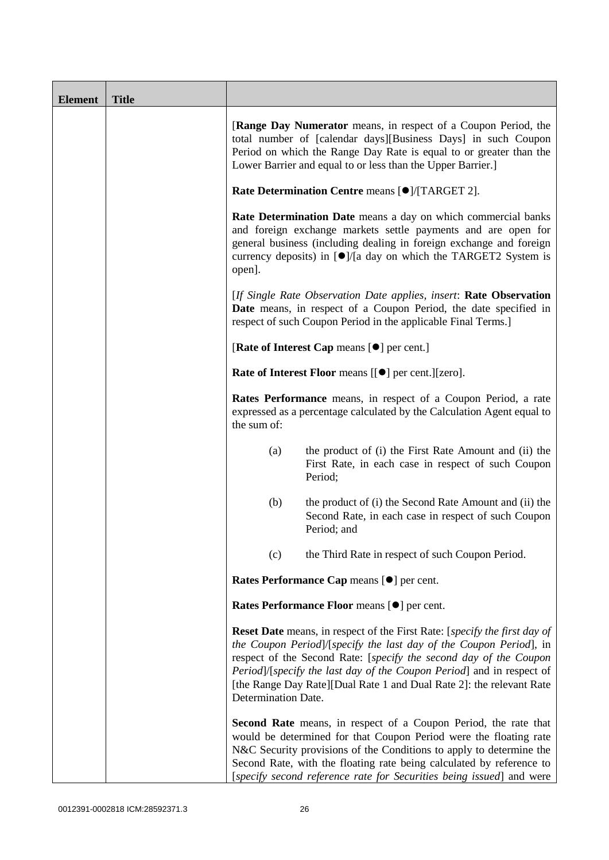| <b>Element</b> | <b>Title</b> |                                                                                                                                                                                                                                                                                                                                                                                                             |
|----------------|--------------|-------------------------------------------------------------------------------------------------------------------------------------------------------------------------------------------------------------------------------------------------------------------------------------------------------------------------------------------------------------------------------------------------------------|
|                |              | [Range Day Numerator means, in respect of a Coupon Period, the<br>total number of [calendar days][Business Days] in such Coupon<br>Period on which the Range Day Rate is equal to or greater than the<br>Lower Barrier and equal to or less than the Upper Barrier.]                                                                                                                                        |
|                |              | Rate Determination Centre means [ <sup>●</sup> ]/[TARGET 2].                                                                                                                                                                                                                                                                                                                                                |
|                |              | Rate Determination Date means a day on which commercial banks<br>and foreign exchange markets settle payments and are open for<br>general business (including dealing in foreign exchange and foreign<br>currency deposits) in $\lceil \bullet \rceil / \lceil a \rceil$ day on which the TARGET2 System is<br>open].                                                                                       |
|                |              | [If Single Rate Observation Date applies, insert: Rate Observation<br>Date means, in respect of a Coupon Period, the date specified in<br>respect of such Coupon Period in the applicable Final Terms.]                                                                                                                                                                                                     |
|                |              | [Rate of Interest Cap means [ $\bullet$ ] per cent.]                                                                                                                                                                                                                                                                                                                                                        |
|                |              | Rate of Interest Floor means [[ $\bullet$ ] per cent.][zero].                                                                                                                                                                                                                                                                                                                                               |
|                |              | Rates Performance means, in respect of a Coupon Period, a rate<br>expressed as a percentage calculated by the Calculation Agent equal to<br>the sum of:                                                                                                                                                                                                                                                     |
|                |              | the product of (i) the First Rate Amount and (ii) the<br>(a)<br>First Rate, in each case in respect of such Coupon<br>Period;                                                                                                                                                                                                                                                                               |
|                |              | (b)<br>the product of (i) the Second Rate Amount and (ii) the<br>Second Rate, in each case in respect of such Coupon<br>Period; and                                                                                                                                                                                                                                                                         |
|                |              | the Third Rate in respect of such Coupon Period.<br>(c)                                                                                                                                                                                                                                                                                                                                                     |
|                |              | Rates Performance Cap means [ $\bullet$ ] per cent.                                                                                                                                                                                                                                                                                                                                                         |
|                |              | Rates Performance Floor means [ $\bullet$ ] per cent.                                                                                                                                                                                                                                                                                                                                                       |
|                |              | <b>Reset Date</b> means, in respect of the First Rate: [ <i>specify the first day of</i><br>the Coupon Period]/[specify the last day of the Coupon Period], in<br>respect of the Second Rate: [specify the second day of the Coupon<br>Period]/[specify the last day of the Coupon Period] and in respect of<br>[the Range Day Rate][Dual Rate 1 and Dual Rate 2]: the relevant Rate<br>Determination Date. |
|                |              | <b>Second Rate</b> means, in respect of a Coupon Period, the rate that<br>would be determined for that Coupon Period were the floating rate<br>N&C Security provisions of the Conditions to apply to determine the<br>Second Rate, with the floating rate being calculated by reference to<br>[specify second reference rate for Securities being issued] and were                                          |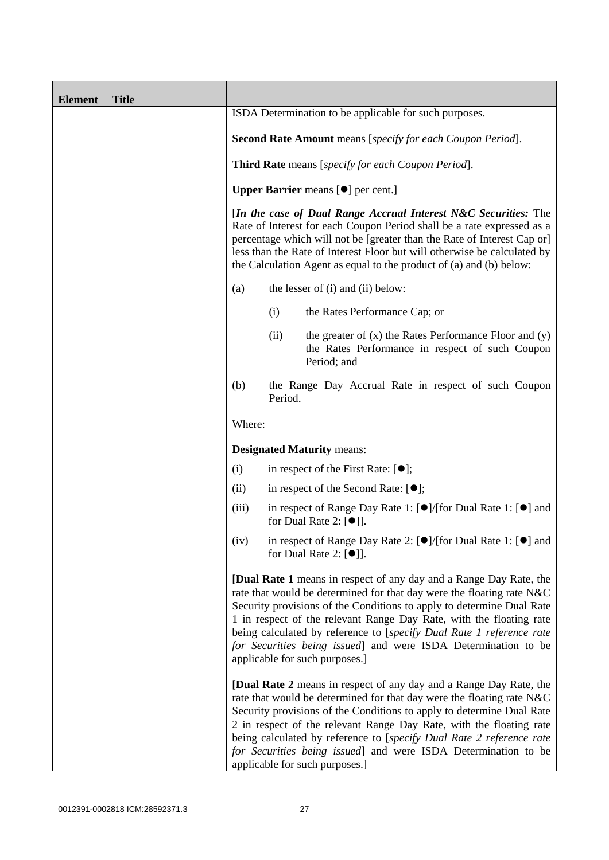| <b>Element</b> | <b>Title</b> |                                                           |                                                     |                                                                                                                                                                                                                                                                                                                                                                                                                                                                                |  |
|----------------|--------------|-----------------------------------------------------------|-----------------------------------------------------|--------------------------------------------------------------------------------------------------------------------------------------------------------------------------------------------------------------------------------------------------------------------------------------------------------------------------------------------------------------------------------------------------------------------------------------------------------------------------------|--|
|                |              |                                                           |                                                     | ISDA Determination to be applicable for such purposes.                                                                                                                                                                                                                                                                                                                                                                                                                         |  |
|                |              |                                                           |                                                     | <b>Second Rate Amount</b> means [specify for each Coupon Period].                                                                                                                                                                                                                                                                                                                                                                                                              |  |
|                |              | <b>Third Rate</b> means [specify for each Coupon Period]. |                                                     |                                                                                                                                                                                                                                                                                                                                                                                                                                                                                |  |
|                |              |                                                           | <b>Upper Barrier</b> means [ $\bullet$ ] per cent.] |                                                                                                                                                                                                                                                                                                                                                                                                                                                                                |  |
|                |              |                                                           |                                                     | [In the case of Dual Range Accrual Interest N&C Securities: The<br>Rate of Interest for each Coupon Period shall be a rate expressed as a<br>percentage which will not be [greater than the Rate of Interest Cap or]<br>less than the Rate of Interest Floor but will otherwise be calculated by<br>the Calculation Agent as equal to the product of (a) and (b) below:                                                                                                        |  |
|                |              | (a)                                                       |                                                     | the lesser of (i) and (ii) below:                                                                                                                                                                                                                                                                                                                                                                                                                                              |  |
|                |              |                                                           | (i)                                                 | the Rates Performance Cap; or                                                                                                                                                                                                                                                                                                                                                                                                                                                  |  |
|                |              |                                                           | (ii)                                                | the greater of $(x)$ the Rates Performance Floor and $(y)$<br>the Rates Performance in respect of such Coupon<br>Period; and                                                                                                                                                                                                                                                                                                                                                   |  |
|                |              | (b)                                                       | Period.                                             | the Range Day Accrual Rate in respect of such Coupon                                                                                                                                                                                                                                                                                                                                                                                                                           |  |
|                |              | Where:                                                    |                                                     |                                                                                                                                                                                                                                                                                                                                                                                                                                                                                |  |
|                |              |                                                           |                                                     | <b>Designated Maturity means:</b>                                                                                                                                                                                                                                                                                                                                                                                                                                              |  |
|                |              | (i)                                                       |                                                     | in respect of the First Rate: $[•]$ ;                                                                                                                                                                                                                                                                                                                                                                                                                                          |  |
|                |              | (ii)                                                      |                                                     | in respect of the Second Rate: $[•]$ ;                                                                                                                                                                                                                                                                                                                                                                                                                                         |  |
|                |              | (iii)                                                     |                                                     | in respect of Range Day Rate 1: [●]/[for Dual Rate 1: [●] and<br>for Dual Rate 2: $[①]$ .                                                                                                                                                                                                                                                                                                                                                                                      |  |
|                |              | (iv)                                                      |                                                     | in respect of Range Day Rate 2: [ <sup>●</sup> ]/[for Dual Rate 1: [ <sup>●</sup> ] and<br>for Dual Rate 2: $[\bullet]$ ].                                                                                                                                                                                                                                                                                                                                                     |  |
|                |              |                                                           |                                                     | <b>[Dual Rate 1</b> means in respect of any day and a Range Day Rate, the<br>rate that would be determined for that day were the floating rate N&C<br>Security provisions of the Conditions to apply to determine Dual Rate<br>1 in respect of the relevant Range Day Rate, with the floating rate<br>being calculated by reference to [specify Dual Rate 1 reference rate<br>for Securities being issued] and were ISDA Determination to be<br>applicable for such purposes.] |  |
|                |              |                                                           |                                                     | <b>[Dual Rate 2</b> means in respect of any day and a Range Day Rate, the<br>rate that would be determined for that day were the floating rate N&C<br>Security provisions of the Conditions to apply to determine Dual Rate<br>2 in respect of the relevant Range Day Rate, with the floating rate<br>being calculated by reference to [specify Dual Rate 2 reference rate<br>for Securities being issued] and were ISDA Determination to be<br>applicable for such purposes.] |  |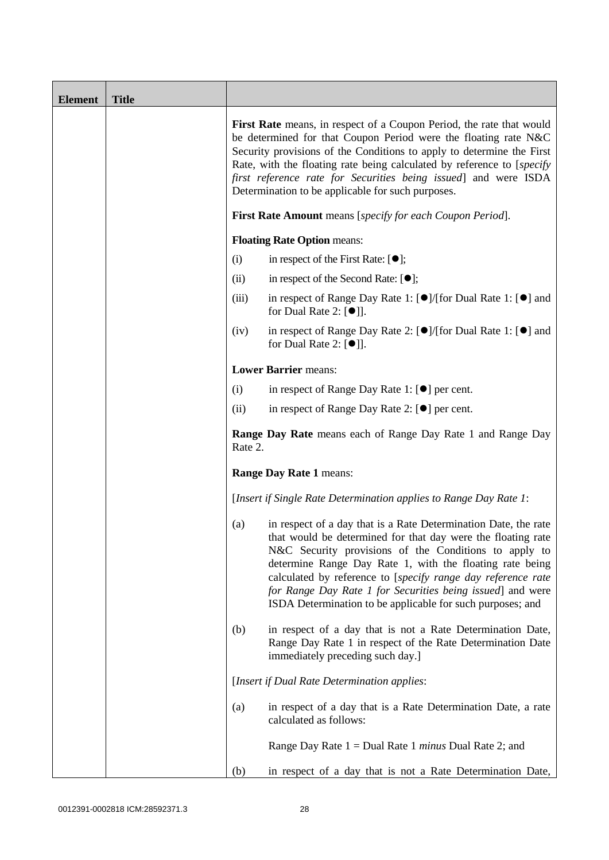| <b>Element</b> | <b>Title</b> |         |                                                                                                                                                                                                                                                                                                                                                                                                                                                  |  |  |
|----------------|--------------|---------|--------------------------------------------------------------------------------------------------------------------------------------------------------------------------------------------------------------------------------------------------------------------------------------------------------------------------------------------------------------------------------------------------------------------------------------------------|--|--|
|                |              |         | First Rate means, in respect of a Coupon Period, the rate that would<br>be determined for that Coupon Period were the floating rate N&C<br>Security provisions of the Conditions to apply to determine the First<br>Rate, with the floating rate being calculated by reference to [specify]<br>first reference rate for Securities being issued] and were ISDA<br>Determination to be applicable for such purposes.                              |  |  |
|                |              |         | <b>First Rate Amount</b> means [specify for each Coupon Period].                                                                                                                                                                                                                                                                                                                                                                                 |  |  |
|                |              |         | <b>Floating Rate Option means:</b>                                                                                                                                                                                                                                                                                                                                                                                                               |  |  |
|                |              | (i)     | in respect of the First Rate: $[•]$ ;                                                                                                                                                                                                                                                                                                                                                                                                            |  |  |
|                |              | (ii)    | in respect of the Second Rate: $[•]$ ;                                                                                                                                                                                                                                                                                                                                                                                                           |  |  |
|                |              | (iii)   | in respect of Range Day Rate 1: $\Theta$ /(for Dual Rate 1: $\Theta$ ) and<br>for Dual Rate 2: $[\bullet]$ ].                                                                                                                                                                                                                                                                                                                                    |  |  |
|                |              | (iv)    | in respect of Range Day Rate 2: $[\bullet] / [\text{for Dual Rate 1}: [\bullet]$ and<br>for Dual Rate 2: $[\bullet]$ ].                                                                                                                                                                                                                                                                                                                          |  |  |
|                |              |         | <b>Lower Barrier means:</b>                                                                                                                                                                                                                                                                                                                                                                                                                      |  |  |
|                |              | (i)     | in respect of Range Day Rate 1: $[\bullet]$ per cent.                                                                                                                                                                                                                                                                                                                                                                                            |  |  |
|                |              | (ii)    | in respect of Range Day Rate 2: $[\bullet]$ per cent.                                                                                                                                                                                                                                                                                                                                                                                            |  |  |
|                |              | Rate 2. | <b>Range Day Rate</b> means each of Range Day Rate 1 and Range Day                                                                                                                                                                                                                                                                                                                                                                               |  |  |
|                |              |         | <b>Range Day Rate 1 means:</b>                                                                                                                                                                                                                                                                                                                                                                                                                   |  |  |
|                |              |         | [Insert if Single Rate Determination applies to Range Day Rate 1:                                                                                                                                                                                                                                                                                                                                                                                |  |  |
|                |              | (a)     | in respect of a day that is a Rate Determination Date, the rate<br>that would be determined for that day were the floating rate<br>N&C Security provisions of the Conditions to apply to<br>determine Range Day Rate 1, with the floating rate being<br>calculated by reference to [specify range day reference rate<br>for Range Day Rate 1 for Securities being issued] and were<br>ISDA Determination to be applicable for such purposes; and |  |  |
|                |              | (b)     | in respect of a day that is not a Rate Determination Date,<br>Range Day Rate 1 in respect of the Rate Determination Date<br>immediately preceding such day.]                                                                                                                                                                                                                                                                                     |  |  |
|                |              |         | [Insert if Dual Rate Determination applies:                                                                                                                                                                                                                                                                                                                                                                                                      |  |  |
|                |              | (a)     | in respect of a day that is a Rate Determination Date, a rate<br>calculated as follows:                                                                                                                                                                                                                                                                                                                                                          |  |  |
|                |              |         | Range Day Rate $1 =$ Dual Rate 1 <i>minus</i> Dual Rate 2; and                                                                                                                                                                                                                                                                                                                                                                                   |  |  |
|                |              | (b)     | in respect of a day that is not a Rate Determination Date,                                                                                                                                                                                                                                                                                                                                                                                       |  |  |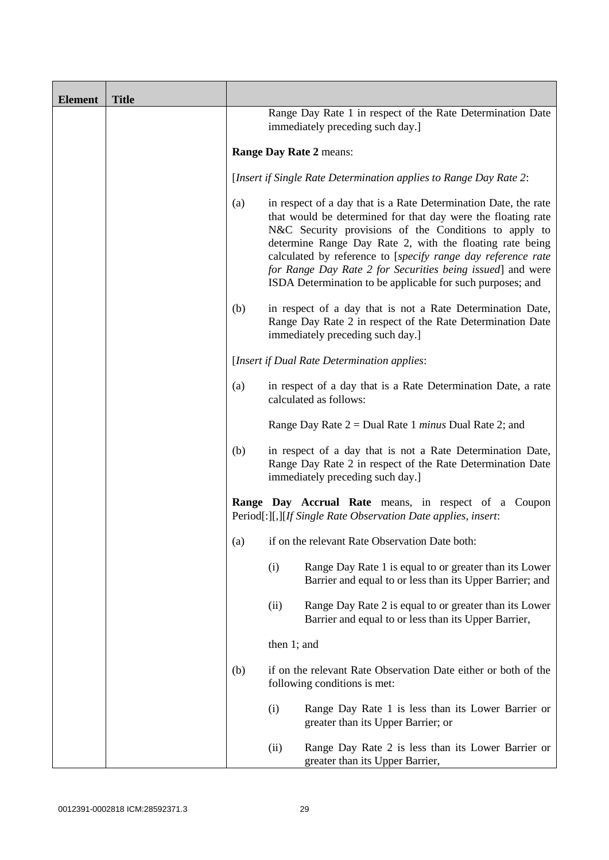| <b>Element</b> | <b>Title</b> |                                                                                                |                                                                                                                                                                                                                                                                                                                                                                                                                                                  |
|----------------|--------------|------------------------------------------------------------------------------------------------|--------------------------------------------------------------------------------------------------------------------------------------------------------------------------------------------------------------------------------------------------------------------------------------------------------------------------------------------------------------------------------------------------------------------------------------------------|
|                |              | Range Day Rate 1 in respect of the Rate Determination Date<br>immediately preceding such day.] |                                                                                                                                                                                                                                                                                                                                                                                                                                                  |
|                |              | Range Day Rate 2 means:                                                                        |                                                                                                                                                                                                                                                                                                                                                                                                                                                  |
|                |              |                                                                                                | [Insert if Single Rate Determination applies to Range Day Rate 2:                                                                                                                                                                                                                                                                                                                                                                                |
|                |              | (a)                                                                                            | in respect of a day that is a Rate Determination Date, the rate<br>that would be determined for that day were the floating rate<br>N&C Security provisions of the Conditions to apply to<br>determine Range Day Rate 2, with the floating rate being<br>calculated by reference to [specify range day reference rate<br>for Range Day Rate 2 for Securities being issued] and were<br>ISDA Determination to be applicable for such purposes; and |
|                |              | (b)                                                                                            | in respect of a day that is not a Rate Determination Date,<br>Range Day Rate 2 in respect of the Rate Determination Date<br>immediately preceding such day.]                                                                                                                                                                                                                                                                                     |
|                |              |                                                                                                | [Insert if Dual Rate Determination applies:                                                                                                                                                                                                                                                                                                                                                                                                      |
|                |              | (a)                                                                                            | in respect of a day that is a Rate Determination Date, a rate<br>calculated as follows:                                                                                                                                                                                                                                                                                                                                                          |
|                |              |                                                                                                | Range Day Rate $2 =$ Dual Rate 1 <i>minus</i> Dual Rate 2; and                                                                                                                                                                                                                                                                                                                                                                                   |
|                |              | (b)                                                                                            | in respect of a day that is not a Rate Determination Date,<br>Range Day Rate 2 in respect of the Rate Determination Date<br>immediately preceding such day.]                                                                                                                                                                                                                                                                                     |
|                |              |                                                                                                | Range Day Accrual Rate means, in respect of a Coupon<br>Period[:][,][If Single Rate Observation Date applies, insert:                                                                                                                                                                                                                                                                                                                            |
|                |              | (a)                                                                                            | if on the relevant Rate Observation Date both:                                                                                                                                                                                                                                                                                                                                                                                                   |
|                |              |                                                                                                | (i)<br>Range Day Rate 1 is equal to or greater than its Lower<br>Barrier and equal to or less than its Upper Barrier; and                                                                                                                                                                                                                                                                                                                        |
|                |              |                                                                                                | (ii)<br>Range Day Rate 2 is equal to or greater than its Lower<br>Barrier and equal to or less than its Upper Barrier,                                                                                                                                                                                                                                                                                                                           |
|                |              |                                                                                                | then 1; and                                                                                                                                                                                                                                                                                                                                                                                                                                      |
|                |              | (b)                                                                                            | if on the relevant Rate Observation Date either or both of the<br>following conditions is met:                                                                                                                                                                                                                                                                                                                                                   |
|                |              |                                                                                                | (i)<br>Range Day Rate 1 is less than its Lower Barrier or<br>greater than its Upper Barrier; or                                                                                                                                                                                                                                                                                                                                                  |
|                |              |                                                                                                | (ii)<br>Range Day Rate 2 is less than its Lower Barrier or<br>greater than its Upper Barrier,                                                                                                                                                                                                                                                                                                                                                    |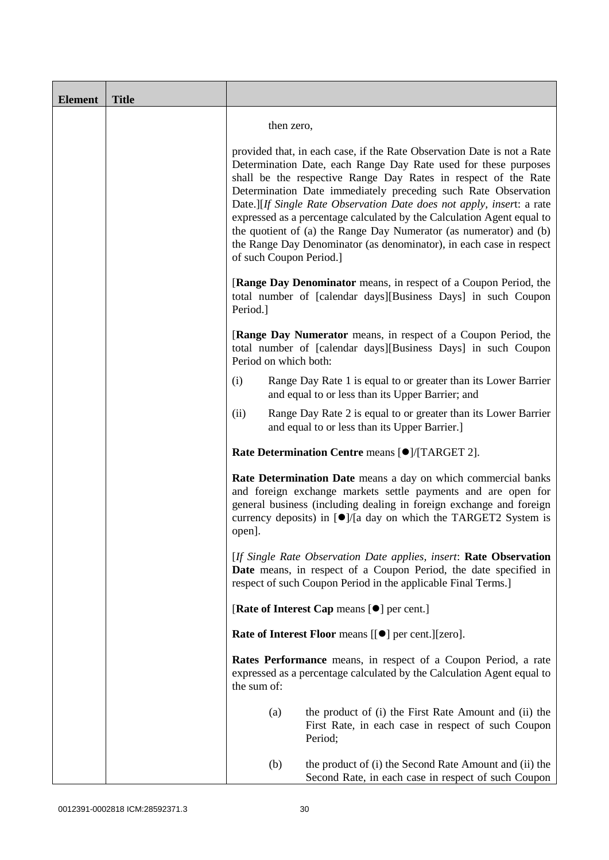| <b>Element</b> | <b>Title</b> |                                                                                                                                                                                                                                                                                                                                                                                                                                                                                                                                                                                                           |
|----------------|--------------|-----------------------------------------------------------------------------------------------------------------------------------------------------------------------------------------------------------------------------------------------------------------------------------------------------------------------------------------------------------------------------------------------------------------------------------------------------------------------------------------------------------------------------------------------------------------------------------------------------------|
|                |              | then zero,                                                                                                                                                                                                                                                                                                                                                                                                                                                                                                                                                                                                |
|                |              | provided that, in each case, if the Rate Observation Date is not a Rate<br>Determination Date, each Range Day Rate used for these purposes<br>shall be the respective Range Day Rates in respect of the Rate<br>Determination Date immediately preceding such Rate Observation<br>Date.][If Single Rate Observation Date does not apply, insert: a rate<br>expressed as a percentage calculated by the Calculation Agent equal to<br>the quotient of (a) the Range Day Numerator (as numerator) and (b)<br>the Range Day Denominator (as denominator), in each case in respect<br>of such Coupon Period.] |
|                |              | <b>[Range Day Denominator</b> means, in respect of a Coupon Period, the<br>total number of [calendar days][Business Days] in such Coupon<br>Period.]                                                                                                                                                                                                                                                                                                                                                                                                                                                      |
|                |              | [Range Day Numerator means, in respect of a Coupon Period, the<br>total number of [calendar days][Business Days] in such Coupon<br>Period on which both:                                                                                                                                                                                                                                                                                                                                                                                                                                                  |
|                |              | Range Day Rate 1 is equal to or greater than its Lower Barrier<br>(i)<br>and equal to or less than its Upper Barrier; and                                                                                                                                                                                                                                                                                                                                                                                                                                                                                 |
|                |              | (ii)<br>Range Day Rate 2 is equal to or greater than its Lower Barrier<br>and equal to or less than its Upper Barrier.]                                                                                                                                                                                                                                                                                                                                                                                                                                                                                   |
|                |              | Rate Determination Centre means [O]/[TARGET 2].                                                                                                                                                                                                                                                                                                                                                                                                                                                                                                                                                           |
|                |              | Rate Determination Date means a day on which commercial banks<br>and foreign exchange markets settle payments and are open for<br>general business (including dealing in foreign exchange and foreign<br>currency deposits) in $\left[ \bullet \right]$ /[a day on which the TARGET2 System is<br>open].                                                                                                                                                                                                                                                                                                  |
|                |              | [If Single Rate Observation Date applies, insert: Rate Observation<br>Date means, in respect of a Coupon Period, the date specified in<br>respect of such Coupon Period in the applicable Final Terms.]                                                                                                                                                                                                                                                                                                                                                                                                   |
|                |              | [Rate of Interest Cap means [ <sup>o</sup> ] per cent.]                                                                                                                                                                                                                                                                                                                                                                                                                                                                                                                                                   |
|                |              | <b>Rate of Interest Floor</b> means [[ $\bullet$ ] per cent.][zero].                                                                                                                                                                                                                                                                                                                                                                                                                                                                                                                                      |
|                |              | Rates Performance means, in respect of a Coupon Period, a rate<br>expressed as a percentage calculated by the Calculation Agent equal to<br>the sum of:                                                                                                                                                                                                                                                                                                                                                                                                                                                   |
|                |              | (a)<br>the product of (i) the First Rate Amount and (ii) the<br>First Rate, in each case in respect of such Coupon<br>Period;                                                                                                                                                                                                                                                                                                                                                                                                                                                                             |
|                |              | the product of (i) the Second Rate Amount and (ii) the<br>(b)<br>Second Rate, in each case in respect of such Coupon                                                                                                                                                                                                                                                                                                                                                                                                                                                                                      |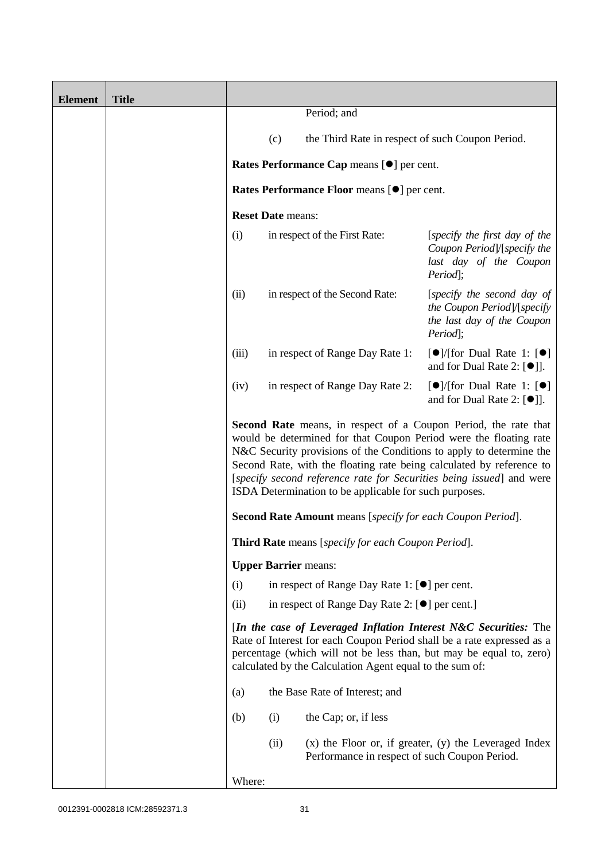| <b>Element</b> | <b>Title</b> |        |                             |                                                                   |                                                                                                                                                                                                                                                                                                                                                                    |
|----------------|--------------|--------|-----------------------------|-------------------------------------------------------------------|--------------------------------------------------------------------------------------------------------------------------------------------------------------------------------------------------------------------------------------------------------------------------------------------------------------------------------------------------------------------|
|                |              |        |                             | Period; and                                                       |                                                                                                                                                                                                                                                                                                                                                                    |
|                |              |        | (c)                         | the Third Rate in respect of such Coupon Period.                  |                                                                                                                                                                                                                                                                                                                                                                    |
|                |              |        |                             | Rates Performance Cap means [ $\bullet$ ] per cent.               |                                                                                                                                                                                                                                                                                                                                                                    |
|                |              |        |                             | Rates Performance Floor means [ $\bullet$ ] per cent.             |                                                                                                                                                                                                                                                                                                                                                                    |
|                |              |        | <b>Reset Date means:</b>    |                                                                   |                                                                                                                                                                                                                                                                                                                                                                    |
|                |              | (i)    |                             | in respect of the First Rate:                                     | [specify the first day of the<br>Coupon Period]/[specify the<br>last day of the Coupon<br>Period;                                                                                                                                                                                                                                                                  |
|                |              | (ii)   |                             | in respect of the Second Rate:                                    | [specify the second day of<br>the Coupon Period]/[specify<br>the last day of the Coupon<br>Period];                                                                                                                                                                                                                                                                |
|                |              | (iii)  |                             | in respect of Range Day Rate 1:                                   | $\Theta$ /[for Dual Rate 1: $\Theta$ ]<br>and for Dual Rate 2: $[①$ ].                                                                                                                                                                                                                                                                                             |
|                |              | (iv)   |                             | in respect of Range Day Rate 2:                                   | [ $\bullet$ ]/[for Dual Rate 1: [ $\bullet$ ]<br>and for Dual Rate 2: $[①$ ].                                                                                                                                                                                                                                                                                      |
|                |              |        |                             | ISDA Determination to be applicable for such purposes.            | <b>Second Rate</b> means, in respect of a Coupon Period, the rate that<br>would be determined for that Coupon Period were the floating rate<br>N&C Security provisions of the Conditions to apply to determine the<br>Second Rate, with the floating rate being calculated by reference to<br>[specify second reference rate for Securities being issued] and were |
|                |              |        |                             | <b>Second Rate Amount</b> means [specify for each Coupon Period]. |                                                                                                                                                                                                                                                                                                                                                                    |
|                |              |        |                             | Third Rate means [specify for each Coupon Period].                |                                                                                                                                                                                                                                                                                                                                                                    |
|                |              |        | <b>Upper Barrier means:</b> |                                                                   |                                                                                                                                                                                                                                                                                                                                                                    |
|                |              | (i)    |                             | in respect of Range Day Rate 1: [●] per cent.                     |                                                                                                                                                                                                                                                                                                                                                                    |
|                |              | (ii)   |                             | in respect of Range Day Rate 2: $[\bullet]$ per cent.]            |                                                                                                                                                                                                                                                                                                                                                                    |
|                |              |        |                             | calculated by the Calculation Agent equal to the sum of:          | [In the case of Leveraged Inflation Interest N&C Securities: The<br>Rate of Interest for each Coupon Period shall be a rate expressed as a<br>percentage (which will not be less than, but may be equal to, zero)                                                                                                                                                  |
|                |              | (a)    |                             | the Base Rate of Interest; and                                    |                                                                                                                                                                                                                                                                                                                                                                    |
|                |              | (b)    | (i)                         | the Cap; or, if less                                              |                                                                                                                                                                                                                                                                                                                                                                    |
|                |              |        | (ii)                        | Performance in respect of such Coupon Period.                     | $(x)$ the Floor or, if greater, $(y)$ the Leveraged Index                                                                                                                                                                                                                                                                                                          |
|                |              | Where: |                             |                                                                   |                                                                                                                                                                                                                                                                                                                                                                    |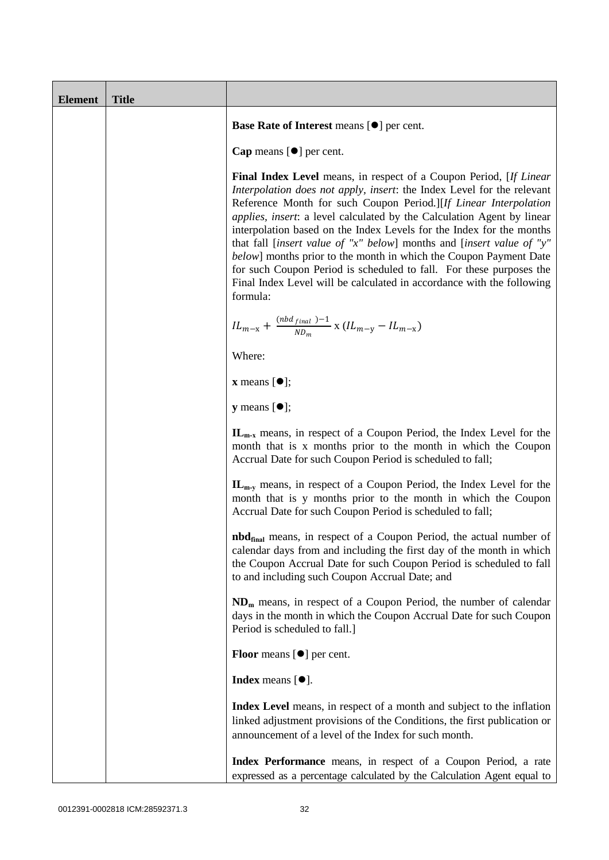| <b>Element</b> | <b>Title</b> |                                                                                                                                                                                                                                                                                                                                                                                                                                                                                                                                                                                                                                                                                             |
|----------------|--------------|---------------------------------------------------------------------------------------------------------------------------------------------------------------------------------------------------------------------------------------------------------------------------------------------------------------------------------------------------------------------------------------------------------------------------------------------------------------------------------------------------------------------------------------------------------------------------------------------------------------------------------------------------------------------------------------------|
|                |              | Base Rate of Interest means [ $\bullet$ ] per cent.                                                                                                                                                                                                                                                                                                                                                                                                                                                                                                                                                                                                                                         |
|                |              | Cap means $[\bullet]$ per cent.                                                                                                                                                                                                                                                                                                                                                                                                                                                                                                                                                                                                                                                             |
|                |              | <b>Final Index Level</b> means, in respect of a Coupon Period, [If Linear]<br>Interpolation does not apply, insert: the Index Level for the relevant<br>Reference Month for such Coupon Period.][If Linear Interpolation<br><i>applies, insert: a level calculated by the Calculation Agent by linear</i><br>interpolation based on the Index Levels for the Index for the months<br>that fall [insert value of "x" below] months and [insert value of "y"<br>below] months prior to the month in which the Coupon Payment Date<br>for such Coupon Period is scheduled to fall. For these purposes the<br>Final Index Level will be calculated in accordance with the following<br>formula: |
|                |              | $IL_{m-x} + \frac{(nbd_{final})-1}{ND_m} \times (IL_{m-y} - IL_{m-x})$                                                                                                                                                                                                                                                                                                                                                                                                                                                                                                                                                                                                                      |
|                |              | Where:                                                                                                                                                                                                                                                                                                                                                                                                                                                                                                                                                                                                                                                                                      |
|                |              | $\mathbf x$ means $[\bullet]$ ;                                                                                                                                                                                                                                                                                                                                                                                                                                                                                                                                                                                                                                                             |
|                |              | <b>y</b> means $[\bullet]$ ;                                                                                                                                                                                                                                                                                                                                                                                                                                                                                                                                                                                                                                                                |
|                |              | $\mathbf{IL}_{m-x}$ means, in respect of a Coupon Period, the Index Level for the<br>month that is x months prior to the month in which the Coupon<br>Accrual Date for such Coupon Period is scheduled to fall;                                                                                                                                                                                                                                                                                                                                                                                                                                                                             |
|                |              | $\mathbf{IL}_{m-v}$ means, in respect of a Coupon Period, the Index Level for the<br>month that is y months prior to the month in which the Coupon<br>Accrual Date for such Coupon Period is scheduled to fall;                                                                                                                                                                                                                                                                                                                                                                                                                                                                             |
|                |              | <b>nbd</b> <sub>final</sub> means, in respect of a Coupon Period, the actual number of<br>calendar days from and including the first day of the month in which<br>the Coupon Accrual Date for such Coupon Period is scheduled to fall<br>to and including such Coupon Accrual Date; and                                                                                                                                                                                                                                                                                                                                                                                                     |
|                |              | $NDm$ means, in respect of a Coupon Period, the number of calendar<br>days in the month in which the Coupon Accrual Date for such Coupon<br>Period is scheduled to fall.]                                                                                                                                                                                                                                                                                                                                                                                                                                                                                                                   |
|                |              | <b>Floor</b> means $[\bullet]$ per cent.                                                                                                                                                                                                                                                                                                                                                                                                                                                                                                                                                                                                                                                    |
|                |              | Index means $[•]$ .                                                                                                                                                                                                                                                                                                                                                                                                                                                                                                                                                                                                                                                                         |
|                |              | Index Level means, in respect of a month and subject to the inflation<br>linked adjustment provisions of the Conditions, the first publication or<br>announcement of a level of the Index for such month.                                                                                                                                                                                                                                                                                                                                                                                                                                                                                   |
|                |              | Index Performance means, in respect of a Coupon Period, a rate<br>expressed as a percentage calculated by the Calculation Agent equal to                                                                                                                                                                                                                                                                                                                                                                                                                                                                                                                                                    |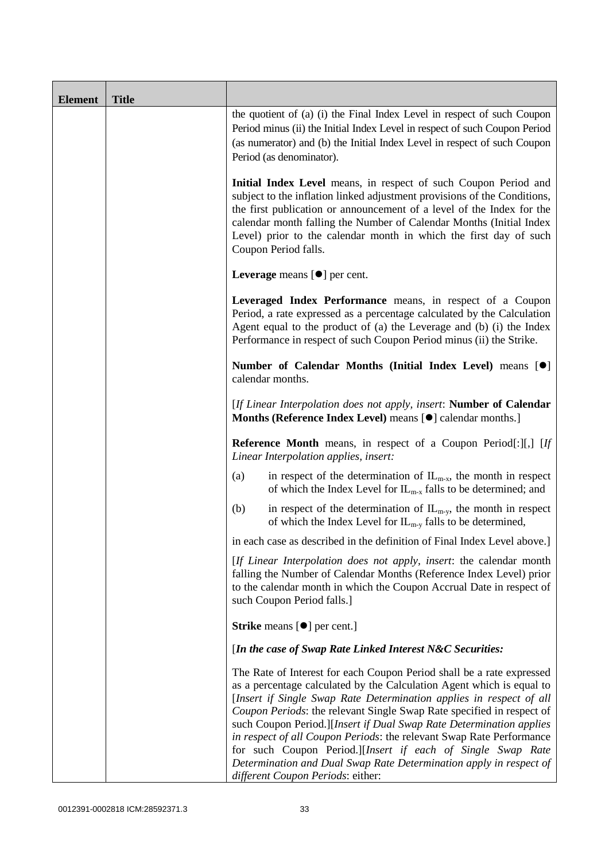| <b>Element</b> | <b>Title</b> |                                                                                                                                                                                                                                                                                                                                                                                                                                                                                                                                                                                                                         |
|----------------|--------------|-------------------------------------------------------------------------------------------------------------------------------------------------------------------------------------------------------------------------------------------------------------------------------------------------------------------------------------------------------------------------------------------------------------------------------------------------------------------------------------------------------------------------------------------------------------------------------------------------------------------------|
|                |              | the quotient of (a) (i) the Final Index Level in respect of such Coupon<br>Period minus (ii) the Initial Index Level in respect of such Coupon Period<br>(as numerator) and (b) the Initial Index Level in respect of such Coupon<br>Period (as denominator).                                                                                                                                                                                                                                                                                                                                                           |
|                |              | Initial Index Level means, in respect of such Coupon Period and<br>subject to the inflation linked adjustment provisions of the Conditions,<br>the first publication or announcement of a level of the Index for the<br>calendar month falling the Number of Calendar Months (Initial Index<br>Level) prior to the calendar month in which the first day of such<br>Coupon Period falls.                                                                                                                                                                                                                                |
|                |              | Leverage means $[\bullet]$ per cent.                                                                                                                                                                                                                                                                                                                                                                                                                                                                                                                                                                                    |
|                |              | Leveraged Index Performance means, in respect of a Coupon<br>Period, a rate expressed as a percentage calculated by the Calculation<br>Agent equal to the product of (a) the Leverage and (b) (i) the Index<br>Performance in respect of such Coupon Period minus (ii) the Strike.                                                                                                                                                                                                                                                                                                                                      |
|                |              | Number of Calendar Months (Initial Index Level) means [ <sup>0</sup> ]<br>calendar months.                                                                                                                                                                                                                                                                                                                                                                                                                                                                                                                              |
|                |              | [If Linear Interpolation does not apply, insert: Number of Calendar<br>Months (Reference Index Level) means [ $\bullet$ ] calendar months.]                                                                                                                                                                                                                                                                                                                                                                                                                                                                             |
|                |              | <b>Reference Month</b> means, in respect of a Coupon Period[:][,] [If<br>Linear Interpolation applies, insert:                                                                                                                                                                                                                                                                                                                                                                                                                                                                                                          |
|                |              | in respect of the determination of $IL_{m-x}$ , the month in respect<br>(a)<br>of which the Index Level for $IL_{m-x}$ falls to be determined; and                                                                                                                                                                                                                                                                                                                                                                                                                                                                      |
|                |              | in respect of the determination of $IL_{m-y}$ , the month in respect<br>(b)<br>of which the Index Level for $IL_{m-y}$ falls to be determined,                                                                                                                                                                                                                                                                                                                                                                                                                                                                          |
|                |              | in each case as described in the definition of Final Index Level above.]                                                                                                                                                                                                                                                                                                                                                                                                                                                                                                                                                |
|                |              | [If Linear Interpolation does not apply, insert: the calendar month<br>falling the Number of Calendar Months (Reference Index Level) prior<br>to the calendar month in which the Coupon Accrual Date in respect of<br>such Coupon Period falls.]                                                                                                                                                                                                                                                                                                                                                                        |
|                |              | <b>Strike</b> means $[\bullet]$ per cent.]                                                                                                                                                                                                                                                                                                                                                                                                                                                                                                                                                                              |
|                |              | [In the case of Swap Rate Linked Interest N&C Securities:                                                                                                                                                                                                                                                                                                                                                                                                                                                                                                                                                               |
|                |              | The Rate of Interest for each Coupon Period shall be a rate expressed<br>as a percentage calculated by the Calculation Agent which is equal to<br>[Insert if Single Swap Rate Determination applies in respect of all<br>Coupon Periods: the relevant Single Swap Rate specified in respect of<br>such Coupon Period.][Insert if Dual Swap Rate Determination applies<br>in respect of all Coupon Periods: the relevant Swap Rate Performance<br>for such Coupon Period.][Insert if each of Single Swap Rate<br>Determination and Dual Swap Rate Determination apply in respect of<br>different Coupon Periods: either: |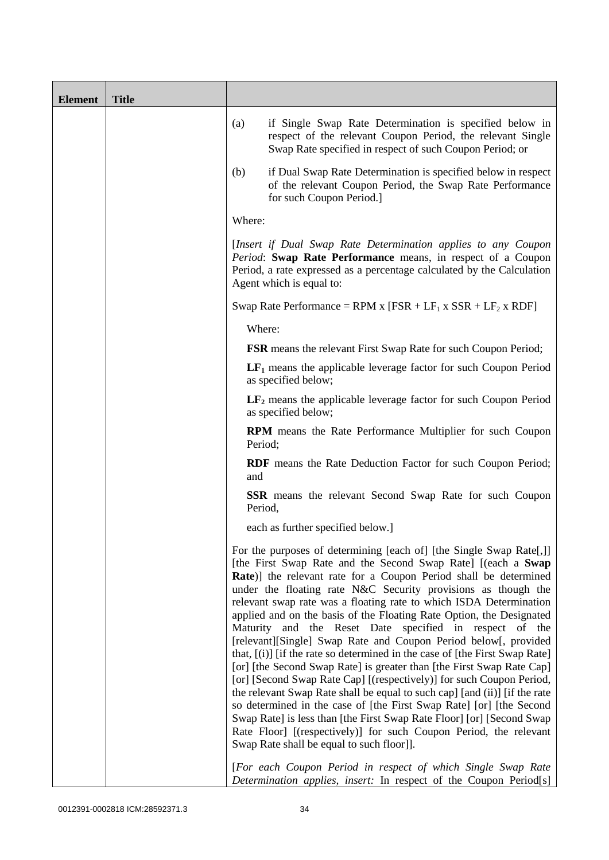| <b>Element</b> | <b>Title</b> |         |                                                                                                                                                                                                                                                                                                                                                                                                                                                                                                                                                                                                                                                                                                                                                                                                                                                                                                                                                                                                                                                                                                                                        |
|----------------|--------------|---------|----------------------------------------------------------------------------------------------------------------------------------------------------------------------------------------------------------------------------------------------------------------------------------------------------------------------------------------------------------------------------------------------------------------------------------------------------------------------------------------------------------------------------------------------------------------------------------------------------------------------------------------------------------------------------------------------------------------------------------------------------------------------------------------------------------------------------------------------------------------------------------------------------------------------------------------------------------------------------------------------------------------------------------------------------------------------------------------------------------------------------------------|
|                |              | (a)     | if Single Swap Rate Determination is specified below in<br>respect of the relevant Coupon Period, the relevant Single<br>Swap Rate specified in respect of such Coupon Period; or                                                                                                                                                                                                                                                                                                                                                                                                                                                                                                                                                                                                                                                                                                                                                                                                                                                                                                                                                      |
|                |              | (b)     | if Dual Swap Rate Determination is specified below in respect<br>of the relevant Coupon Period, the Swap Rate Performance<br>for such Coupon Period.]                                                                                                                                                                                                                                                                                                                                                                                                                                                                                                                                                                                                                                                                                                                                                                                                                                                                                                                                                                                  |
|                |              | Where:  |                                                                                                                                                                                                                                                                                                                                                                                                                                                                                                                                                                                                                                                                                                                                                                                                                                                                                                                                                                                                                                                                                                                                        |
|                |              |         | [Insert if Dual Swap Rate Determination applies to any Coupon<br>Period: Swap Rate Performance means, in respect of a Coupon<br>Period, a rate expressed as a percentage calculated by the Calculation<br>Agent which is equal to:                                                                                                                                                                                                                                                                                                                                                                                                                                                                                                                                                                                                                                                                                                                                                                                                                                                                                                     |
|                |              |         | Swap Rate Performance = RPM x [FSR + $LF_1$ x SSR + $LF_2$ x RDF]                                                                                                                                                                                                                                                                                                                                                                                                                                                                                                                                                                                                                                                                                                                                                                                                                                                                                                                                                                                                                                                                      |
|                |              | Where:  |                                                                                                                                                                                                                                                                                                                                                                                                                                                                                                                                                                                                                                                                                                                                                                                                                                                                                                                                                                                                                                                                                                                                        |
|                |              |         | <b>FSR</b> means the relevant First Swap Rate for such Coupon Period;                                                                                                                                                                                                                                                                                                                                                                                                                                                                                                                                                                                                                                                                                                                                                                                                                                                                                                                                                                                                                                                                  |
|                |              |         | $LF1$ means the applicable leverage factor for such Coupon Period<br>as specified below;                                                                                                                                                                                                                                                                                                                                                                                                                                                                                                                                                                                                                                                                                                                                                                                                                                                                                                                                                                                                                                               |
|                |              |         | $LF2$ means the applicable leverage factor for such Coupon Period<br>as specified below;                                                                                                                                                                                                                                                                                                                                                                                                                                                                                                                                                                                                                                                                                                                                                                                                                                                                                                                                                                                                                                               |
|                |              | Period; | <b>RPM</b> means the Rate Performance Multiplier for such Coupon                                                                                                                                                                                                                                                                                                                                                                                                                                                                                                                                                                                                                                                                                                                                                                                                                                                                                                                                                                                                                                                                       |
|                |              | and     | <b>RDF</b> means the Rate Deduction Factor for such Coupon Period;                                                                                                                                                                                                                                                                                                                                                                                                                                                                                                                                                                                                                                                                                                                                                                                                                                                                                                                                                                                                                                                                     |
|                |              | Period, | <b>SSR</b> means the relevant Second Swap Rate for such Coupon                                                                                                                                                                                                                                                                                                                                                                                                                                                                                                                                                                                                                                                                                                                                                                                                                                                                                                                                                                                                                                                                         |
|                |              |         | each as further specified below.]                                                                                                                                                                                                                                                                                                                                                                                                                                                                                                                                                                                                                                                                                                                                                                                                                                                                                                                                                                                                                                                                                                      |
|                |              |         | For the purposes of determining [each of] [the Single Swap Rate[,]]<br>[the First Swap Rate and the Second Swap Rate] [(each a Swap<br>Rate)] the relevant rate for a Coupon Period shall be determined<br>under the floating rate N&C Security provisions as though the<br>relevant swap rate was a floating rate to which ISDA Determination<br>applied and on the basis of the Floating Rate Option, the Designated<br>Maturity and the Reset Date specified in respect of the<br>[relevant][Single] Swap Rate and Coupon Period below[, provided<br>that, $[(i)]$ [if the rate so determined in the case of [the First Swap Rate]<br>[or] [the Second Swap Rate] is greater than [the First Swap Rate Cap]<br>[or] [Second Swap Rate Cap] [(respectively)] for such Coupon Period,<br>the relevant Swap Rate shall be equal to such cap] [and (ii)] [if the rate<br>so determined in the case of [the First Swap Rate] [or] [the Second<br>Swap Rate] is less than [the First Swap Rate Floor] [or] [Second Swap<br>Rate Floor] [(respectively)] for such Coupon Period, the relevant<br>Swap Rate shall be equal to such floor]]. |
|                |              |         | [For each Coupon Period in respect of which Single Swap Rate<br>Determination applies, insert: In respect of the Coupon Period[s]                                                                                                                                                                                                                                                                                                                                                                                                                                                                                                                                                                                                                                                                                                                                                                                                                                                                                                                                                                                                      |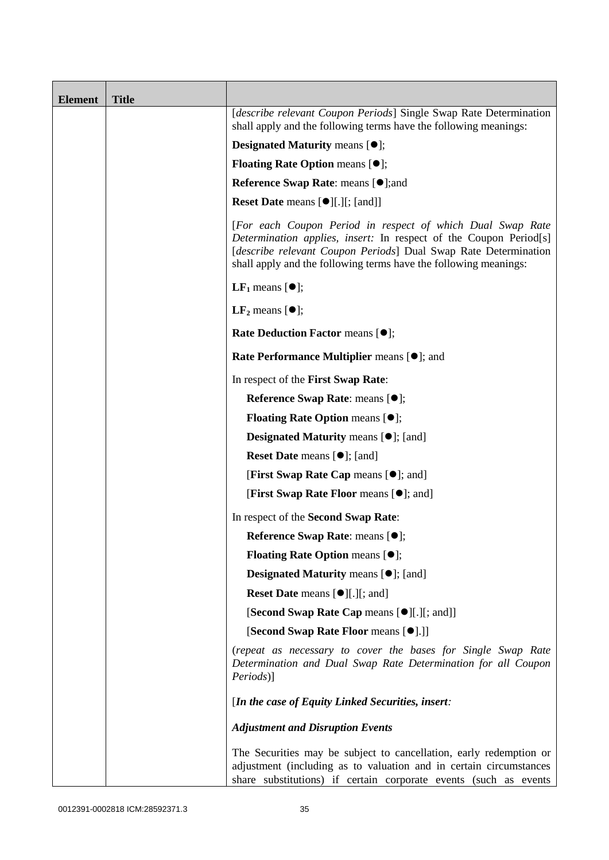| <b>Element</b> | <b>Title</b> |                                                                                                                                                                                                                                                                        |
|----------------|--------------|------------------------------------------------------------------------------------------------------------------------------------------------------------------------------------------------------------------------------------------------------------------------|
|                |              | [describe relevant Coupon Periods] Single Swap Rate Determination<br>shall apply and the following terms have the following meanings:                                                                                                                                  |
|                |              | <b>Designated Maturity means <math>\lceil \bullet \rceil</math>;</b>                                                                                                                                                                                                   |
|                |              | <b>Floating Rate Option means <math>[•]</math>;</b>                                                                                                                                                                                                                    |
|                |              | <b>Reference Swap Rate: means [●];and</b>                                                                                                                                                                                                                              |
|                |              | <b>Reset Date means [<math>\bullet</math></b> ][.][; [and]]                                                                                                                                                                                                            |
|                |              | [For each Coupon Period in respect of which Dual Swap Rate<br>Determination applies, insert: In respect of the Coupon Period[s]<br>[describe relevant Coupon Periods] Dual Swap Rate Determination<br>shall apply and the following terms have the following meanings: |
|                |              | <b>LF</b> <sub>1</sub> means $[\bullet]$ ;                                                                                                                                                                                                                             |
|                |              | $LF2$ means $[①]$ ;                                                                                                                                                                                                                                                    |
|                |              | Rate Deduction Factor means [ $\bullet$ ];                                                                                                                                                                                                                             |
|                |              | Rate Performance Multiplier means [ $\bullet$ ]; and                                                                                                                                                                                                                   |
|                |              | In respect of the First Swap Rate:                                                                                                                                                                                                                                     |
|                |              | Reference Swap Rate: means [ $\bullet$ ];                                                                                                                                                                                                                              |
|                |              | <b>Floating Rate Option means <math>[•]</math>;</b>                                                                                                                                                                                                                    |
|                |              | <b>Designated Maturity means <math>[\bullet]</math>;</b> [and]                                                                                                                                                                                                         |
|                |              | <b>Reset Date</b> means $[\bullet]$ ; [and]                                                                                                                                                                                                                            |
|                |              | <b>[First Swap Rate Cap means [<math>\bullet</math>]; and]</b>                                                                                                                                                                                                         |
|                |              | <b>[First Swap Rate Floor means [<math>\bullet</math>]; and]</b>                                                                                                                                                                                                       |
|                |              | In respect of the Second Swap Rate:                                                                                                                                                                                                                                    |
|                |              | <b>Reference Swap Rate:</b> means $\lceil \bullet \rceil$ ;                                                                                                                                                                                                            |
|                |              | <b>Floating Rate Option means <math>[①]</math>;</b>                                                                                                                                                                                                                    |
|                |              | <b>Designated Maturity means <math>[•]</math>;</b> [and]                                                                                                                                                                                                               |
|                |              | Reset Date means [ $\bullet$ ][.][; and]                                                                                                                                                                                                                               |
|                |              | [Second Swap Rate Cap means [ $\bullet$ ][.][; and]]                                                                                                                                                                                                                   |
|                |              | [Second Swap Rate Floor means [ $\bullet$ ].]]                                                                                                                                                                                                                         |
|                |              | (repeat as necessary to cover the bases for Single Swap Rate<br>Determination and Dual Swap Rate Determination for all Coupon<br><i>Periods</i> )]                                                                                                                     |
|                |              | [In the case of Equity Linked Securities, insert:                                                                                                                                                                                                                      |
|                |              | <b>Adjustment and Disruption Events</b>                                                                                                                                                                                                                                |
|                |              | The Securities may be subject to cancellation, early redemption or<br>adjustment (including as to valuation and in certain circumstances<br>share substitutions) if certain corporate events (such as events                                                           |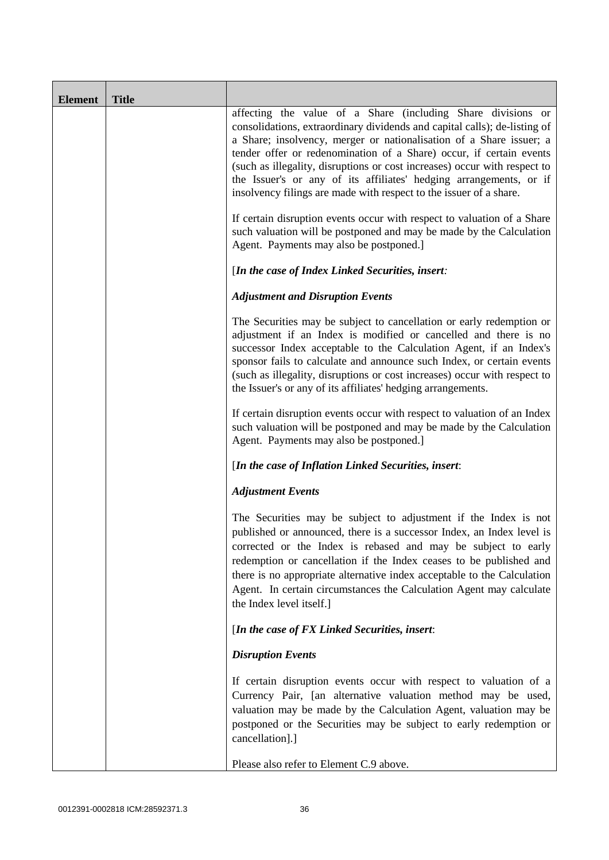| <b>Element</b> | <b>Title</b> |                                                                                                                                                                                                                                                                                                                                                                                                                                                                                                                  |
|----------------|--------------|------------------------------------------------------------------------------------------------------------------------------------------------------------------------------------------------------------------------------------------------------------------------------------------------------------------------------------------------------------------------------------------------------------------------------------------------------------------------------------------------------------------|
|                |              | affecting the value of a Share (including Share divisions or<br>consolidations, extraordinary dividends and capital calls); de-listing of<br>a Share; insolvency, merger or nationalisation of a Share issuer; a<br>tender offer or redenomination of a Share) occur, if certain events<br>(such as illegality, disruptions or cost increases) occur with respect to<br>the Issuer's or any of its affiliates' hedging arrangements, or if<br>insolvency filings are made with respect to the issuer of a share. |
|                |              | If certain disruption events occur with respect to valuation of a Share<br>such valuation will be postponed and may be made by the Calculation<br>Agent. Payments may also be postponed.]                                                                                                                                                                                                                                                                                                                        |
|                |              | [In the case of Index Linked Securities, insert:                                                                                                                                                                                                                                                                                                                                                                                                                                                                 |
|                |              | <b>Adjustment and Disruption Events</b>                                                                                                                                                                                                                                                                                                                                                                                                                                                                          |
|                |              | The Securities may be subject to cancellation or early redemption or<br>adjustment if an Index is modified or cancelled and there is no<br>successor Index acceptable to the Calculation Agent, if an Index's<br>sponsor fails to calculate and announce such Index, or certain events<br>(such as illegality, disruptions or cost increases) occur with respect to<br>the Issuer's or any of its affiliates' hedging arrangements.                                                                              |
|                |              | If certain disruption events occur with respect to valuation of an Index<br>such valuation will be postponed and may be made by the Calculation<br>Agent. Payments may also be postponed.]                                                                                                                                                                                                                                                                                                                       |
|                |              | [In the case of Inflation Linked Securities, insert:                                                                                                                                                                                                                                                                                                                                                                                                                                                             |
|                |              | <b>Adjustment Events</b>                                                                                                                                                                                                                                                                                                                                                                                                                                                                                         |
|                |              | The Securities may be subject to adjustment if the Index is not<br>published or announced, there is a successor Index, an Index level is<br>corrected or the Index is rebased and may be subject to early<br>redemption or cancellation if the Index ceases to be published and<br>there is no appropriate alternative index acceptable to the Calculation<br>Agent. In certain circumstances the Calculation Agent may calculate<br>the Index level itself.]                                                    |
|                |              | [In the case of FX Linked Securities, insert:                                                                                                                                                                                                                                                                                                                                                                                                                                                                    |
|                |              | <b>Disruption Events</b>                                                                                                                                                                                                                                                                                                                                                                                                                                                                                         |
|                |              | If certain disruption events occur with respect to valuation of a<br>Currency Pair, [an alternative valuation method may be used,<br>valuation may be made by the Calculation Agent, valuation may be<br>postponed or the Securities may be subject to early redemption or<br>cancellation].]                                                                                                                                                                                                                    |
|                |              | Please also refer to Element C.9 above.                                                                                                                                                                                                                                                                                                                                                                                                                                                                          |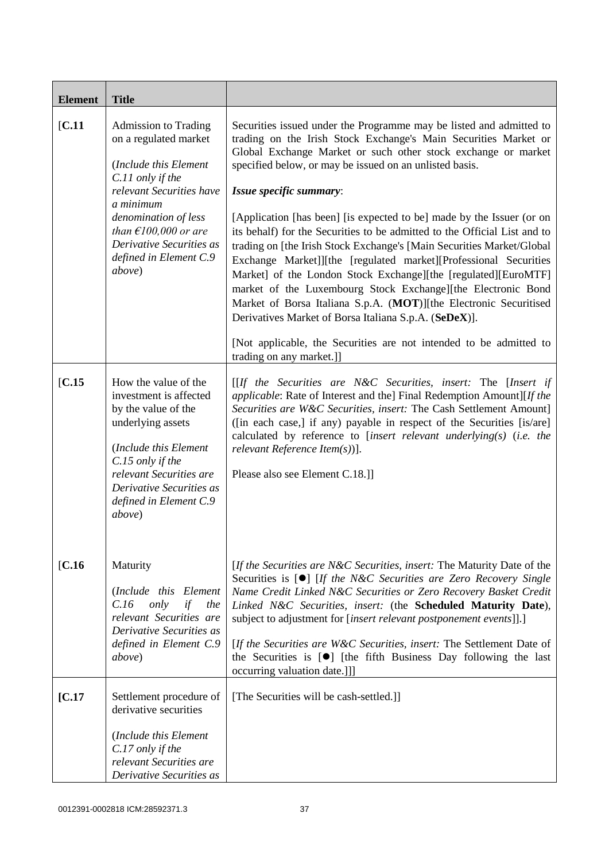| <b>Element</b> | <b>Title</b>                                                                                                                                                                                                                                                 |                                                                                                                                                                                                                                                                                                                                                                                                                                                                                                                                                                                                                                                                                                                                                                                                                                                                                                                                                                    |
|----------------|--------------------------------------------------------------------------------------------------------------------------------------------------------------------------------------------------------------------------------------------------------------|--------------------------------------------------------------------------------------------------------------------------------------------------------------------------------------------------------------------------------------------------------------------------------------------------------------------------------------------------------------------------------------------------------------------------------------------------------------------------------------------------------------------------------------------------------------------------------------------------------------------------------------------------------------------------------------------------------------------------------------------------------------------------------------------------------------------------------------------------------------------------------------------------------------------------------------------------------------------|
| [C.11]         | <b>Admission to Trading</b><br>on a regulated market<br>(Include this Element<br>C.11 only if the<br>relevant Securities have<br>a minimum<br>denomination of less<br>than $E100,000$ or are<br>Derivative Securities as<br>defined in Element C.9<br>above) | Securities issued under the Programme may be listed and admitted to<br>trading on the Irish Stock Exchange's Main Securities Market or<br>Global Exchange Market or such other stock exchange or market<br>specified below, or may be issued on an unlisted basis.<br>Issue specific summary:<br>[Application [has been] [is expected to be] made by the Issuer (or on<br>its behalf) for the Securities to be admitted to the Official List and to<br>trading on [the Irish Stock Exchange's [Main Securities Market/Global<br>Exchange Market]][the [regulated market][Professional Securities<br>Market] of the London Stock Exchange][the [regulated][EuroMTF]<br>market of the Luxembourg Stock Exchange][the Electronic Bond<br>Market of Borsa Italiana S.p.A. (MOT)][the Electronic Securitised<br>Derivatives Market of Borsa Italiana S.p.A. (SeDeX)].<br>[Not applicable, the Securities are not intended to be admitted to<br>trading on any market.]] |
| IC.15          | How the value of the<br>investment is affected<br>by the value of the<br>underlying assets<br>(Include this Element<br>C.15 only if the<br>relevant Securities are<br>Derivative Securities as<br>defined in Element C.9<br>above)                           | $[If the Securities are N&C Securities, insert: The [Insert if]$<br>applicable: Rate of Interest and the] Final Redemption Amount][If the<br>Securities are W&C Securities, insert: The Cash Settlement Amount]<br>([in each case,] if any) payable in respect of the Securities [is/are]<br>calculated by reference to [insert relevant underlying(s) (i.e. the<br>relevant Reference Item $(s)$ ].<br>Please also see Element C.18.]                                                                                                                                                                                                                                                                                                                                                                                                                                                                                                                             |
| [C.16]         | Maturity<br>(Include this Element<br>only<br>if<br>C.16<br>the<br>relevant Securities are<br>Derivative Securities as<br>defined in Element C.9<br><i>above</i> )                                                                                            | [If the Securities are N&C Securities, insert: The Maturity Date of the<br>Securities is $[\bullet]$ [If the N&C Securities are Zero Recovery Single<br>Name Credit Linked N&C Securities or Zero Recovery Basket Credit<br>Linked N&C Securities, insert: (the Scheduled Maturity Date),<br>subject to adjustment for [insert relevant postponement events]].]<br>[If the Securities are W&C Securities, insert: The Settlement Date of<br>the Securities is $[\bullet]$ [the fifth Business Day following the last<br>occurring valuation date.]]]                                                                                                                                                                                                                                                                                                                                                                                                               |
| [C.17]         | Settlement procedure of<br>derivative securities<br>(Include this Element<br>C.17 only if the<br>relevant Securities are<br>Derivative Securities as                                                                                                         | [The Securities will be cash-settled.]]                                                                                                                                                                                                                                                                                                                                                                                                                                                                                                                                                                                                                                                                                                                                                                                                                                                                                                                            |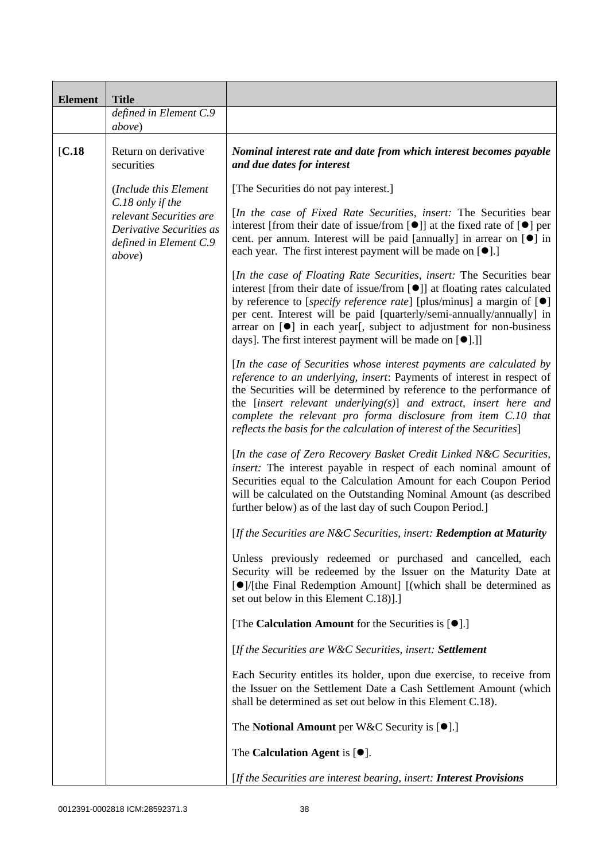| <b>Element</b> | <b>Title</b>                                                                                                |                                                                                                                                                                                                                                                                                                                                                                                                                                                                                            |  |
|----------------|-------------------------------------------------------------------------------------------------------------|--------------------------------------------------------------------------------------------------------------------------------------------------------------------------------------------------------------------------------------------------------------------------------------------------------------------------------------------------------------------------------------------------------------------------------------------------------------------------------------------|--|
|                | defined in Element C.9<br>above)                                                                            |                                                                                                                                                                                                                                                                                                                                                                                                                                                                                            |  |
|                |                                                                                                             |                                                                                                                                                                                                                                                                                                                                                                                                                                                                                            |  |
| [C.18]         | Return on derivative<br>securities                                                                          | Nominal interest rate and date from which interest becomes payable<br>and due dates for interest                                                                                                                                                                                                                                                                                                                                                                                           |  |
|                | (Include this Element)                                                                                      | [The Securities do not pay interest.]                                                                                                                                                                                                                                                                                                                                                                                                                                                      |  |
|                | C.18 only if the<br>relevant Securities are<br>Derivative Securities as<br>defined in Element C.9<br>above) | [In the case of Fixed Rate Securities, insert: The Securities bear<br>interest [from their date of issue/from $[\bullet]$ ] at the fixed rate of $[\bullet]$ per<br>cent. per annum. Interest will be paid [annually] in arrear on [ <sup>o</sup> ] in<br>each year. The first interest payment will be made on $[\bullet]$ .]                                                                                                                                                             |  |
|                |                                                                                                             | [In the case of Floating Rate Securities, insert: The Securities bear<br>interest [from their date of issue/from [ <sup>●</sup> ]] at floating rates calculated<br>by reference to [ <i>specify reference rate</i> ] [plus/minus] a margin of $[\bullet]$<br>per cent. Interest will be paid [quarterly/semi-annually/annually] in<br>arrear on $[\bullet]$ in each year[, subject to adjustment for non-business<br>days]. The first interest payment will be made on [ <sup>•</sup> ].]] |  |
|                |                                                                                                             | [In the case of Securities whose interest payments are calculated by<br>reference to an underlying, insert: Payments of interest in respect of<br>the Securities will be determined by reference to the performance of<br>the [insert relevant underlying(s)] and extract, insert here and<br>complete the relevant pro forma disclosure from item C.10 that<br>reflects the basis for the calculation of interest of the Securities]                                                      |  |
|                |                                                                                                             | [In the case of Zero Recovery Basket Credit Linked N&C Securities,<br>insert: The interest payable in respect of each nominal amount of<br>Securities equal to the Calculation Amount for each Coupon Period<br>will be calculated on the Outstanding Nominal Amount (as described<br>further below) as of the last day of such Coupon Period.]                                                                                                                                            |  |
|                |                                                                                                             | [If the Securities are N&C Securities, insert: Redemption at Maturity                                                                                                                                                                                                                                                                                                                                                                                                                      |  |
|                |                                                                                                             | Unless previously redeemed or purchased and cancelled, each<br>Security will be redeemed by the Issuer on the Maturity Date at<br>[●]/[the Final Redemption Amount] [(which shall be determined as<br>set out below in this Element C.18)].]                                                                                                                                                                                                                                               |  |
|                |                                                                                                             | [The Calculation Amount for the Securities is $[\bullet]$ .]                                                                                                                                                                                                                                                                                                                                                                                                                               |  |
|                |                                                                                                             | [If the Securities are W&C Securities, insert: Settlement                                                                                                                                                                                                                                                                                                                                                                                                                                  |  |
|                |                                                                                                             | Each Security entitles its holder, upon due exercise, to receive from<br>the Issuer on the Settlement Date a Cash Settlement Amount (which<br>shall be determined as set out below in this Element C.18).                                                                                                                                                                                                                                                                                  |  |
|                |                                                                                                             | The Notional Amount per W&C Security is $[•]$ .]                                                                                                                                                                                                                                                                                                                                                                                                                                           |  |
|                |                                                                                                             | The Calculation Agent is $[\bullet].$                                                                                                                                                                                                                                                                                                                                                                                                                                                      |  |
|                |                                                                                                             | [If the Securities are interest bearing, insert: Interest Provisions                                                                                                                                                                                                                                                                                                                                                                                                                       |  |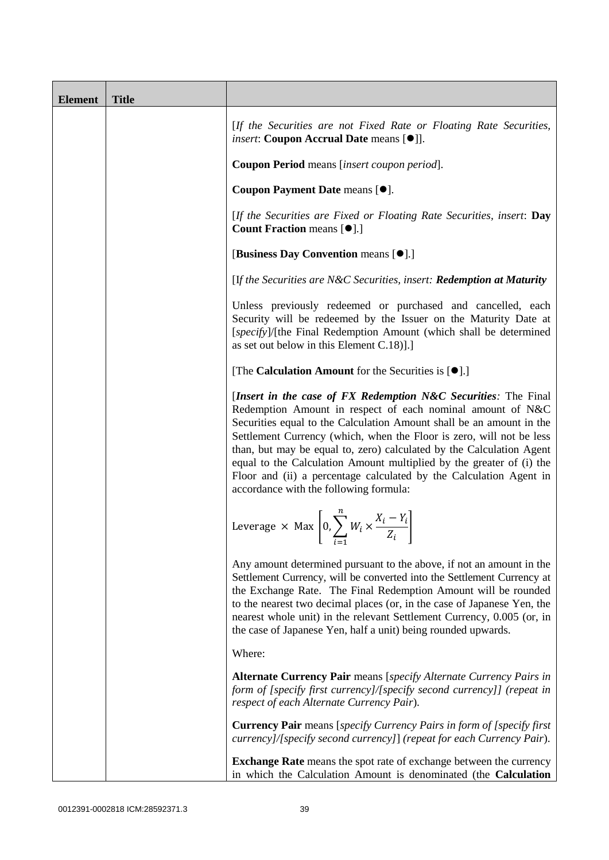| <b>Element</b> | <b>Title</b> |                                                                                                                                                                                                                                                                                                                                                                                                                                                                                                                                              |
|----------------|--------------|----------------------------------------------------------------------------------------------------------------------------------------------------------------------------------------------------------------------------------------------------------------------------------------------------------------------------------------------------------------------------------------------------------------------------------------------------------------------------------------------------------------------------------------------|
|                |              | [If the Securities are not Fixed Rate or Floating Rate Securities,<br><i>insert</i> : Coupon Accrual Date means [ $\bullet$ ]].                                                                                                                                                                                                                                                                                                                                                                                                              |
|                |              | Coupon Period means [insert coupon period].                                                                                                                                                                                                                                                                                                                                                                                                                                                                                                  |
|                |              | Coupon Payment Date means [ $\bullet$ ].                                                                                                                                                                                                                                                                                                                                                                                                                                                                                                     |
|                |              | [If the Securities are Fixed or Floating Rate Securities, insert: Day<br><b>Count Fraction means [<math>\bullet</math>].]</b>                                                                                                                                                                                                                                                                                                                                                                                                                |
|                |              | [Business Day Convention means [ $\bullet$ ].]                                                                                                                                                                                                                                                                                                                                                                                                                                                                                               |
|                |              | [If the Securities are N&C Securities, insert: Redemption at Maturity                                                                                                                                                                                                                                                                                                                                                                                                                                                                        |
|                |              | Unless previously redeemed or purchased and cancelled, each<br>Security will be redeemed by the Issuer on the Maturity Date at<br>[specify]/[the Final Redemption Amount (which shall be determined<br>as set out below in this Element C.18)].]                                                                                                                                                                                                                                                                                             |
|                |              | [The Calculation Amount for the Securities is $[•]$ .]                                                                                                                                                                                                                                                                                                                                                                                                                                                                                       |
|                |              | [Insert in the case of FX Redemption N&C Securities: The Final<br>Redemption Amount in respect of each nominal amount of N&C<br>Securities equal to the Calculation Amount shall be an amount in the<br>Settlement Currency (which, when the Floor is zero, will not be less<br>than, but may be equal to, zero) calculated by the Calculation Agent<br>equal to the Calculation Amount multiplied by the greater of (i) the<br>Floor and (ii) a percentage calculated by the Calculation Agent in<br>accordance with the following formula: |
|                |              | Leverage $\times$ Max $\left[0, \sum_{i=1}^{n} W_i \times \frac{X_i - Y_i}{Z_i}\right]$<br>$i = 1$<br>$\sim$                                                                                                                                                                                                                                                                                                                                                                                                                                 |
|                |              | Any amount determined pursuant to the above, if not an amount in the<br>Settlement Currency, will be converted into the Settlement Currency at<br>the Exchange Rate. The Final Redemption Amount will be rounded<br>to the nearest two decimal places (or, in the case of Japanese Yen, the<br>nearest whole unit) in the relevant Settlement Currency, 0.005 (or, in<br>the case of Japanese Yen, half a unit) being rounded upwards.                                                                                                       |
|                |              | Where:                                                                                                                                                                                                                                                                                                                                                                                                                                                                                                                                       |
|                |              | <b>Alternate Currency Pair</b> means [specify Alternate Currency Pairs in<br>form of [specify first currency]/[specify second currency]] (repeat in<br>respect of each Alternate Currency Pair).                                                                                                                                                                                                                                                                                                                                             |
|                |              | <b>Currency Pair</b> means [specify Currency Pairs in form of [specify first]<br>currency]/[specify second currency]] (repeat for each Currency Pair).                                                                                                                                                                                                                                                                                                                                                                                       |
|                |              | <b>Exchange Rate</b> means the spot rate of exchange between the currency<br>in which the Calculation Amount is denominated (the Calculation                                                                                                                                                                                                                                                                                                                                                                                                 |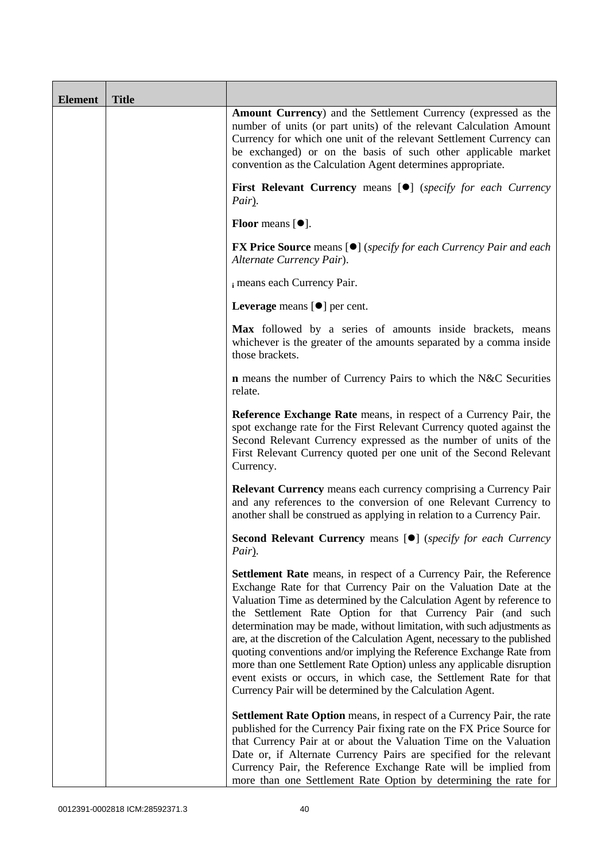| <b>Element</b> | <b>Title</b> |                                                                                                                                                                                                                                                                                                                                                                                                                                                                                                                                                                                                                                                                                                                                          |
|----------------|--------------|------------------------------------------------------------------------------------------------------------------------------------------------------------------------------------------------------------------------------------------------------------------------------------------------------------------------------------------------------------------------------------------------------------------------------------------------------------------------------------------------------------------------------------------------------------------------------------------------------------------------------------------------------------------------------------------------------------------------------------------|
|                |              | <b>Amount Currency</b> ) and the Settlement Currency (expressed as the<br>number of units (or part units) of the relevant Calculation Amount<br>Currency for which one unit of the relevant Settlement Currency can<br>be exchanged) or on the basis of such other applicable market<br>convention as the Calculation Agent determines appropriate.                                                                                                                                                                                                                                                                                                                                                                                      |
|                |              | <b>First Relevant Currency means [O]</b> (specify for each Currency<br>Pair).                                                                                                                                                                                                                                                                                                                                                                                                                                                                                                                                                                                                                                                            |
|                |              | Floor means $[•]$ .                                                                                                                                                                                                                                                                                                                                                                                                                                                                                                                                                                                                                                                                                                                      |
|                |              | <b>FX Price Source</b> means [ $\bullet$ ] ( <i>specify for each Currency Pair and each</i><br>Alternate Currency Pair).                                                                                                                                                                                                                                                                                                                                                                                                                                                                                                                                                                                                                 |
|                |              | i means each Currency Pair.                                                                                                                                                                                                                                                                                                                                                                                                                                                                                                                                                                                                                                                                                                              |
|                |              | Leverage means $[\bullet]$ per cent.                                                                                                                                                                                                                                                                                                                                                                                                                                                                                                                                                                                                                                                                                                     |
|                |              | Max followed by a series of amounts inside brackets, means<br>whichever is the greater of the amounts separated by a comma inside<br>those brackets.                                                                                                                                                                                                                                                                                                                                                                                                                                                                                                                                                                                     |
|                |              | <b>n</b> means the number of Currency Pairs to which the N&C Securities<br>relate.                                                                                                                                                                                                                                                                                                                                                                                                                                                                                                                                                                                                                                                       |
|                |              | Reference Exchange Rate means, in respect of a Currency Pair, the<br>spot exchange rate for the First Relevant Currency quoted against the<br>Second Relevant Currency expressed as the number of units of the<br>First Relevant Currency quoted per one unit of the Second Relevant<br>Currency.                                                                                                                                                                                                                                                                                                                                                                                                                                        |
|                |              | <b>Relevant Currency</b> means each currency comprising a Currency Pair<br>and any references to the conversion of one Relevant Currency to<br>another shall be construed as applying in relation to a Currency Pair.                                                                                                                                                                                                                                                                                                                                                                                                                                                                                                                    |
|                |              | Second Relevant Currency means [ $\bullet$ ] (specify for each Currency<br>Pair).                                                                                                                                                                                                                                                                                                                                                                                                                                                                                                                                                                                                                                                        |
|                |              | <b>Settlement Rate</b> means, in respect of a Currency Pair, the Reference<br>Exchange Rate for that Currency Pair on the Valuation Date at the<br>Valuation Time as determined by the Calculation Agent by reference to<br>the Settlement Rate Option for that Currency Pair (and such<br>determination may be made, without limitation, with such adjustments as<br>are, at the discretion of the Calculation Agent, necessary to the published<br>quoting conventions and/or implying the Reference Exchange Rate from<br>more than one Settlement Rate Option) unless any applicable disruption<br>event exists or occurs, in which case, the Settlement Rate for that<br>Currency Pair will be determined by the Calculation Agent. |
|                |              | <b>Settlement Rate Option</b> means, in respect of a Currency Pair, the rate<br>published for the Currency Pair fixing rate on the FX Price Source for<br>that Currency Pair at or about the Valuation Time on the Valuation<br>Date or, if Alternate Currency Pairs are specified for the relevant<br>Currency Pair, the Reference Exchange Rate will be implied from<br>more than one Settlement Rate Option by determining the rate for                                                                                                                                                                                                                                                                                               |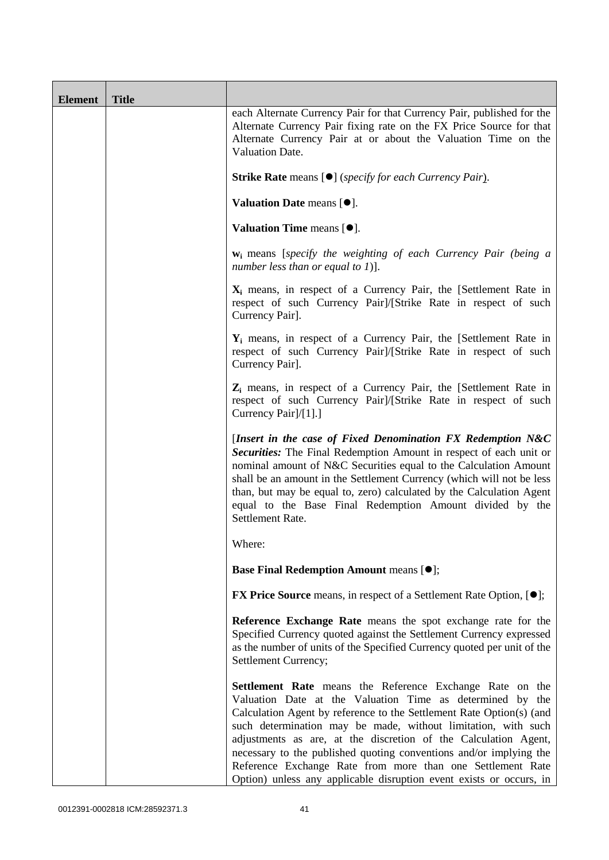| <b>Element</b> | <b>Title</b> |                                                                                                                                                                                                                                                                                                                                                                                                                                                                                                                                              |
|----------------|--------------|----------------------------------------------------------------------------------------------------------------------------------------------------------------------------------------------------------------------------------------------------------------------------------------------------------------------------------------------------------------------------------------------------------------------------------------------------------------------------------------------------------------------------------------------|
|                |              | each Alternate Currency Pair for that Currency Pair, published for the<br>Alternate Currency Pair fixing rate on the FX Price Source for that<br>Alternate Currency Pair at or about the Valuation Time on the<br>Valuation Date.                                                                                                                                                                                                                                                                                                            |
|                |              | <b>Strike Rate</b> means [ $\bullet$ ] ( <i>specify for each Currency Pair</i> ).                                                                                                                                                                                                                                                                                                                                                                                                                                                            |
|                |              | Valuation Date means $[•]$ .                                                                                                                                                                                                                                                                                                                                                                                                                                                                                                                 |
|                |              | Valuation Time means $[•]$ .                                                                                                                                                                                                                                                                                                                                                                                                                                                                                                                 |
|                |              | $w_i$ means [specify the weighting of each Currency Pair (being a<br>number less than or equal to 1)].                                                                                                                                                                                                                                                                                                                                                                                                                                       |
|                |              | $X_i$ means, in respect of a Currency Pair, the [Settlement Rate in<br>respect of such Currency Pair]/[Strike Rate in respect of such<br>Currency Pair].                                                                                                                                                                                                                                                                                                                                                                                     |
|                |              | $Y_i$ means, in respect of a Currency Pair, the [Settlement Rate in<br>respect of such Currency Pair]/[Strike Rate in respect of such<br>Currency Pair].                                                                                                                                                                                                                                                                                                                                                                                     |
|                |              | $Z_i$ means, in respect of a Currency Pair, the [Settlement Rate in<br>respect of such Currency Pair]/[Strike Rate in respect of such<br>Currency Pair]/[1].]                                                                                                                                                                                                                                                                                                                                                                                |
|                |              | [Insert in the case of Fixed Denomination FX Redemption N&C<br>Securities: The Final Redemption Amount in respect of each unit or<br>nominal amount of N&C Securities equal to the Calculation Amount<br>shall be an amount in the Settlement Currency (which will not be less<br>than, but may be equal to, zero) calculated by the Calculation Agent<br>equal to the Base Final Redemption Amount divided by the<br>Settlement Rate.                                                                                                       |
|                |              | Where:                                                                                                                                                                                                                                                                                                                                                                                                                                                                                                                                       |
|                |              | <b>Base Final Redemption Amount means [O];</b>                                                                                                                                                                                                                                                                                                                                                                                                                                                                                               |
|                |              | <b>FX Price Source</b> means, in respect of a Settlement Rate Option, [ $\bullet$ ];                                                                                                                                                                                                                                                                                                                                                                                                                                                         |
|                |              | Reference Exchange Rate means the spot exchange rate for the<br>Specified Currency quoted against the Settlement Currency expressed<br>as the number of units of the Specified Currency quoted per unit of the<br>Settlement Currency;                                                                                                                                                                                                                                                                                                       |
|                |              | Settlement Rate means the Reference Exchange Rate on the<br>Valuation Date at the Valuation Time as determined by the<br>Calculation Agent by reference to the Settlement Rate Option(s) (and<br>such determination may be made, without limitation, with such<br>adjustments as are, at the discretion of the Calculation Agent,<br>necessary to the published quoting conventions and/or implying the<br>Reference Exchange Rate from more than one Settlement Rate<br>Option) unless any applicable disruption event exists or occurs, in |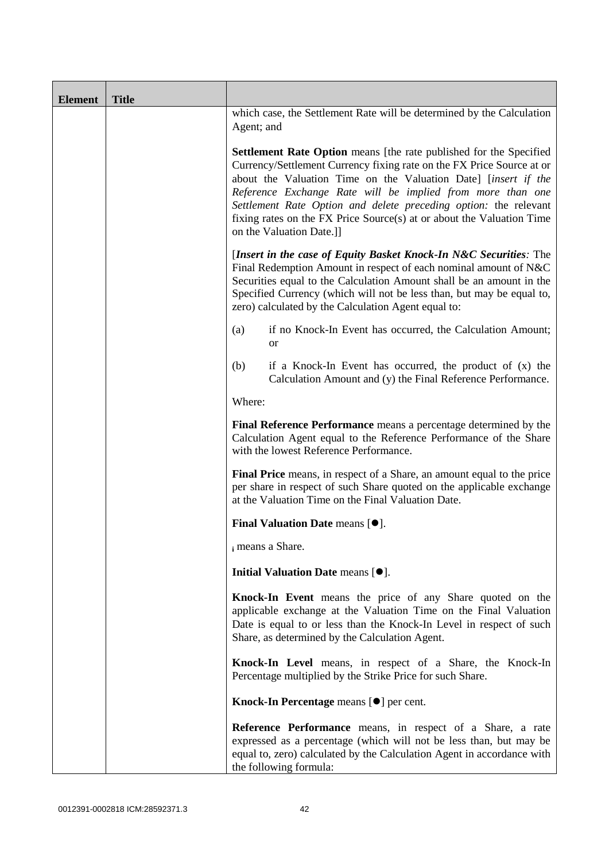| <b>Element</b> | <b>Title</b> |                                                                                                                                                                                                                                                                                                                                                                                                                                                             |
|----------------|--------------|-------------------------------------------------------------------------------------------------------------------------------------------------------------------------------------------------------------------------------------------------------------------------------------------------------------------------------------------------------------------------------------------------------------------------------------------------------------|
|                |              | which case, the Settlement Rate will be determined by the Calculation<br>Agent; and                                                                                                                                                                                                                                                                                                                                                                         |
|                |              | <b>Settlement Rate Option</b> means [the rate published for the Specified<br>Currency/Settlement Currency fixing rate on the FX Price Source at or<br>about the Valuation Time on the Valuation Date] [insert if the<br>Reference Exchange Rate will be implied from more than one<br>Settlement Rate Option and delete preceding option: the relevant<br>fixing rates on the FX Price Source(s) at or about the Valuation Time<br>on the Valuation Date.]] |
|                |              | [Insert in the case of Equity Basket Knock-In N&C Securities: The<br>Final Redemption Amount in respect of each nominal amount of N&C<br>Securities equal to the Calculation Amount shall be an amount in the<br>Specified Currency (which will not be less than, but may be equal to,<br>zero) calculated by the Calculation Agent equal to:                                                                                                               |
|                |              | if no Knock-In Event has occurred, the Calculation Amount;<br>(a)<br><b>or</b>                                                                                                                                                                                                                                                                                                                                                                              |
|                |              | (b)<br>if a Knock-In Event has occurred, the product of $(x)$ the<br>Calculation Amount and (y) the Final Reference Performance.                                                                                                                                                                                                                                                                                                                            |
|                |              | Where:                                                                                                                                                                                                                                                                                                                                                                                                                                                      |
|                |              | Final Reference Performance means a percentage determined by the<br>Calculation Agent equal to the Reference Performance of the Share<br>with the lowest Reference Performance.                                                                                                                                                                                                                                                                             |
|                |              | Final Price means, in respect of a Share, an amount equal to the price<br>per share in respect of such Share quoted on the applicable exchange<br>at the Valuation Time on the Final Valuation Date.                                                                                                                                                                                                                                                        |
|                |              | <b>Final Valuation Date means <math>[•]</math>.</b>                                                                                                                                                                                                                                                                                                                                                                                                         |
|                |              | i means a Share.                                                                                                                                                                                                                                                                                                                                                                                                                                            |
|                |              | Initial Valuation Date means [ $\bullet$ ].                                                                                                                                                                                                                                                                                                                                                                                                                 |
|                |              | Knock-In Event means the price of any Share quoted on the<br>applicable exchange at the Valuation Time on the Final Valuation<br>Date is equal to or less than the Knock-In Level in respect of such<br>Share, as determined by the Calculation Agent.                                                                                                                                                                                                      |
|                |              | Knock-In Level means, in respect of a Share, the Knock-In<br>Percentage multiplied by the Strike Price for such Share.                                                                                                                                                                                                                                                                                                                                      |
|                |              | Knock-In Percentage means [ $\bullet$ ] per cent.                                                                                                                                                                                                                                                                                                                                                                                                           |
|                |              | <b>Reference Performance</b> means, in respect of a Share, a rate<br>expressed as a percentage (which will not be less than, but may be<br>equal to, zero) calculated by the Calculation Agent in accordance with<br>the following formula:                                                                                                                                                                                                                 |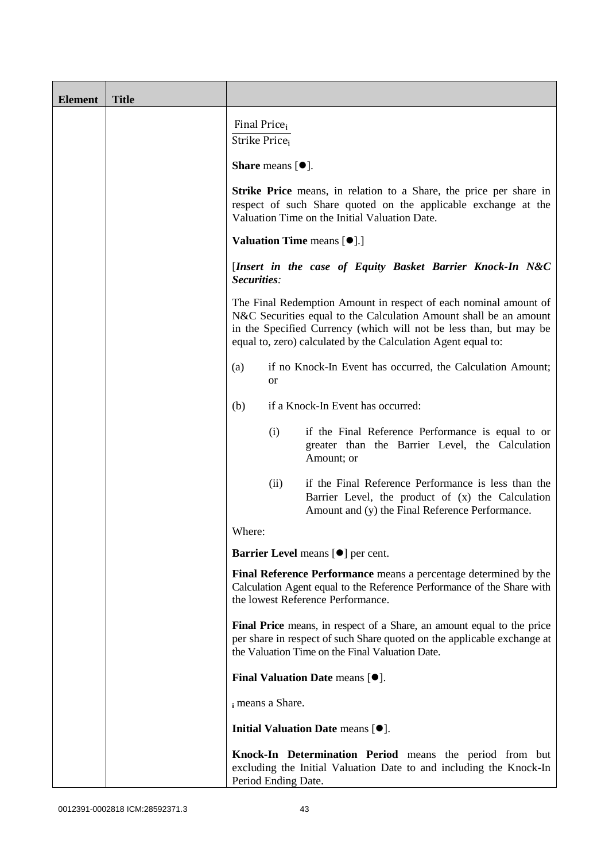| <b>Element</b> | <b>Title</b> |                                                                                                                                                                                                                                                                                                                                                                                                                                            |  |  |  |  |
|----------------|--------------|--------------------------------------------------------------------------------------------------------------------------------------------------------------------------------------------------------------------------------------------------------------------------------------------------------------------------------------------------------------------------------------------------------------------------------------------|--|--|--|--|
|                |              | Final Price <sub>i</sub><br>Strike Price <sub>i</sub>                                                                                                                                                                                                                                                                                                                                                                                      |  |  |  |  |
|                |              | <b>Share</b> means $[①]$ .                                                                                                                                                                                                                                                                                                                                                                                                                 |  |  |  |  |
|                |              | <b>Strike Price</b> means, in relation to a Share, the price per share in<br>respect of such Share quoted on the applicable exchange at the<br>Valuation Time on the Initial Valuation Date.<br><b>Valuation Time means [<math>\bullet</math>].]</b>                                                                                                                                                                                       |  |  |  |  |
|                |              |                                                                                                                                                                                                                                                                                                                                                                                                                                            |  |  |  |  |
|                |              | [Insert in the case of Equity Basket Barrier Knock-In N&C<br>Securities:<br>The Final Redemption Amount in respect of each nominal amount of<br>N&C Securities equal to the Calculation Amount shall be an amount<br>in the Specified Currency (which will not be less than, but may be<br>equal to, zero) calculated by the Calculation Agent equal to:<br>if no Knock-In Event has occurred, the Calculation Amount;<br>(a)<br><b>or</b> |  |  |  |  |
|                |              |                                                                                                                                                                                                                                                                                                                                                                                                                                            |  |  |  |  |
|                |              |                                                                                                                                                                                                                                                                                                                                                                                                                                            |  |  |  |  |
|                |              | if a Knock-In Event has occurred:<br>(b)                                                                                                                                                                                                                                                                                                                                                                                                   |  |  |  |  |
|                |              | (i)<br>if the Final Reference Performance is equal to or<br>greater than the Barrier Level, the Calculation<br>Amount; or                                                                                                                                                                                                                                                                                                                  |  |  |  |  |
|                |              | if the Final Reference Performance is less than the<br>(ii)<br>Barrier Level, the product of $(x)$ the Calculation<br>Amount and (y) the Final Reference Performance.                                                                                                                                                                                                                                                                      |  |  |  |  |
|                |              | Where:                                                                                                                                                                                                                                                                                                                                                                                                                                     |  |  |  |  |
|                |              | Barrier Level means [ $\bullet$ ] per cent.                                                                                                                                                                                                                                                                                                                                                                                                |  |  |  |  |
|                |              | Final Reference Performance means a percentage determined by the<br>Calculation Agent equal to the Reference Performance of the Share with<br>the lowest Reference Performance.                                                                                                                                                                                                                                                            |  |  |  |  |
|                |              | Final Price means, in respect of a Share, an amount equal to the price<br>per share in respect of such Share quoted on the applicable exchange at<br>the Valuation Time on the Final Valuation Date.                                                                                                                                                                                                                                       |  |  |  |  |
|                |              | Final Valuation Date means [ $\bullet$ ].                                                                                                                                                                                                                                                                                                                                                                                                  |  |  |  |  |
|                |              | i means a Share.                                                                                                                                                                                                                                                                                                                                                                                                                           |  |  |  |  |
|                |              | Initial Valuation Date means [ $\bullet$ ].                                                                                                                                                                                                                                                                                                                                                                                                |  |  |  |  |
|                |              | Knock-In Determination Period means the period from but<br>excluding the Initial Valuation Date to and including the Knock-In<br>Period Ending Date.                                                                                                                                                                                                                                                                                       |  |  |  |  |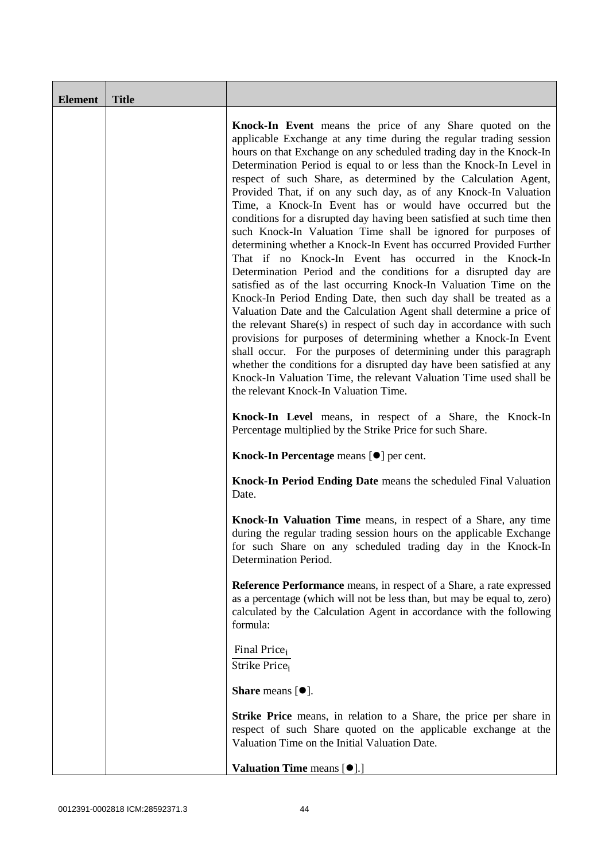| <b>Element</b> | <b>Title</b> |                                                                                                                                                                                                                                                                                                                                                                                                                                                                                                                                                                                                                                                                                                                                                                                                                                                                                                                                                                                                                                                                                                                                                                                                                                                                                                                                                                                                                                                       |
|----------------|--------------|-------------------------------------------------------------------------------------------------------------------------------------------------------------------------------------------------------------------------------------------------------------------------------------------------------------------------------------------------------------------------------------------------------------------------------------------------------------------------------------------------------------------------------------------------------------------------------------------------------------------------------------------------------------------------------------------------------------------------------------------------------------------------------------------------------------------------------------------------------------------------------------------------------------------------------------------------------------------------------------------------------------------------------------------------------------------------------------------------------------------------------------------------------------------------------------------------------------------------------------------------------------------------------------------------------------------------------------------------------------------------------------------------------------------------------------------------------|
|                |              | Knock-In Event means the price of any Share quoted on the<br>applicable Exchange at any time during the regular trading session<br>hours on that Exchange on any scheduled trading day in the Knock-In<br>Determination Period is equal to or less than the Knock-In Level in<br>respect of such Share, as determined by the Calculation Agent,<br>Provided That, if on any such day, as of any Knock-In Valuation<br>Time, a Knock-In Event has or would have occurred but the<br>conditions for a disrupted day having been satisfied at such time then<br>such Knock-In Valuation Time shall be ignored for purposes of<br>determining whether a Knock-In Event has occurred Provided Further<br>That if no Knock-In Event has occurred in the Knock-In<br>Determination Period and the conditions for a disrupted day are<br>satisfied as of the last occurring Knock-In Valuation Time on the<br>Knock-In Period Ending Date, then such day shall be treated as a<br>Valuation Date and the Calculation Agent shall determine a price of<br>the relevant Share(s) in respect of such day in accordance with such<br>provisions for purposes of determining whether a Knock-In Event<br>shall occur. For the purposes of determining under this paragraph<br>whether the conditions for a disrupted day have been satisfied at any<br>Knock-In Valuation Time, the relevant Valuation Time used shall be<br>the relevant Knock-In Valuation Time. |
|                |              | Knock-In Level means, in respect of a Share, the Knock-In<br>Percentage multiplied by the Strike Price for such Share.                                                                                                                                                                                                                                                                                                                                                                                                                                                                                                                                                                                                                                                                                                                                                                                                                                                                                                                                                                                                                                                                                                                                                                                                                                                                                                                                |
|                |              | Knock-In Percentage means [ $\bullet$ ] per cent.                                                                                                                                                                                                                                                                                                                                                                                                                                                                                                                                                                                                                                                                                                                                                                                                                                                                                                                                                                                                                                                                                                                                                                                                                                                                                                                                                                                                     |
|                |              | Knock-In Period Ending Date means the scheduled Final Valuation<br>Date.                                                                                                                                                                                                                                                                                                                                                                                                                                                                                                                                                                                                                                                                                                                                                                                                                                                                                                                                                                                                                                                                                                                                                                                                                                                                                                                                                                              |
|                |              | Knock-In Valuation Time means, in respect of a Share, any time<br>during the regular trading session hours on the applicable Exchange<br>for such Share on any scheduled trading day in the Knock-In<br>Determination Period.                                                                                                                                                                                                                                                                                                                                                                                                                                                                                                                                                                                                                                                                                                                                                                                                                                                                                                                                                                                                                                                                                                                                                                                                                         |
|                |              | <b>Reference Performance</b> means, in respect of a Share, a rate expressed<br>as a percentage (which will not be less than, but may be equal to, zero)<br>calculated by the Calculation Agent in accordance with the following<br>formula:                                                                                                                                                                                                                                                                                                                                                                                                                                                                                                                                                                                                                                                                                                                                                                                                                                                                                                                                                                                                                                                                                                                                                                                                           |
|                |              | Final Price <sub>i</sub><br>Strike Price <sub>i</sub>                                                                                                                                                                                                                                                                                                                                                                                                                                                                                                                                                                                                                                                                                                                                                                                                                                                                                                                                                                                                                                                                                                                                                                                                                                                                                                                                                                                                 |
|                |              | <b>Share</b> means $[①]$ .                                                                                                                                                                                                                                                                                                                                                                                                                                                                                                                                                                                                                                                                                                                                                                                                                                                                                                                                                                                                                                                                                                                                                                                                                                                                                                                                                                                                                            |
|                |              | <b>Strike Price</b> means, in relation to a Share, the price per share in<br>respect of such Share quoted on the applicable exchange at the<br>Valuation Time on the Initial Valuation Date.                                                                                                                                                                                                                                                                                                                                                                                                                                                                                                                                                                                                                                                                                                                                                                                                                                                                                                                                                                                                                                                                                                                                                                                                                                                          |
|                |              | Valuation Time means [ $\bullet$ ].]                                                                                                                                                                                                                                                                                                                                                                                                                                                                                                                                                                                                                                                                                                                                                                                                                                                                                                                                                                                                                                                                                                                                                                                                                                                                                                                                                                                                                  |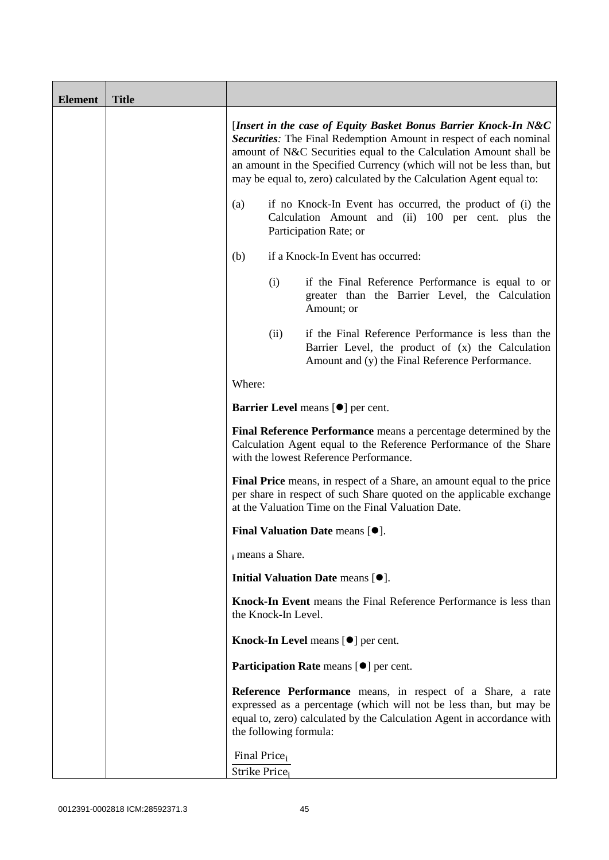| <b>Element</b> | <b>Title</b> |                                                                                                                                                                                                                                                                                                                                                                                                                                                                                                                 |                        |                                                                                                                                                                                                            |
|----------------|--------------|-----------------------------------------------------------------------------------------------------------------------------------------------------------------------------------------------------------------------------------------------------------------------------------------------------------------------------------------------------------------------------------------------------------------------------------------------------------------------------------------------------------------|------------------------|------------------------------------------------------------------------------------------------------------------------------------------------------------------------------------------------------------|
|                |              | [Insert in the case of Equity Basket Bonus Barrier Knock-In N&C<br>Securities: The Final Redemption Amount in respect of each nominal<br>amount of N&C Securities equal to the Calculation Amount shall be<br>an amount in the Specified Currency (which will not be less than, but<br>may be equal to, zero) calculated by the Calculation Agent equal to:<br>if no Knock-In Event has occurred, the product of (i) the<br>(a)<br>Calculation Amount and (ii) 100 per cent. plus the<br>Participation Rate; or |                        |                                                                                                                                                                                                            |
|                |              |                                                                                                                                                                                                                                                                                                                                                                                                                                                                                                                 |                        |                                                                                                                                                                                                            |
|                |              | if a Knock-In Event has occurred:<br>(b)                                                                                                                                                                                                                                                                                                                                                                                                                                                                        |                        |                                                                                                                                                                                                            |
|                |              |                                                                                                                                                                                                                                                                                                                                                                                                                                                                                                                 | (i)                    | if the Final Reference Performance is equal to or<br>greater than the Barrier Level, the Calculation<br>Amount; or                                                                                         |
|                |              |                                                                                                                                                                                                                                                                                                                                                                                                                                                                                                                 | (ii)                   | if the Final Reference Performance is less than the<br>Barrier Level, the product of (x) the Calculation<br>Amount and (y) the Final Reference Performance.                                                |
|                |              | Where:                                                                                                                                                                                                                                                                                                                                                                                                                                                                                                          |                        |                                                                                                                                                                                                            |
|                |              | Barrier Level means [ $\bullet$ ] per cent.<br>Final Reference Performance means a percentage determined by the<br>Calculation Agent equal to the Reference Performance of the Share<br>with the lowest Reference Performance.                                                                                                                                                                                                                                                                                  |                        |                                                                                                                                                                                                            |
|                |              |                                                                                                                                                                                                                                                                                                                                                                                                                                                                                                                 |                        |                                                                                                                                                                                                            |
|                |              | Final Price means, in respect of a Share, an amount equal to the price<br>per share in respect of such Share quoted on the applicable exchange<br>at the Valuation Time on the Final Valuation Date.                                                                                                                                                                                                                                                                                                            |                        |                                                                                                                                                                                                            |
|                |              | Final Valuation Date means $[•]$ .                                                                                                                                                                                                                                                                                                                                                                                                                                                                              |                        |                                                                                                                                                                                                            |
|                |              | i means a Share.                                                                                                                                                                                                                                                                                                                                                                                                                                                                                                |                        |                                                                                                                                                                                                            |
|                |              |                                                                                                                                                                                                                                                                                                                                                                                                                                                                                                                 |                        | Initial Valuation Date means [ $\bullet$ ].                                                                                                                                                                |
|                |              |                                                                                                                                                                                                                                                                                                                                                                                                                                                                                                                 | the Knock-In Level.    | Knock-In Event means the Final Reference Performance is less than                                                                                                                                          |
|                |              |                                                                                                                                                                                                                                                                                                                                                                                                                                                                                                                 |                        | Knock-In Level means [ $\bullet$ ] per cent.                                                                                                                                                               |
|                |              |                                                                                                                                                                                                                                                                                                                                                                                                                                                                                                                 |                        | Participation Rate means [ $\bullet$ ] per cent.                                                                                                                                                           |
|                |              |                                                                                                                                                                                                                                                                                                                                                                                                                                                                                                                 | the following formula: | Reference Performance means, in respect of a Share, a rate<br>expressed as a percentage (which will not be less than, but may be<br>equal to, zero) calculated by the Calculation Agent in accordance with |
|                |              | Final Price <sub>i</sub><br>Strike Price;                                                                                                                                                                                                                                                                                                                                                                                                                                                                       |                        |                                                                                                                                                                                                            |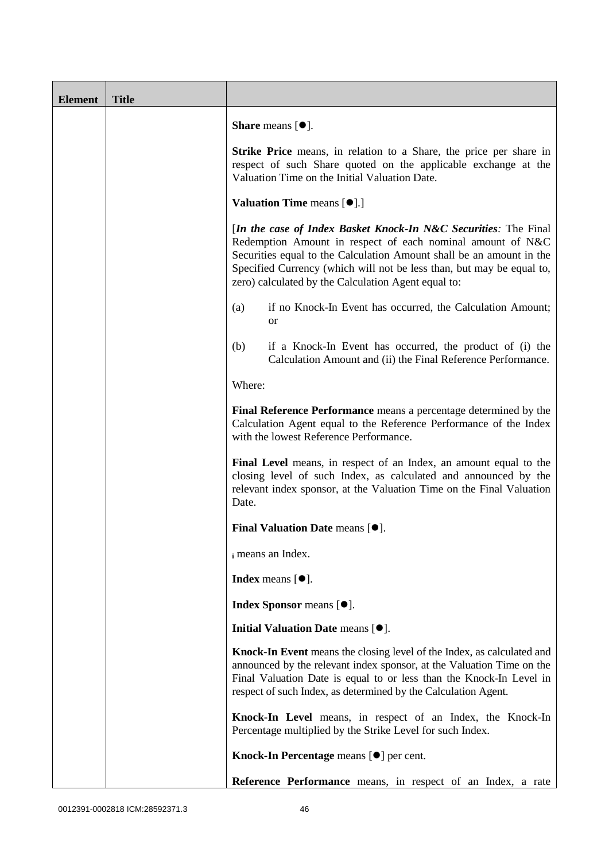| <b>Element</b> | <b>Title</b> |                                                                                                                                                                                                                                                                                                                                       |  |  |
|----------------|--------------|---------------------------------------------------------------------------------------------------------------------------------------------------------------------------------------------------------------------------------------------------------------------------------------------------------------------------------------|--|--|
|                |              | <b>Share</b> means $[•]$ .                                                                                                                                                                                                                                                                                                            |  |  |
|                |              | <b>Strike Price</b> means, in relation to a Share, the price per share in<br>respect of such Share quoted on the applicable exchange at the<br>Valuation Time on the Initial Valuation Date.                                                                                                                                          |  |  |
|                |              | <b>Valuation Time means [O].]</b>                                                                                                                                                                                                                                                                                                     |  |  |
|                |              | [In the case of Index Basket Knock-In N&C Securities: The Final<br>Redemption Amount in respect of each nominal amount of N&C<br>Securities equal to the Calculation Amount shall be an amount in the<br>Specified Currency (which will not be less than, but may be equal to,<br>zero) calculated by the Calculation Agent equal to: |  |  |
|                |              | if no Knock-In Event has occurred, the Calculation Amount;<br>(a)<br>or                                                                                                                                                                                                                                                               |  |  |
|                |              | (b)<br>if a Knock-In Event has occurred, the product of (i) the<br>Calculation Amount and (ii) the Final Reference Performance.                                                                                                                                                                                                       |  |  |
|                |              | Where:                                                                                                                                                                                                                                                                                                                                |  |  |
|                |              | Final Reference Performance means a percentage determined by the<br>Calculation Agent equal to the Reference Performance of the Index<br>with the lowest Reference Performance.                                                                                                                                                       |  |  |
|                |              | Final Level means, in respect of an Index, an amount equal to the<br>closing level of such Index, as calculated and announced by the<br>relevant index sponsor, at the Valuation Time on the Final Valuation<br>Date.                                                                                                                 |  |  |
|                |              | <b>Final Valuation Date means <math>[•]</math>.</b>                                                                                                                                                                                                                                                                                   |  |  |
|                |              | i means an Index.                                                                                                                                                                                                                                                                                                                     |  |  |
|                |              | Index means $[•]$ .                                                                                                                                                                                                                                                                                                                   |  |  |
|                |              | Index Sponsor means [ $\bullet$ ].                                                                                                                                                                                                                                                                                                    |  |  |
|                |              | Initial Valuation Date means [ $\bullet$ ].                                                                                                                                                                                                                                                                                           |  |  |
|                |              | Knock-In Event means the closing level of the Index, as calculated and<br>announced by the relevant index sponsor, at the Valuation Time on the<br>Final Valuation Date is equal to or less than the Knock-In Level in<br>respect of such Index, as determined by the Calculation Agent.                                              |  |  |
|                |              | Knock-In Level means, in respect of an Index, the Knock-In<br>Percentage multiplied by the Strike Level for such Index.                                                                                                                                                                                                               |  |  |
|                |              | Knock-In Percentage means [ $\bullet$ ] per cent.                                                                                                                                                                                                                                                                                     |  |  |
|                |              | Reference Performance means, in respect of an Index, a rate                                                                                                                                                                                                                                                                           |  |  |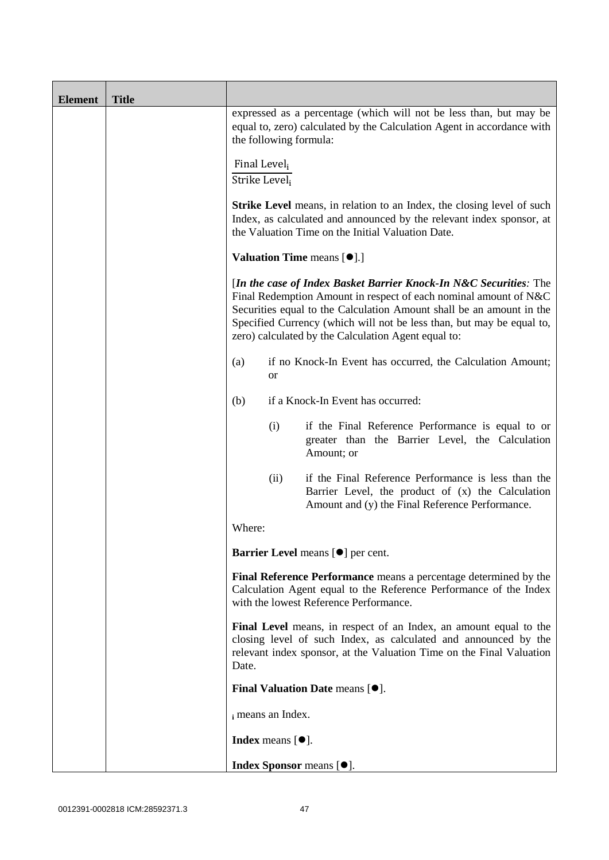| <b>Element</b> | <b>Title</b> |                                                                                                                                                                                                                                                                                                                                                                                                          |  |  |  |
|----------------|--------------|----------------------------------------------------------------------------------------------------------------------------------------------------------------------------------------------------------------------------------------------------------------------------------------------------------------------------------------------------------------------------------------------------------|--|--|--|
|                |              | expressed as a percentage (which will not be less than, but may be<br>equal to, zero) calculated by the Calculation Agent in accordance with<br>the following formula:                                                                                                                                                                                                                                   |  |  |  |
|                |              | Final Level <sub>i</sub><br>Strike Level <sub>i</sub>                                                                                                                                                                                                                                                                                                                                                    |  |  |  |
|                |              | <b>Strike Level</b> means, in relation to an Index, the closing level of such<br>Index, as calculated and announced by the relevant index sponsor, at<br>the Valuation Time on the Initial Valuation Date.                                                                                                                                                                                               |  |  |  |
|                |              | <b>Valuation Time means [<math>\bullet</math>].]</b>                                                                                                                                                                                                                                                                                                                                                     |  |  |  |
|                |              | [In the case of Index Basket Barrier Knock-In N&C Securities: The<br>Final Redemption Amount in respect of each nominal amount of N&C<br>Securities equal to the Calculation Amount shall be an amount in the<br>Specified Currency (which will not be less than, but may be equal to,<br>zero) calculated by the Calculation Agent equal to:                                                            |  |  |  |
|                |              | if no Knock-In Event has occurred, the Calculation Amount;<br>(a)<br><b>or</b>                                                                                                                                                                                                                                                                                                                           |  |  |  |
|                |              | if a Knock-In Event has occurred:<br>(b)                                                                                                                                                                                                                                                                                                                                                                 |  |  |  |
|                |              | (i)<br>if the Final Reference Performance is equal to or<br>greater than the Barrier Level, the Calculation<br>Amount; or                                                                                                                                                                                                                                                                                |  |  |  |
|                |              | if the Final Reference Performance is less than the<br>(ii)<br>Barrier Level, the product of (x) the Calculation<br>Amount and (y) the Final Reference Performance.                                                                                                                                                                                                                                      |  |  |  |
|                |              | Where:                                                                                                                                                                                                                                                                                                                                                                                                   |  |  |  |
|                |              | <b>Barrier Level</b> means [ $\bullet$ ] per cent.                                                                                                                                                                                                                                                                                                                                                       |  |  |  |
|                |              | Final Reference Performance means a percentage determined by the<br>Calculation Agent equal to the Reference Performance of the Index<br>with the lowest Reference Performance.<br>Final Level means, in respect of an Index, an amount equal to the<br>closing level of such Index, as calculated and announced by the<br>relevant index sponsor, at the Valuation Time on the Final Valuation<br>Date. |  |  |  |
|                |              |                                                                                                                                                                                                                                                                                                                                                                                                          |  |  |  |
|                |              | <b>Final Valuation Date means <math>[•]</math>.</b>                                                                                                                                                                                                                                                                                                                                                      |  |  |  |
|                |              | i means an Index.                                                                                                                                                                                                                                                                                                                                                                                        |  |  |  |
|                |              | <b>Index</b> means $[•]$ .                                                                                                                                                                                                                                                                                                                                                                               |  |  |  |
|                |              | Index Sponsor means [ $\bullet$ ].                                                                                                                                                                                                                                                                                                                                                                       |  |  |  |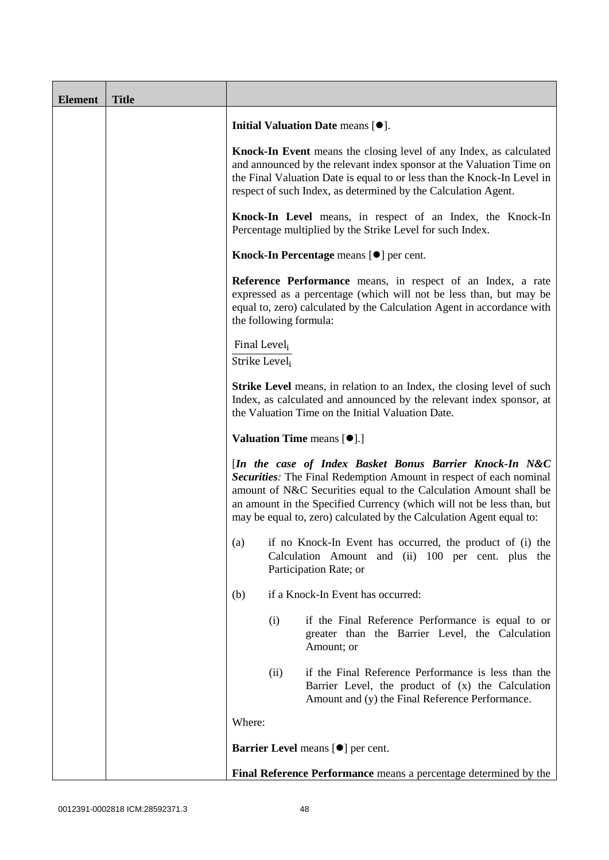| <b>Element</b> | <b>Title</b> |                                                                                                                                                                                                                                                                                                                                                                                                                                                                                                                                                                                                                                                        |      |                                                                                                                                                                                                                                                                                         |
|----------------|--------------|--------------------------------------------------------------------------------------------------------------------------------------------------------------------------------------------------------------------------------------------------------------------------------------------------------------------------------------------------------------------------------------------------------------------------------------------------------------------------------------------------------------------------------------------------------------------------------------------------------------------------------------------------------|------|-----------------------------------------------------------------------------------------------------------------------------------------------------------------------------------------------------------------------------------------------------------------------------------------|
|                |              | Initial Valuation Date means [ $\bullet$ ].                                                                                                                                                                                                                                                                                                                                                                                                                                                                                                                                                                                                            |      |                                                                                                                                                                                                                                                                                         |
|                |              |                                                                                                                                                                                                                                                                                                                                                                                                                                                                                                                                                                                                                                                        |      | Knock-In Event means the closing level of any Index, as calculated<br>and announced by the relevant index sponsor at the Valuation Time on<br>the Final Valuation Date is equal to or less than the Knock-In Level in<br>respect of such Index, as determined by the Calculation Agent. |
|                |              | Knock-In Level means, in respect of an Index, the Knock-In<br>Percentage multiplied by the Strike Level for such Index.<br>Knock-In Percentage means [ $\bullet$ ] per cent.<br>Reference Performance means, in respect of an Index, a rate<br>expressed as a percentage (which will not be less than, but may be<br>equal to, zero) calculated by the Calculation Agent in accordance with<br>the following formula:                                                                                                                                                                                                                                  |      |                                                                                                                                                                                                                                                                                         |
|                |              |                                                                                                                                                                                                                                                                                                                                                                                                                                                                                                                                                                                                                                                        |      |                                                                                                                                                                                                                                                                                         |
|                |              |                                                                                                                                                                                                                                                                                                                                                                                                                                                                                                                                                                                                                                                        |      |                                                                                                                                                                                                                                                                                         |
|                |              | Final Level <sub>i</sub><br>Strike Level;<br><b>Strike Level</b> means, in relation to an Index, the closing level of such<br>Index, as calculated and announced by the relevant index sponsor, at<br>the Valuation Time on the Initial Valuation Date.<br>Valuation Time means [ $\bullet$ ].]<br>[In the case of Index Basket Bonus Barrier Knock-In N&C<br>Securities: The Final Redemption Amount in respect of each nominal<br>amount of N&C Securities equal to the Calculation Amount shall be<br>an amount in the Specified Currency (which will not be less than, but<br>may be equal to, zero) calculated by the Calculation Agent equal to: |      |                                                                                                                                                                                                                                                                                         |
|                |              |                                                                                                                                                                                                                                                                                                                                                                                                                                                                                                                                                                                                                                                        |      |                                                                                                                                                                                                                                                                                         |
|                |              |                                                                                                                                                                                                                                                                                                                                                                                                                                                                                                                                                                                                                                                        |      |                                                                                                                                                                                                                                                                                         |
|                |              |                                                                                                                                                                                                                                                                                                                                                                                                                                                                                                                                                                                                                                                        |      |                                                                                                                                                                                                                                                                                         |
|                |              | if no Knock-In Event has occurred, the product of (i) the<br>(a)<br>Calculation Amount and (ii) 100 per cent. plus the<br>Participation Rate; or                                                                                                                                                                                                                                                                                                                                                                                                                                                                                                       |      |                                                                                                                                                                                                                                                                                         |
|                |              | (b)                                                                                                                                                                                                                                                                                                                                                                                                                                                                                                                                                                                                                                                    |      | if a Knock-In Event has occurred:                                                                                                                                                                                                                                                       |
|                |              |                                                                                                                                                                                                                                                                                                                                                                                                                                                                                                                                                                                                                                                        | (i)  | if the Final Reference Performance is equal to or<br>greater than the Barrier Level, the Calculation<br>Amount; or                                                                                                                                                                      |
|                |              |                                                                                                                                                                                                                                                                                                                                                                                                                                                                                                                                                                                                                                                        | (ii) | if the Final Reference Performance is less than the<br>Barrier Level, the product of (x) the Calculation<br>Amount and (y) the Final Reference Performance.                                                                                                                             |
|                |              | Where:<br><b>Barrier Level</b> means [ $\bullet$ ] per cent.<br>Final Reference Performance means a percentage determined by the                                                                                                                                                                                                                                                                                                                                                                                                                                                                                                                       |      |                                                                                                                                                                                                                                                                                         |
|                |              |                                                                                                                                                                                                                                                                                                                                                                                                                                                                                                                                                                                                                                                        |      |                                                                                                                                                                                                                                                                                         |
|                |              |                                                                                                                                                                                                                                                                                                                                                                                                                                                                                                                                                                                                                                                        |      |                                                                                                                                                                                                                                                                                         |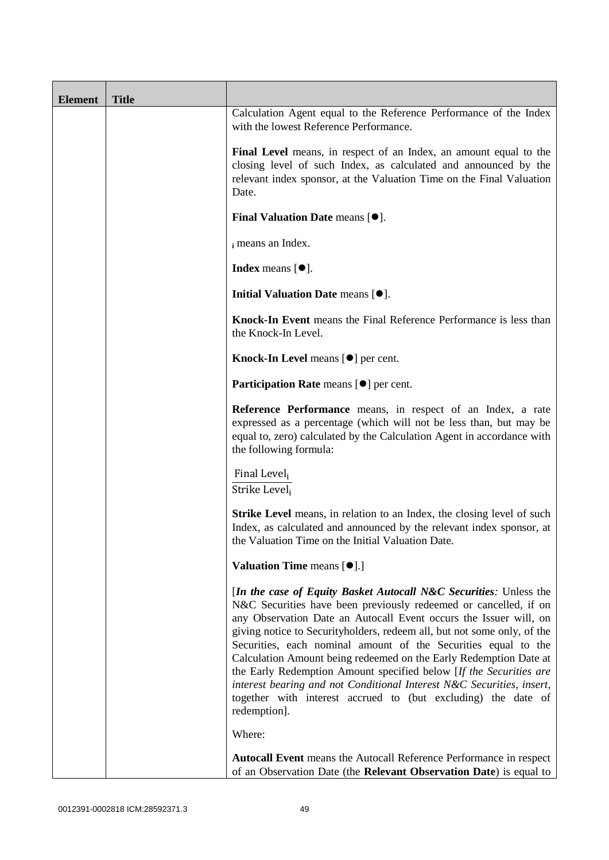| <b>Element</b> | <b>Title</b> |                                                                                                                                                                                                                                                                                                                                                                                                                                                                                                                                                                                                                                                              |
|----------------|--------------|--------------------------------------------------------------------------------------------------------------------------------------------------------------------------------------------------------------------------------------------------------------------------------------------------------------------------------------------------------------------------------------------------------------------------------------------------------------------------------------------------------------------------------------------------------------------------------------------------------------------------------------------------------------|
|                |              | Calculation Agent equal to the Reference Performance of the Index<br>with the lowest Reference Performance.                                                                                                                                                                                                                                                                                                                                                                                                                                                                                                                                                  |
|                |              | Final Level means, in respect of an Index, an amount equal to the<br>closing level of such Index, as calculated and announced by the<br>relevant index sponsor, at the Valuation Time on the Final Valuation<br>Date.                                                                                                                                                                                                                                                                                                                                                                                                                                        |
|                |              | <b>Final Valuation Date means <math>[•]</math>.</b>                                                                                                                                                                                                                                                                                                                                                                                                                                                                                                                                                                                                          |
|                |              | i means an Index.                                                                                                                                                                                                                                                                                                                                                                                                                                                                                                                                                                                                                                            |
|                |              | <b>Index</b> means $[•]$ .                                                                                                                                                                                                                                                                                                                                                                                                                                                                                                                                                                                                                                   |
|                |              | Initial Valuation Date means [ $\bullet$ ].                                                                                                                                                                                                                                                                                                                                                                                                                                                                                                                                                                                                                  |
|                |              | Knock-In Event means the Final Reference Performance is less than<br>the Knock-In Level.                                                                                                                                                                                                                                                                                                                                                                                                                                                                                                                                                                     |
|                |              | Knock-In Level means [ $\bullet$ ] per cent.                                                                                                                                                                                                                                                                                                                                                                                                                                                                                                                                                                                                                 |
|                |              | Participation Rate means [ $\bullet$ ] per cent.                                                                                                                                                                                                                                                                                                                                                                                                                                                                                                                                                                                                             |
|                |              | Reference Performance means, in respect of an Index, a rate<br>expressed as a percentage (which will not be less than, but may be<br>equal to, zero) calculated by the Calculation Agent in accordance with<br>the following formula:                                                                                                                                                                                                                                                                                                                                                                                                                        |
|                |              | Final Level,<br>Strike Level <sub>i</sub>                                                                                                                                                                                                                                                                                                                                                                                                                                                                                                                                                                                                                    |
|                |              | <b>Strike Level</b> means, in relation to an Index, the closing level of such<br>Index, as calculated and announced by the relevant index sponsor, at<br>the Valuation Time on the Initial Valuation Date.                                                                                                                                                                                                                                                                                                                                                                                                                                                   |
|                |              | <b>Valuation Time means [<math>\bullet</math>].]</b>                                                                                                                                                                                                                                                                                                                                                                                                                                                                                                                                                                                                         |
|                |              | [In the case of Equity Basket Autocall N&C Securities: Unless the<br>N&C Securities have been previously redeemed or cancelled, if on<br>any Observation Date an Autocall Event occurs the Issuer will, on<br>giving notice to Securityholders, redeem all, but not some only, of the<br>Securities, each nominal amount of the Securities equal to the<br>Calculation Amount being redeemed on the Early Redemption Date at<br>the Early Redemption Amount specified below [If the Securities are<br>interest bearing and not Conditional Interest N&C Securities, insert,<br>together with interest accrued to (but excluding) the date of<br>redemption]. |
|                |              | Where:                                                                                                                                                                                                                                                                                                                                                                                                                                                                                                                                                                                                                                                       |
|                |              | <b>Autocall Event</b> means the Autocall Reference Performance in respect<br>of an Observation Date (the Relevant Observation Date) is equal to                                                                                                                                                                                                                                                                                                                                                                                                                                                                                                              |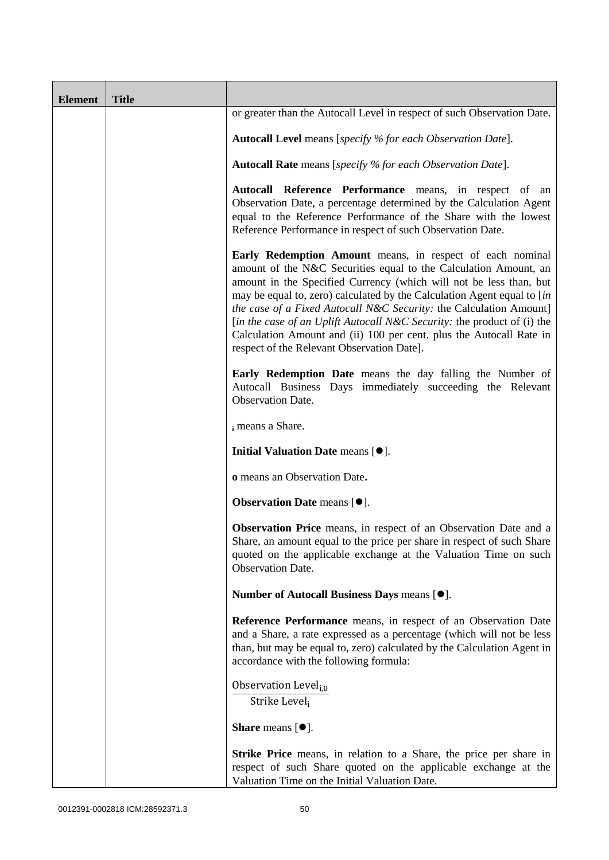| <b>Element</b> | <b>Title</b> |                                                                                                                                                                                                                                                                                                                                                                                                                                                                                                                                                      |
|----------------|--------------|------------------------------------------------------------------------------------------------------------------------------------------------------------------------------------------------------------------------------------------------------------------------------------------------------------------------------------------------------------------------------------------------------------------------------------------------------------------------------------------------------------------------------------------------------|
|                |              | or greater than the Autocall Level in respect of such Observation Date.                                                                                                                                                                                                                                                                                                                                                                                                                                                                              |
|                |              | <b>Autocall Level</b> means [specify % for each Observation Date].                                                                                                                                                                                                                                                                                                                                                                                                                                                                                   |
|                |              | Autocall Rate means [specify % for each Observation Date].                                                                                                                                                                                                                                                                                                                                                                                                                                                                                           |
|                |              | Autocall Reference Performance means, in respect of an<br>Observation Date, a percentage determined by the Calculation Agent<br>equal to the Reference Performance of the Share with the lowest<br>Reference Performance in respect of such Observation Date.                                                                                                                                                                                                                                                                                        |
|                |              | Early Redemption Amount means, in respect of each nominal<br>amount of the N&C Securities equal to the Calculation Amount, an<br>amount in the Specified Currency (which will not be less than, but<br>may be equal to, zero) calculated by the Calculation Agent equal to [in<br>the case of a Fixed Autocall N&C Security: the Calculation Amount]<br>[in the case of an Uplift Autocall N&C Security: the product of (i) the<br>Calculation Amount and (ii) 100 per cent. plus the Autocall Rate in<br>respect of the Relevant Observation Date]. |
|                |              | <b>Early Redemption Date</b> means the day falling the Number of<br>Autocall Business Days immediately succeeding the Relevant<br>Observation Date.                                                                                                                                                                                                                                                                                                                                                                                                  |
|                |              | i means a Share.                                                                                                                                                                                                                                                                                                                                                                                                                                                                                                                                     |
|                |              | Initial Valuation Date means [ $\bullet$ ].                                                                                                                                                                                                                                                                                                                                                                                                                                                                                                          |
|                |              | o means an Observation Date.                                                                                                                                                                                                                                                                                                                                                                                                                                                                                                                         |
|                |              | Observation Date means [ $\bullet$ ].                                                                                                                                                                                                                                                                                                                                                                                                                                                                                                                |
|                |              | Observation Price means, in respect of an Observation Date and a<br>Share, an amount equal to the price per share in respect of such Share<br>quoted on the applicable exchange at the Valuation Time on such<br><b>Observation Date.</b>                                                                                                                                                                                                                                                                                                            |
|                |              | Number of Autocall Business Days means [ $\bullet$ ].                                                                                                                                                                                                                                                                                                                                                                                                                                                                                                |
|                |              | Reference Performance means, in respect of an Observation Date<br>and a Share, a rate expressed as a percentage (which will not be less<br>than, but may be equal to, zero) calculated by the Calculation Agent in<br>accordance with the following formula:                                                                                                                                                                                                                                                                                         |
|                |              | Observation Level <sub>i,0</sub><br>Strike Level,                                                                                                                                                                                                                                                                                                                                                                                                                                                                                                    |
|                |              | <b>Share</b> means $[•]$ .                                                                                                                                                                                                                                                                                                                                                                                                                                                                                                                           |
|                |              | <b>Strike Price</b> means, in relation to a Share, the price per share in<br>respect of such Share quoted on the applicable exchange at the<br>Valuation Time on the Initial Valuation Date.                                                                                                                                                                                                                                                                                                                                                         |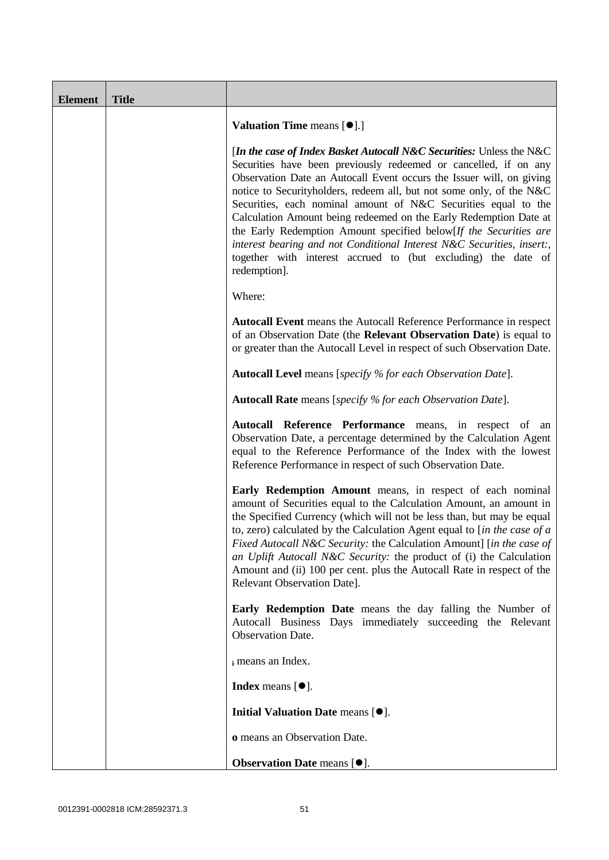| <b>Element</b> | <b>Title</b> |                                                                                                                                                                                                                                                                                                                                                                                                                                                                                                                                                                                                                                                                 |
|----------------|--------------|-----------------------------------------------------------------------------------------------------------------------------------------------------------------------------------------------------------------------------------------------------------------------------------------------------------------------------------------------------------------------------------------------------------------------------------------------------------------------------------------------------------------------------------------------------------------------------------------------------------------------------------------------------------------|
|                |              | <b>Valuation Time means [<math>\bullet</math>].]</b>                                                                                                                                                                                                                                                                                                                                                                                                                                                                                                                                                                                                            |
|                |              | [In the case of Index Basket Autocall N&C Securities: Unless the N&C<br>Securities have been previously redeemed or cancelled, if on any<br>Observation Date an Autocall Event occurs the Issuer will, on giving<br>notice to Securityholders, redeem all, but not some only, of the N&C<br>Securities, each nominal amount of N&C Securities equal to the<br>Calculation Amount being redeemed on the Early Redemption Date at<br>the Early Redemption Amount specified below[If the Securities are<br>interest bearing and not Conditional Interest N&C Securities, insert:,<br>together with interest accrued to (but excluding) the date of<br>redemption]. |
|                |              | Where:                                                                                                                                                                                                                                                                                                                                                                                                                                                                                                                                                                                                                                                          |
|                |              | Autocall Event means the Autocall Reference Performance in respect<br>of an Observation Date (the Relevant Observation Date) is equal to<br>or greater than the Autocall Level in respect of such Observation Date.                                                                                                                                                                                                                                                                                                                                                                                                                                             |
|                |              | Autocall Level means [specify % for each Observation Date].                                                                                                                                                                                                                                                                                                                                                                                                                                                                                                                                                                                                     |
|                |              | <b>Autocall Rate</b> means [specify % for each Observation Date].                                                                                                                                                                                                                                                                                                                                                                                                                                                                                                                                                                                               |
|                |              | Autocall Reference Performance means, in respect of an<br>Observation Date, a percentage determined by the Calculation Agent<br>equal to the Reference Performance of the Index with the lowest<br>Reference Performance in respect of such Observation Date.                                                                                                                                                                                                                                                                                                                                                                                                   |
|                |              | Early Redemption Amount means, in respect of each nominal<br>amount of Securities equal to the Calculation Amount, an amount in<br>the Specified Currency (which will not be less than, but may be equal<br>to, zero) calculated by the Calculation Agent equal to [in the case of $a$<br>Fixed Autocall N&C Security: the Calculation Amount] [in the case of<br>an Uplift Autocall N&C Security: the product of (i) the Calculation<br>Amount and (ii) 100 per cent. plus the Autocall Rate in respect of the<br>Relevant Observation Date].                                                                                                                  |
|                |              | Early Redemption Date means the day falling the Number of<br>Autocall Business Days immediately succeeding the Relevant<br><b>Observation Date.</b>                                                                                                                                                                                                                                                                                                                                                                                                                                                                                                             |
|                |              | i means an Index.                                                                                                                                                                                                                                                                                                                                                                                                                                                                                                                                                                                                                                               |
|                |              | Index means $[\bullet].$                                                                                                                                                                                                                                                                                                                                                                                                                                                                                                                                                                                                                                        |
|                |              | Initial Valuation Date means [ $\bullet$ ].                                                                                                                                                                                                                                                                                                                                                                                                                                                                                                                                                                                                                     |
|                |              | o means an Observation Date.                                                                                                                                                                                                                                                                                                                                                                                                                                                                                                                                                                                                                                    |
|                |              | Observation Date means [ $\bullet$ ].                                                                                                                                                                                                                                                                                                                                                                                                                                                                                                                                                                                                                           |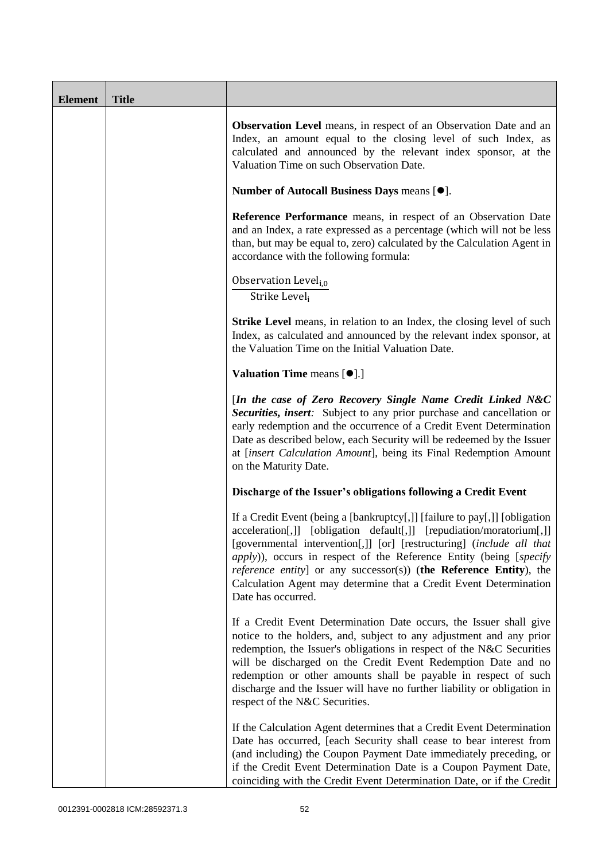| <b>Element</b> | <b>Title</b> |                                                                                                                                                                                                                                                                                                                                                                                                                                                                                    |
|----------------|--------------|------------------------------------------------------------------------------------------------------------------------------------------------------------------------------------------------------------------------------------------------------------------------------------------------------------------------------------------------------------------------------------------------------------------------------------------------------------------------------------|
|                |              | <b>Observation Level</b> means, in respect of an Observation Date and an<br>Index, an amount equal to the closing level of such Index, as<br>calculated and announced by the relevant index sponsor, at the<br>Valuation Time on such Observation Date.                                                                                                                                                                                                                            |
|                |              | Number of Autocall Business Days means [ $\bullet$ ].                                                                                                                                                                                                                                                                                                                                                                                                                              |
|                |              | Reference Performance means, in respect of an Observation Date<br>and an Index, a rate expressed as a percentage (which will not be less<br>than, but may be equal to, zero) calculated by the Calculation Agent in<br>accordance with the following formula:                                                                                                                                                                                                                      |
|                |              | Observation Level <sub>i,0</sub><br>Strike Level,                                                                                                                                                                                                                                                                                                                                                                                                                                  |
|                |              | <b>Strike Level</b> means, in relation to an Index, the closing level of such<br>Index, as calculated and announced by the relevant index sponsor, at<br>the Valuation Time on the Initial Valuation Date.                                                                                                                                                                                                                                                                         |
|                |              | Valuation Time means [ $\bullet$ ].]                                                                                                                                                                                                                                                                                                                                                                                                                                               |
|                |              | [In the case of Zero Recovery Single Name Credit Linked N&C<br>Securities, insert: Subject to any prior purchase and cancellation or<br>early redemption and the occurrence of a Credit Event Determination<br>Date as described below, each Security will be redeemed by the Issuer<br>at [insert Calculation Amount], being its Final Redemption Amount<br>on the Maturity Date.                                                                                                 |
|                |              | Discharge of the Issuer's obligations following a Credit Event                                                                                                                                                                                                                                                                                                                                                                                                                     |
|                |              | If a Credit Event (being a [bankruptcy[,]] [failure to pay[,]] [obligation<br>acceleration[,]] [obligation default[,]] [repudiation/moratorium[,]]<br>[governmental intervention[,]] [or] [restructuring] (include all that<br><i>apply</i> )), occurs in respect of the Reference Entity (being [specify<br><i>reference entity</i> ] or any successor(s)) (the Reference Entity), the<br>Calculation Agent may determine that a Credit Event Determination<br>Date has occurred. |
|                |              | If a Credit Event Determination Date occurs, the Issuer shall give<br>notice to the holders, and, subject to any adjustment and any prior<br>redemption, the Issuer's obligations in respect of the N&C Securities<br>will be discharged on the Credit Event Redemption Date and no<br>redemption or other amounts shall be payable in respect of such<br>discharge and the Issuer will have no further liability or obligation in<br>respect of the N&C Securities.               |
|                |              | If the Calculation Agent determines that a Credit Event Determination<br>Date has occurred, [each Security shall cease to bear interest from<br>(and including) the Coupon Payment Date immediately preceding, or<br>if the Credit Event Determination Date is a Coupon Payment Date,<br>coinciding with the Credit Event Determination Date, or if the Credit                                                                                                                     |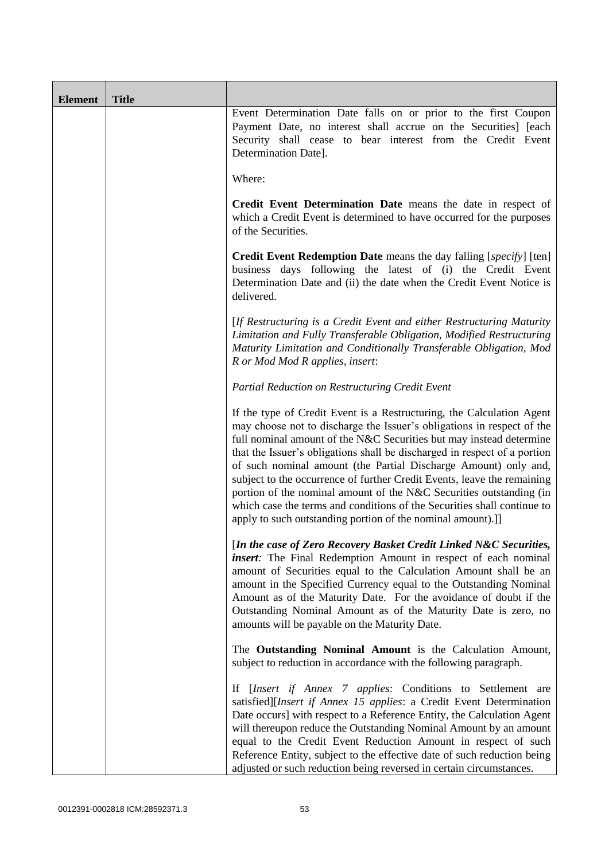| <b>Element</b> | <b>Title</b> |                                                                                                                                                                                                                                                                                                                                                                                                                                                                                                                                                                                                                                                                    |
|----------------|--------------|--------------------------------------------------------------------------------------------------------------------------------------------------------------------------------------------------------------------------------------------------------------------------------------------------------------------------------------------------------------------------------------------------------------------------------------------------------------------------------------------------------------------------------------------------------------------------------------------------------------------------------------------------------------------|
|                |              | Event Determination Date falls on or prior to the first Coupon<br>Payment Date, no interest shall accrue on the Securities] [each<br>Security shall cease to bear interest from the Credit Event<br>Determination Date].                                                                                                                                                                                                                                                                                                                                                                                                                                           |
|                |              | Where:                                                                                                                                                                                                                                                                                                                                                                                                                                                                                                                                                                                                                                                             |
|                |              | Credit Event Determination Date means the date in respect of<br>which a Credit Event is determined to have occurred for the purposes<br>of the Securities.                                                                                                                                                                                                                                                                                                                                                                                                                                                                                                         |
|                |              | <b>Credit Event Redemption Date</b> means the day falling [specify] [ten]<br>business days following the latest of (i) the Credit Event<br>Determination Date and (ii) the date when the Credit Event Notice is<br>delivered.                                                                                                                                                                                                                                                                                                                                                                                                                                      |
|                |              | [If Restructuring is a Credit Event and either Restructuring Maturity<br>Limitation and Fully Transferable Obligation, Modified Restructuring<br>Maturity Limitation and Conditionally Transferable Obligation, Mod<br>R or Mod Mod R applies, insert:                                                                                                                                                                                                                                                                                                                                                                                                             |
|                |              | Partial Reduction on Restructuring Credit Event                                                                                                                                                                                                                                                                                                                                                                                                                                                                                                                                                                                                                    |
|                |              | If the type of Credit Event is a Restructuring, the Calculation Agent<br>may choose not to discharge the Issuer's obligations in respect of the<br>full nominal amount of the N&C Securities but may instead determine<br>that the Issuer's obligations shall be discharged in respect of a portion<br>of such nominal amount (the Partial Discharge Amount) only and,<br>subject to the occurrence of further Credit Events, leave the remaining<br>portion of the nominal amount of the N&C Securities outstanding (in<br>which case the terms and conditions of the Securities shall continue to<br>apply to such outstanding portion of the nominal amount).]] |
|                |              | [In the case of Zero Recovery Basket Credit Linked N&C Securities,<br>insert: The Final Redemption Amount in respect of each nominal<br>amount of Securities equal to the Calculation Amount shall be an<br>amount in the Specified Currency equal to the Outstanding Nominal<br>Amount as of the Maturity Date. For the avoidance of doubt if the<br>Outstanding Nominal Amount as of the Maturity Date is zero, no<br>amounts will be payable on the Maturity Date.                                                                                                                                                                                              |
|                |              | The Outstanding Nominal Amount is the Calculation Amount,<br>subject to reduction in accordance with the following paragraph.                                                                                                                                                                                                                                                                                                                                                                                                                                                                                                                                      |
|                |              | If [Insert if Annex 7 applies: Conditions to Settlement are<br>satisfied][Insert if Annex 15 applies: a Credit Event Determination<br>Date occurs] with respect to a Reference Entity, the Calculation Agent<br>will thereupon reduce the Outstanding Nominal Amount by an amount<br>equal to the Credit Event Reduction Amount in respect of such<br>Reference Entity, subject to the effective date of such reduction being<br>adjusted or such reduction being reversed in certain circumstances.                                                                                                                                                               |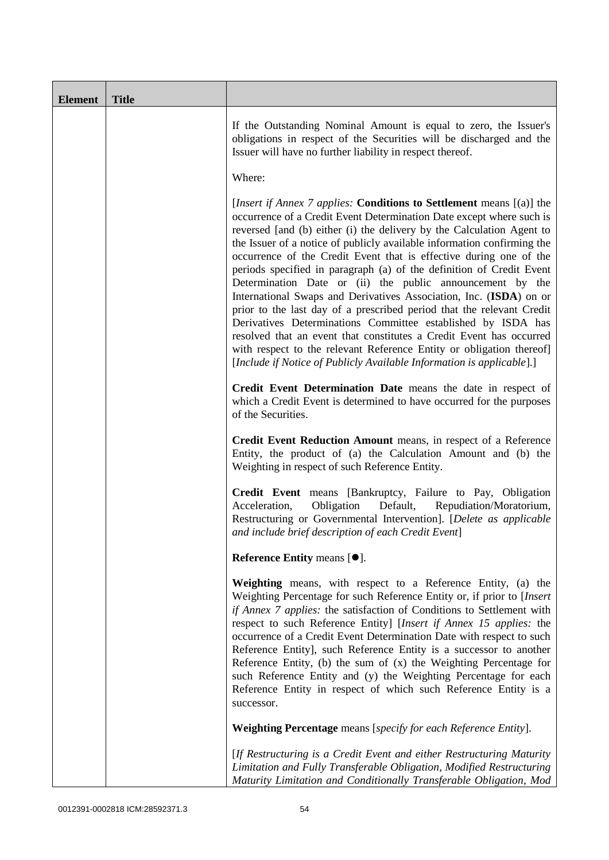| <b>Element</b> | <b>Title</b> |                                                                                                                                                                                                                                                                                                                                                                                                                                                                                                                                                                                                                                                                                                                                                                                                                                                                                                                                                            |
|----------------|--------------|------------------------------------------------------------------------------------------------------------------------------------------------------------------------------------------------------------------------------------------------------------------------------------------------------------------------------------------------------------------------------------------------------------------------------------------------------------------------------------------------------------------------------------------------------------------------------------------------------------------------------------------------------------------------------------------------------------------------------------------------------------------------------------------------------------------------------------------------------------------------------------------------------------------------------------------------------------|
|                |              | If the Outstanding Nominal Amount is equal to zero, the Issuer's<br>obligations in respect of the Securities will be discharged and the<br>Issuer will have no further liability in respect thereof.                                                                                                                                                                                                                                                                                                                                                                                                                                                                                                                                                                                                                                                                                                                                                       |
|                |              | Where:                                                                                                                                                                                                                                                                                                                                                                                                                                                                                                                                                                                                                                                                                                                                                                                                                                                                                                                                                     |
|                |              | [ <i>Insert if Annex 7 applies:</i> Conditions to Settlement means [(a)] the<br>occurrence of a Credit Event Determination Date except where such is<br>reversed [and (b) either (i) the delivery by the Calculation Agent to<br>the Issuer of a notice of publicly available information confirming the<br>occurrence of the Credit Event that is effective during one of the<br>periods specified in paragraph (a) of the definition of Credit Event<br>Determination Date or (ii) the public announcement by the<br>International Swaps and Derivatives Association, Inc. (ISDA) on or<br>prior to the last day of a prescribed period that the relevant Credit<br>Derivatives Determinations Committee established by ISDA has<br>resolved that an event that constitutes a Credit Event has occurred<br>with respect to the relevant Reference Entity or obligation thereof]<br>[Include if Notice of Publicly Available Information is applicable].] |
|                |              | Credit Event Determination Date means the date in respect of<br>which a Credit Event is determined to have occurred for the purposes<br>of the Securities.                                                                                                                                                                                                                                                                                                                                                                                                                                                                                                                                                                                                                                                                                                                                                                                                 |
|                |              | Credit Event Reduction Amount means, in respect of a Reference<br>Entity, the product of (a) the Calculation Amount and (b) the<br>Weighting in respect of such Reference Entity.                                                                                                                                                                                                                                                                                                                                                                                                                                                                                                                                                                                                                                                                                                                                                                          |
|                |              | Credit Event means [Bankruptcy, Failure to Pay, Obligation<br>Obligation<br>Acceleration,<br>Default,<br>Repudiation/Moratorium,<br>Restructuring or Governmental Intervention]. [Delete as applicable<br>and include brief description of each Credit Event]                                                                                                                                                                                                                                                                                                                                                                                                                                                                                                                                                                                                                                                                                              |
|                |              | Reference Entity means [ $\bullet$ ].                                                                                                                                                                                                                                                                                                                                                                                                                                                                                                                                                                                                                                                                                                                                                                                                                                                                                                                      |
|                |              | Weighting means, with respect to a Reference Entity, (a) the<br>Weighting Percentage for such Reference Entity or, if prior to [Insert<br>if Annex 7 applies: the satisfaction of Conditions to Settlement with<br>respect to such Reference Entity] [Insert if Annex 15 applies: the<br>occurrence of a Credit Event Determination Date with respect to such<br>Reference Entity], such Reference Entity is a successor to another<br>Reference Entity, (b) the sum of $(x)$ the Weighting Percentage for<br>such Reference Entity and (y) the Weighting Percentage for each<br>Reference Entity in respect of which such Reference Entity is a<br>successor.                                                                                                                                                                                                                                                                                             |
|                |              | <b>Weighting Percentage</b> means [specify for each Reference Entity].                                                                                                                                                                                                                                                                                                                                                                                                                                                                                                                                                                                                                                                                                                                                                                                                                                                                                     |
|                |              | [If Restructuring is a Credit Event and either Restructuring Maturity<br>Limitation and Fully Transferable Obligation, Modified Restructuring<br>Maturity Limitation and Conditionally Transferable Obligation, Mod                                                                                                                                                                                                                                                                                                                                                                                                                                                                                                                                                                                                                                                                                                                                        |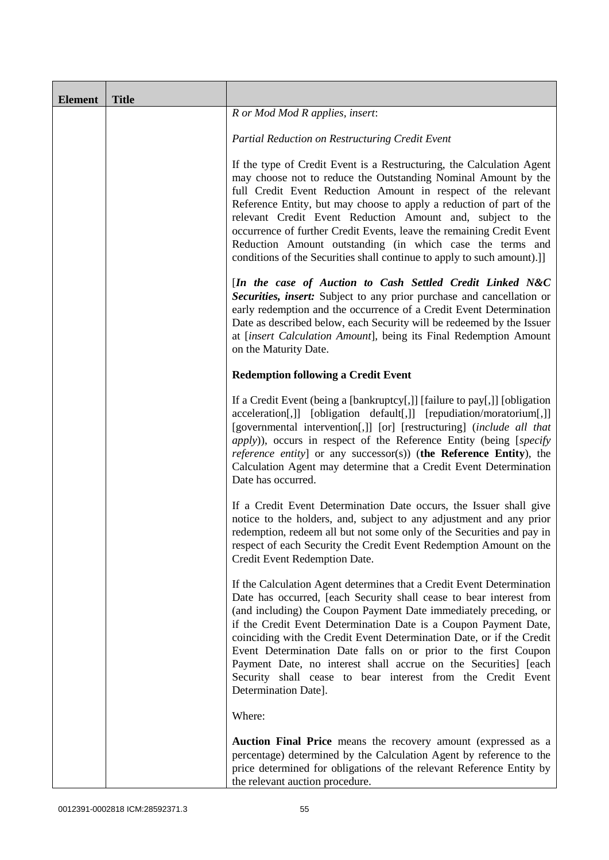| <b>Element</b> | <b>Title</b> |                                                                                                                                                                                                                                                                                                                                                                                                                                                                                                                                                                                            |
|----------------|--------------|--------------------------------------------------------------------------------------------------------------------------------------------------------------------------------------------------------------------------------------------------------------------------------------------------------------------------------------------------------------------------------------------------------------------------------------------------------------------------------------------------------------------------------------------------------------------------------------------|
|                |              | R or Mod Mod R applies, insert:                                                                                                                                                                                                                                                                                                                                                                                                                                                                                                                                                            |
|                |              | Partial Reduction on Restructuring Credit Event                                                                                                                                                                                                                                                                                                                                                                                                                                                                                                                                            |
|                |              | If the type of Credit Event is a Restructuring, the Calculation Agent<br>may choose not to reduce the Outstanding Nominal Amount by the<br>full Credit Event Reduction Amount in respect of the relevant<br>Reference Entity, but may choose to apply a reduction of part of the<br>relevant Credit Event Reduction Amount and, subject to the<br>occurrence of further Credit Events, leave the remaining Credit Event<br>Reduction Amount outstanding (in which case the terms and<br>conditions of the Securities shall continue to apply to such amount).]]                            |
|                |              | [In the case of Auction to Cash Settled Credit Linked N&C<br>Securities, insert: Subject to any prior purchase and cancellation or<br>early redemption and the occurrence of a Credit Event Determination<br>Date as described below, each Security will be redeemed by the Issuer<br>at [insert Calculation Amount], being its Final Redemption Amount<br>on the Maturity Date.                                                                                                                                                                                                           |
|                |              | <b>Redemption following a Credit Event</b>                                                                                                                                                                                                                                                                                                                                                                                                                                                                                                                                                 |
|                |              | If a Credit Event (being a [bankruptcy[,]] [failure to pay[,]] [obligation<br>acceleration[,]] [obligation default[,]] [repudiation/moratorium[,]]<br>[governmental intervention[,]] [or] [restructuring] (include all that<br><i>apply</i> )), occurs in respect of the Reference Entity (being [specify<br><i>reference entity</i> ] or any successor(s)) (the Reference Entity), the<br>Calculation Agent may determine that a Credit Event Determination<br>Date has occurred.                                                                                                         |
|                |              | If a Credit Event Determination Date occurs, the Issuer shall give<br>notice to the holders, and, subject to any adjustment and any prior<br>redemption, redeem all but not some only of the Securities and pay in<br>respect of each Security the Credit Event Redemption Amount on the<br>Credit Event Redemption Date.                                                                                                                                                                                                                                                                  |
|                |              | If the Calculation Agent determines that a Credit Event Determination<br>Date has occurred, [each Security shall cease to bear interest from<br>(and including) the Coupon Payment Date immediately preceding, or<br>if the Credit Event Determination Date is a Coupon Payment Date,<br>coinciding with the Credit Event Determination Date, or if the Credit<br>Event Determination Date falls on or prior to the first Coupon<br>Payment Date, no interest shall accrue on the Securities] [each<br>Security shall cease to bear interest from the Credit Event<br>Determination Date]. |
|                |              | Where:                                                                                                                                                                                                                                                                                                                                                                                                                                                                                                                                                                                     |
|                |              | <b>Auction Final Price</b> means the recovery amount (expressed as a<br>percentage) determined by the Calculation Agent by reference to the<br>price determined for obligations of the relevant Reference Entity by<br>the relevant auction procedure.                                                                                                                                                                                                                                                                                                                                     |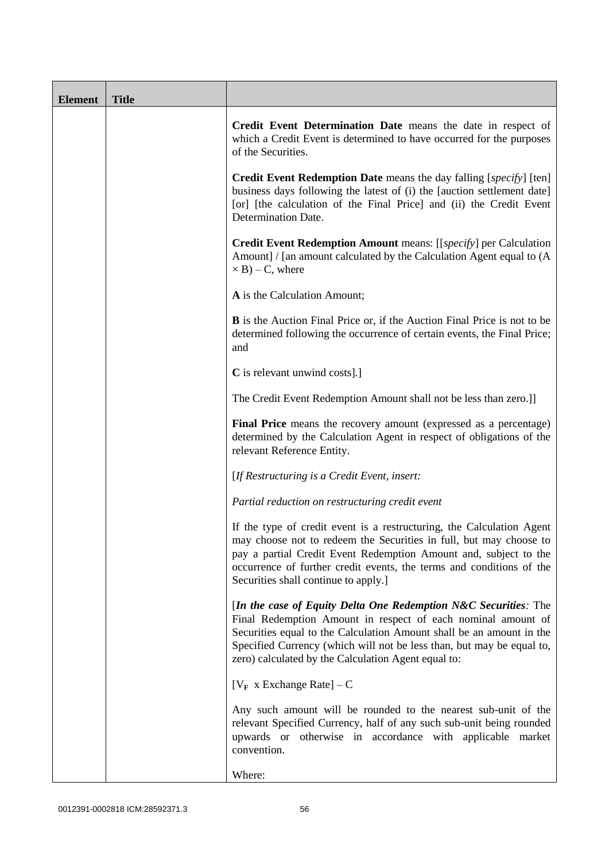| <b>Element</b> | <b>Title</b> |                                                                                                                                                                                                                                                                                                                                         |
|----------------|--------------|-----------------------------------------------------------------------------------------------------------------------------------------------------------------------------------------------------------------------------------------------------------------------------------------------------------------------------------------|
|                |              | Credit Event Determination Date means the date in respect of<br>which a Credit Event is determined to have occurred for the purposes<br>of the Securities.                                                                                                                                                                              |
|                |              | <b>Credit Event Redemption Date</b> means the day falling [specify] [ten]<br>business days following the latest of (i) the [auction settlement date]<br>[or] [the calculation of the Final Price] and (ii) the Credit Event<br>Determination Date.                                                                                      |
|                |              | Credit Event Redemption Amount means: [[specify] per Calculation<br>Amount] / [an amount calculated by the Calculation Agent equal to (A<br>$\times$ B) – C, where                                                                                                                                                                      |
|                |              | A is the Calculation Amount;                                                                                                                                                                                                                                                                                                            |
|                |              | <b>B</b> is the Auction Final Price or, if the Auction Final Price is not to be<br>determined following the occurrence of certain events, the Final Price;<br>and                                                                                                                                                                       |
|                |              | C is relevant unwind costs].]                                                                                                                                                                                                                                                                                                           |
|                |              | The Credit Event Redemption Amount shall not be less than zero.]]                                                                                                                                                                                                                                                                       |
|                |              | Final Price means the recovery amount (expressed as a percentage)<br>determined by the Calculation Agent in respect of obligations of the<br>relevant Reference Entity.                                                                                                                                                                 |
|                |              | [If Restructuring is a Credit Event, insert:                                                                                                                                                                                                                                                                                            |
|                |              | Partial reduction on restructuring credit event                                                                                                                                                                                                                                                                                         |
|                |              | If the type of credit event is a restructuring, the Calculation Agent<br>may choose not to redeem the Securities in full, but may choose to<br>pay a partial Credit Event Redemption Amount and, subject to the<br>occurrence of further credit events, the terms and conditions of the<br>Securities shall continue to apply.]         |
|                |              | [In the case of Equity Delta One Redemption N&C Securities: The<br>Final Redemption Amount in respect of each nominal amount of<br>Securities equal to the Calculation Amount shall be an amount in the<br>Specified Currency (which will not be less than, but may be equal to,<br>zero) calculated by the Calculation Agent equal to: |
|                |              | [ $V_F$ x Exchange Rate] – C                                                                                                                                                                                                                                                                                                            |
|                |              | Any such amount will be rounded to the nearest sub-unit of the<br>relevant Specified Currency, half of any such sub-unit being rounded<br>upwards or otherwise in accordance with applicable market<br>convention.                                                                                                                      |
|                |              | Where:                                                                                                                                                                                                                                                                                                                                  |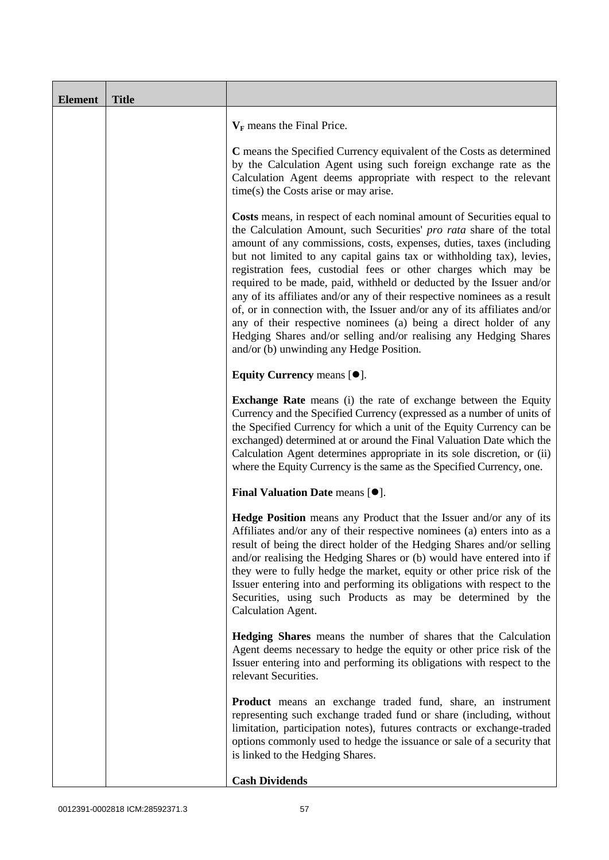| <b>Element</b> | <b>Title</b> |                                                                                                                                                                                                                                                                                                                                                                                                                                                                                                                                                                                                                                                                                                                                                                                           |
|----------------|--------------|-------------------------------------------------------------------------------------------------------------------------------------------------------------------------------------------------------------------------------------------------------------------------------------------------------------------------------------------------------------------------------------------------------------------------------------------------------------------------------------------------------------------------------------------------------------------------------------------------------------------------------------------------------------------------------------------------------------------------------------------------------------------------------------------|
|                |              | $V_F$ means the Final Price.                                                                                                                                                                                                                                                                                                                                                                                                                                                                                                                                                                                                                                                                                                                                                              |
|                |              | C means the Specified Currency equivalent of the Costs as determined<br>by the Calculation Agent using such foreign exchange rate as the<br>Calculation Agent deems appropriate with respect to the relevant<br>$time(s)$ the Costs arise or may arise.                                                                                                                                                                                                                                                                                                                                                                                                                                                                                                                                   |
|                |              | Costs means, in respect of each nominal amount of Securities equal to<br>the Calculation Amount, such Securities' pro rata share of the total<br>amount of any commissions, costs, expenses, duties, taxes (including<br>but not limited to any capital gains tax or withholding tax), levies,<br>registration fees, custodial fees or other charges which may be<br>required to be made, paid, withheld or deducted by the Issuer and/or<br>any of its affiliates and/or any of their respective nominees as a result<br>of, or in connection with, the Issuer and/or any of its affiliates and/or<br>any of their respective nominees (a) being a direct holder of any<br>Hedging Shares and/or selling and/or realising any Hedging Shares<br>and/or (b) unwinding any Hedge Position. |
|                |              | Equity Currency means [ $\bullet$ ].                                                                                                                                                                                                                                                                                                                                                                                                                                                                                                                                                                                                                                                                                                                                                      |
|                |              | <b>Exchange Rate</b> means (i) the rate of exchange between the Equity<br>Currency and the Specified Currency (expressed as a number of units of<br>the Specified Currency for which a unit of the Equity Currency can be<br>exchanged) determined at or around the Final Valuation Date which the<br>Calculation Agent determines appropriate in its sole discretion, or (ii)<br>where the Equity Currency is the same as the Specified Currency, one.                                                                                                                                                                                                                                                                                                                                   |
|                |              | <b>Final Valuation Date means <math>[•]</math>.</b>                                                                                                                                                                                                                                                                                                                                                                                                                                                                                                                                                                                                                                                                                                                                       |
|                |              | Hedge Position means any Product that the Issuer and/or any of its<br>Affiliates and/or any of their respective nominees (a) enters into as a<br>result of being the direct holder of the Hedging Shares and/or selling<br>and/or realising the Hedging Shares or (b) would have entered into if<br>they were to fully hedge the market, equity or other price risk of the<br>Issuer entering into and performing its obligations with respect to the<br>Securities, using such Products as may be determined by the<br>Calculation Agent.                                                                                                                                                                                                                                                |
|                |              | <b>Hedging Shares</b> means the number of shares that the Calculation<br>Agent deems necessary to hedge the equity or other price risk of the<br>Issuer entering into and performing its obligations with respect to the<br>relevant Securities.                                                                                                                                                                                                                                                                                                                                                                                                                                                                                                                                          |
|                |              | <b>Product</b> means an exchange traded fund, share, an instrument<br>representing such exchange traded fund or share (including, without<br>limitation, participation notes), futures contracts or exchange-traded<br>options commonly used to hedge the issuance or sale of a security that<br>is linked to the Hedging Shares.                                                                                                                                                                                                                                                                                                                                                                                                                                                         |
|                |              | <b>Cash Dividends</b>                                                                                                                                                                                                                                                                                                                                                                                                                                                                                                                                                                                                                                                                                                                                                                     |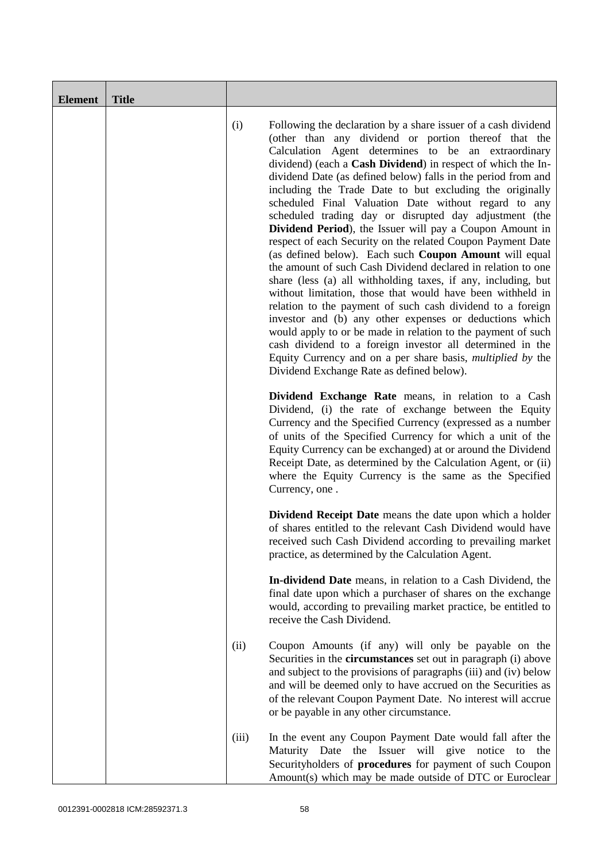| <b>Element</b> | <b>Title</b> |       |                                                                                                                                                                                                                                                                                                                                                                                                                                                                                                                                                                                                                                                                                                                                                                                                                                                                                                                                                                                                                                                                                                                                                                                                                                                                  |
|----------------|--------------|-------|------------------------------------------------------------------------------------------------------------------------------------------------------------------------------------------------------------------------------------------------------------------------------------------------------------------------------------------------------------------------------------------------------------------------------------------------------------------------------------------------------------------------------------------------------------------------------------------------------------------------------------------------------------------------------------------------------------------------------------------------------------------------------------------------------------------------------------------------------------------------------------------------------------------------------------------------------------------------------------------------------------------------------------------------------------------------------------------------------------------------------------------------------------------------------------------------------------------------------------------------------------------|
|                |              | (i)   | Following the declaration by a share issuer of a cash dividend<br>(other than any dividend or portion thereof that the<br>Calculation Agent determines to be an extraordinary<br>dividend) (each a Cash Dividend) in respect of which the In-<br>dividend Date (as defined below) falls in the period from and<br>including the Trade Date to but excluding the originally<br>scheduled Final Valuation Date without regard to any<br>scheduled trading day or disrupted day adjustment (the<br>Dividend Period), the Issuer will pay a Coupon Amount in<br>respect of each Security on the related Coupon Payment Date<br>(as defined below). Each such <b>Coupon Amount</b> will equal<br>the amount of such Cash Dividend declared in relation to one<br>share (less (a) all withholding taxes, if any, including, but<br>without limitation, those that would have been withheld in<br>relation to the payment of such cash dividend to a foreign<br>investor and (b) any other expenses or deductions which<br>would apply to or be made in relation to the payment of such<br>cash dividend to a foreign investor all determined in the<br>Equity Currency and on a per share basis, <i>multiplied by</i> the<br>Dividend Exchange Rate as defined below). |
|                |              |       | Dividend Exchange Rate means, in relation to a Cash<br>Dividend, (i) the rate of exchange between the Equity<br>Currency and the Specified Currency (expressed as a number<br>of units of the Specified Currency for which a unit of the<br>Equity Currency can be exchanged) at or around the Dividend<br>Receipt Date, as determined by the Calculation Agent, or (ii)<br>where the Equity Currency is the same as the Specified<br>Currency, one.                                                                                                                                                                                                                                                                                                                                                                                                                                                                                                                                                                                                                                                                                                                                                                                                             |
|                |              |       | <b>Dividend Receipt Date</b> means the date upon which a holder<br>of shares entitled to the relevant Cash Dividend would have<br>received such Cash Dividend according to prevailing market<br>practice, as determined by the Calculation Agent.                                                                                                                                                                                                                                                                                                                                                                                                                                                                                                                                                                                                                                                                                                                                                                                                                                                                                                                                                                                                                |
|                |              |       | In-dividend Date means, in relation to a Cash Dividend, the<br>final date upon which a purchaser of shares on the exchange<br>would, according to prevailing market practice, be entitled to<br>receive the Cash Dividend.                                                                                                                                                                                                                                                                                                                                                                                                                                                                                                                                                                                                                                                                                                                                                                                                                                                                                                                                                                                                                                       |
|                |              | (ii)  | Coupon Amounts (if any) will only be payable on the<br>Securities in the <b>circumstances</b> set out in paragraph (i) above<br>and subject to the provisions of paragraphs (iii) and (iv) below<br>and will be deemed only to have accrued on the Securities as<br>of the relevant Coupon Payment Date. No interest will accrue<br>or be payable in any other circumstance.                                                                                                                                                                                                                                                                                                                                                                                                                                                                                                                                                                                                                                                                                                                                                                                                                                                                                     |
|                |              | (iii) | In the event any Coupon Payment Date would fall after the<br>the Issuer will give<br>Maturity Date<br>notice<br>the<br>to<br>Securityholders of procedures for payment of such Coupon<br>Amount(s) which may be made outside of DTC or Euroclear                                                                                                                                                                                                                                                                                                                                                                                                                                                                                                                                                                                                                                                                                                                                                                                                                                                                                                                                                                                                                 |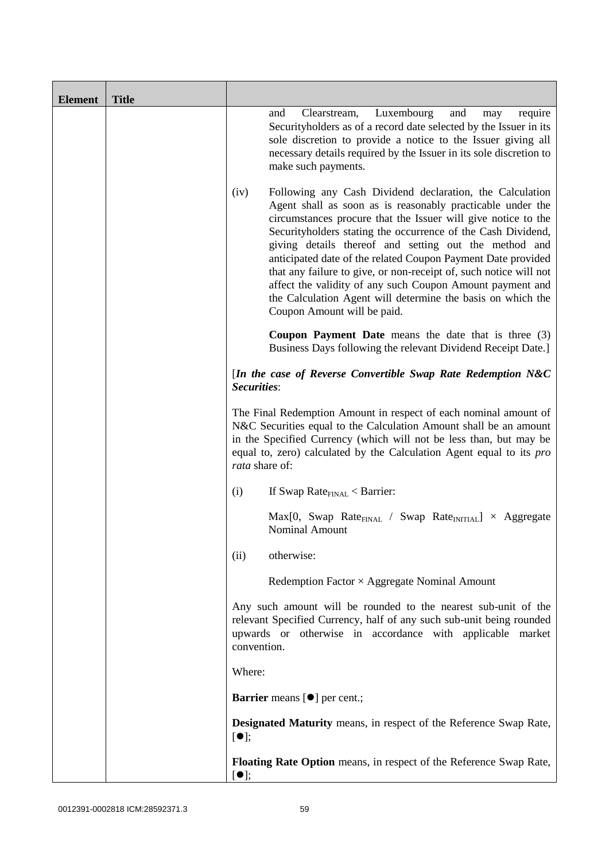| <b>Element</b> | <b>Title</b> |                                                                                                                                                                                                                                                                                                                                                                                                                                                                                                                                                                                                                           |
|----------------|--------------|---------------------------------------------------------------------------------------------------------------------------------------------------------------------------------------------------------------------------------------------------------------------------------------------------------------------------------------------------------------------------------------------------------------------------------------------------------------------------------------------------------------------------------------------------------------------------------------------------------------------------|
|                |              | Luxembourg<br>and<br>and<br>require<br>Clearstream,<br>may<br>Security holders as of a record date selected by the Issuer in its<br>sole discretion to provide a notice to the Issuer giving all<br>necessary details required by the Issuer in its sole discretion to<br>make such payments.                                                                                                                                                                                                                                                                                                                             |
|                |              | Following any Cash Dividend declaration, the Calculation<br>(iv)<br>Agent shall as soon as is reasonably practicable under the<br>circumstances procure that the Issuer will give notice to the<br>Security holders stating the occurrence of the Cash Dividend,<br>giving details thereof and setting out the method and<br>anticipated date of the related Coupon Payment Date provided<br>that any failure to give, or non-receipt of, such notice will not<br>affect the validity of any such Coupon Amount payment and<br>the Calculation Agent will determine the basis on which the<br>Coupon Amount will be paid. |
|                |              | <b>Coupon Payment Date</b> means the date that is three (3)<br>Business Days following the relevant Dividend Receipt Date.]                                                                                                                                                                                                                                                                                                                                                                                                                                                                                               |
|                |              | [In the case of Reverse Convertible Swap Rate Redemption $N&C$<br>Securities:                                                                                                                                                                                                                                                                                                                                                                                                                                                                                                                                             |
|                |              | The Final Redemption Amount in respect of each nominal amount of<br>N&C Securities equal to the Calculation Amount shall be an amount<br>in the Specified Currency (which will not be less than, but may be<br>equal to, zero) calculated by the Calculation Agent equal to its pro<br>rata share of:                                                                                                                                                                                                                                                                                                                     |
|                |              | If Swap Rate $_{\text{FINAL}}$ < Barrier:<br>(i)                                                                                                                                                                                                                                                                                                                                                                                                                                                                                                                                                                          |
|                |              | $Max[0, Swap RateFINAL / Swap RateINITIAL] \times Aggregate$<br><b>Nominal Amount</b>                                                                                                                                                                                                                                                                                                                                                                                                                                                                                                                                     |
|                |              | otherwise:<br>(ii)                                                                                                                                                                                                                                                                                                                                                                                                                                                                                                                                                                                                        |
|                |              | Redemption Factor $\times$ Aggregate Nominal Amount                                                                                                                                                                                                                                                                                                                                                                                                                                                                                                                                                                       |
|                |              | Any such amount will be rounded to the nearest sub-unit of the<br>relevant Specified Currency, half of any such sub-unit being rounded<br>upwards or otherwise in accordance with applicable market<br>convention.                                                                                                                                                                                                                                                                                                                                                                                                        |
|                |              | Where:                                                                                                                                                                                                                                                                                                                                                                                                                                                                                                                                                                                                                    |
|                |              | Barrier means [ $\bullet$ ] per cent.;                                                                                                                                                                                                                                                                                                                                                                                                                                                                                                                                                                                    |
|                |              | <b>Designated Maturity</b> means, in respect of the Reference Swap Rate,<br>$[\bullet]$ ;                                                                                                                                                                                                                                                                                                                                                                                                                                                                                                                                 |
|                |              | Floating Rate Option means, in respect of the Reference Swap Rate,<br>$[\bullet]$ ;                                                                                                                                                                                                                                                                                                                                                                                                                                                                                                                                       |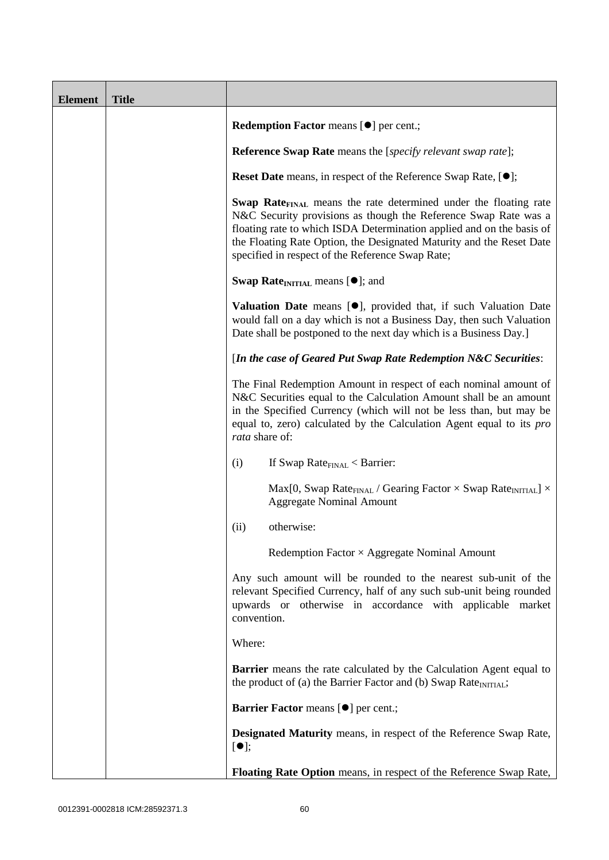| <b>Element</b> | <b>Title</b> |                                                                                                                                                                                                                                                                                                                                                             |
|----------------|--------------|-------------------------------------------------------------------------------------------------------------------------------------------------------------------------------------------------------------------------------------------------------------------------------------------------------------------------------------------------------------|
|                |              | <b>Redemption Factor means [<math>\bullet</math>] per cent.;</b>                                                                                                                                                                                                                                                                                            |
|                |              | <b>Reference Swap Rate</b> means the [specify relevant swap rate];                                                                                                                                                                                                                                                                                          |
|                |              | <b>Reset Date</b> means, in respect of the Reference Swap Rate, [ $\bullet$ ];                                                                                                                                                                                                                                                                              |
|                |              | <b>Swap Rate</b> <sub>FINAL</sub> means the rate determined under the floating rate<br>N&C Security provisions as though the Reference Swap Rate was a<br>floating rate to which ISDA Determination applied and on the basis of<br>the Floating Rate Option, the Designated Maturity and the Reset Date<br>specified in respect of the Reference Swap Rate; |
|                |              | <b>Swap Rate</b> <sub>INITIAL</sub> means $[•]$ ; and                                                                                                                                                                                                                                                                                                       |
|                |              | <b>Valuation Date</b> means $[•]$ , provided that, if such Valuation Date<br>would fall on a day which is not a Business Day, then such Valuation<br>Date shall be postponed to the next day which is a Business Day.]                                                                                                                                      |
|                |              | [In the case of Geared Put Swap Rate Redemption N&C Securities:                                                                                                                                                                                                                                                                                             |
|                |              | The Final Redemption Amount in respect of each nominal amount of<br>N&C Securities equal to the Calculation Amount shall be an amount<br>in the Specified Currency (which will not be less than, but may be<br>equal to, zero) calculated by the Calculation Agent equal to its pro<br>rata share of:                                                       |
|                |              | If Swap Rate $_{\text{FINAL}}$ < Barrier:<br>(i)                                                                                                                                                                                                                                                                                                            |
|                |              | Max[0, Swap Rate <sub>FINAL</sub> / Gearing Factor $\times$ Swap Rate <sub>INITIAL</sub> ] $\times$<br><b>Aggregate Nominal Amount</b>                                                                                                                                                                                                                      |
|                |              | otherwise:<br>(ii)                                                                                                                                                                                                                                                                                                                                          |
|                |              | Redemption Factor $\times$ Aggregate Nominal Amount                                                                                                                                                                                                                                                                                                         |
|                |              | Any such amount will be rounded to the nearest sub-unit of the<br>relevant Specified Currency, half of any such sub-unit being rounded<br>upwards or otherwise in accordance with applicable market<br>convention.                                                                                                                                          |
|                |              | Where:                                                                                                                                                                                                                                                                                                                                                      |
|                |              | <b>Barrier</b> means the rate calculated by the Calculation Agent equal to<br>the product of (a) the Barrier Factor and (b) Swap Rate <sub>INITIAL</sub> ;                                                                                                                                                                                                  |
|                |              | <b>Barrier Factor means [O] per cent.;</b>                                                                                                                                                                                                                                                                                                                  |
|                |              | <b>Designated Maturity</b> means, in respect of the Reference Swap Rate,<br>$[\bullet]$ ;                                                                                                                                                                                                                                                                   |
|                |              | Floating Rate Option means, in respect of the Reference Swap Rate,                                                                                                                                                                                                                                                                                          |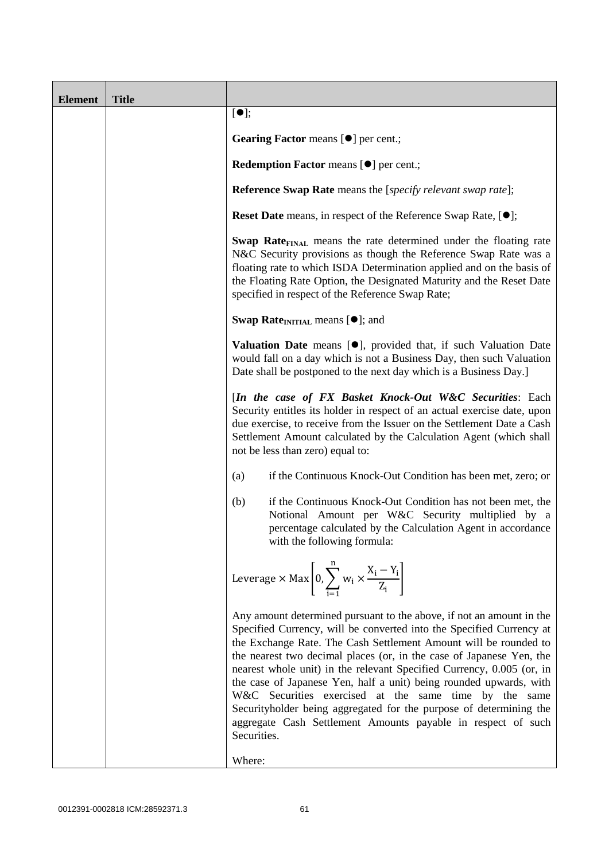| <b>Element</b> | <b>Title</b> |                                                                                                                                                                                                                                                                                                                                                                                                                                                                                                                                                                                                                                                       |
|----------------|--------------|-------------------------------------------------------------------------------------------------------------------------------------------------------------------------------------------------------------------------------------------------------------------------------------------------------------------------------------------------------------------------------------------------------------------------------------------------------------------------------------------------------------------------------------------------------------------------------------------------------------------------------------------------------|
|                |              | $[\bullet]$ ;                                                                                                                                                                                                                                                                                                                                                                                                                                                                                                                                                                                                                                         |
|                |              | Gearing Factor means [ $\bullet$ ] per cent.;                                                                                                                                                                                                                                                                                                                                                                                                                                                                                                                                                                                                         |
|                |              | <b>Redemption Factor means [<math>\bullet</math>] per cent.;</b>                                                                                                                                                                                                                                                                                                                                                                                                                                                                                                                                                                                      |
|                |              | <b>Reference Swap Rate</b> means the [specify relevant swap rate];                                                                                                                                                                                                                                                                                                                                                                                                                                                                                                                                                                                    |
|                |              | <b>Reset Date</b> means, in respect of the Reference Swap Rate, [ $\bullet$ ];                                                                                                                                                                                                                                                                                                                                                                                                                                                                                                                                                                        |
|                |              | <b>Swap Rate</b> <sub>FINAL</sub> means the rate determined under the floating rate<br>N&C Security provisions as though the Reference Swap Rate was a<br>floating rate to which ISDA Determination applied and on the basis of<br>the Floating Rate Option, the Designated Maturity and the Reset Date<br>specified in respect of the Reference Swap Rate;                                                                                                                                                                                                                                                                                           |
|                |              | <b>Swap Rate</b> <sub>INITIAL</sub> means $[•]$ ; and                                                                                                                                                                                                                                                                                                                                                                                                                                                                                                                                                                                                 |
|                |              | Valuation Date means [ <sup>•</sup> ], provided that, if such Valuation Date<br>would fall on a day which is not a Business Day, then such Valuation<br>Date shall be postponed to the next day which is a Business Day.]                                                                                                                                                                                                                                                                                                                                                                                                                             |
|                |              | [In the case of FX Basket Knock-Out W&C Securities: Each<br>Security entitles its holder in respect of an actual exercise date, upon<br>due exercise, to receive from the Issuer on the Settlement Date a Cash<br>Settlement Amount calculated by the Calculation Agent (which shall<br>not be less than zero) equal to:                                                                                                                                                                                                                                                                                                                              |
|                |              | if the Continuous Knock-Out Condition has been met, zero; or<br>(a)                                                                                                                                                                                                                                                                                                                                                                                                                                                                                                                                                                                   |
|                |              | if the Continuous Knock-Out Condition has not been met, the<br>(b)<br>Notional Amount per W&C Security multiplied by a<br>percentage calculated by the Calculation Agent in accordance<br>with the following formula:                                                                                                                                                                                                                                                                                                                                                                                                                                 |
|                |              | Leverage $\times$ Max $\left[0, \sum_{i=1}^{n} w_i \times \frac{X_i - Y_i}{Z_i}\right]$                                                                                                                                                                                                                                                                                                                                                                                                                                                                                                                                                               |
|                |              | Any amount determined pursuant to the above, if not an amount in the<br>Specified Currency, will be converted into the Specified Currency at<br>the Exchange Rate. The Cash Settlement Amount will be rounded to<br>the nearest two decimal places (or, in the case of Japanese Yen, the<br>nearest whole unit) in the relevant Specified Currency, 0.005 (or, in<br>the case of Japanese Yen, half a unit) being rounded upwards, with<br>W&C Securities exercised at the same time by the same<br>Securityholder being aggregated for the purpose of determining the<br>aggregate Cash Settlement Amounts payable in respect of such<br>Securities. |
|                |              | Where:                                                                                                                                                                                                                                                                                                                                                                                                                                                                                                                                                                                                                                                |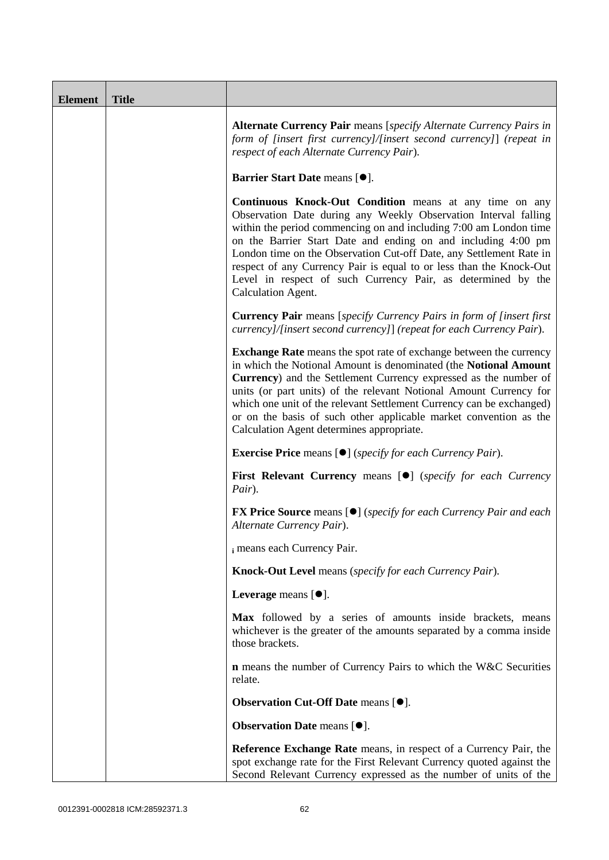| <b>Element</b> | <b>Title</b> |                                                                                                                                                                                                                                                                                                                                                                                                                                                                                                             |
|----------------|--------------|-------------------------------------------------------------------------------------------------------------------------------------------------------------------------------------------------------------------------------------------------------------------------------------------------------------------------------------------------------------------------------------------------------------------------------------------------------------------------------------------------------------|
|                |              | <b>Alternate Currency Pair</b> means [specify Alternate Currency Pairs in<br>form of [insert first currency]/[insert second currency]] (repeat in<br>respect of each Alternate Currency Pair).                                                                                                                                                                                                                                                                                                              |
|                |              | Barrier Start Date means [ $\bullet$ ].                                                                                                                                                                                                                                                                                                                                                                                                                                                                     |
|                |              | <b>Continuous Knock-Out Condition</b> means at any time on any<br>Observation Date during any Weekly Observation Interval falling<br>within the period commencing on and including 7:00 am London time<br>on the Barrier Start Date and ending on and including 4:00 pm<br>London time on the Observation Cut-off Date, any Settlement Rate in<br>respect of any Currency Pair is equal to or less than the Knock-Out<br>Level in respect of such Currency Pair, as determined by the<br>Calculation Agent. |
|                |              | <b>Currency Pair</b> means [specify Currency Pairs in form of [insert first]<br>currency]/[insert second currency]] (repeat for each Currency Pair).                                                                                                                                                                                                                                                                                                                                                        |
|                |              | <b>Exchange Rate</b> means the spot rate of exchange between the currency<br>in which the Notional Amount is denominated (the Notional Amount<br>Currency) and the Settlement Currency expressed as the number of<br>units (or part units) of the relevant Notional Amount Currency for<br>which one unit of the relevant Settlement Currency can be exchanged)<br>or on the basis of such other applicable market convention as the<br>Calculation Agent determines appropriate.                           |
|                |              | <b>Exercise Price</b> means $[\bullet]$ ( <i>specify for each Currency Pair</i> ).                                                                                                                                                                                                                                                                                                                                                                                                                          |
|                |              | <b>First Relevant Currency means [O]</b> (specify for each Currency<br>Pair).                                                                                                                                                                                                                                                                                                                                                                                                                               |
|                |              | FX Price Source means [ $\bullet$ ] (specify for each Currency Pair and each<br>Alternate Currency Pair).                                                                                                                                                                                                                                                                                                                                                                                                   |
|                |              | i means each Currency Pair.                                                                                                                                                                                                                                                                                                                                                                                                                                                                                 |
|                |              | <b>Knock-Out Level</b> means (specify for each Currency Pair).                                                                                                                                                                                                                                                                                                                                                                                                                                              |
|                |              | Leverage means $[\bullet].$                                                                                                                                                                                                                                                                                                                                                                                                                                                                                 |
|                |              | Max followed by a series of amounts inside brackets, means<br>whichever is the greater of the amounts separated by a comma inside<br>those brackets.                                                                                                                                                                                                                                                                                                                                                        |
|                |              | <b>n</b> means the number of Currency Pairs to which the W&C Securities<br>relate.                                                                                                                                                                                                                                                                                                                                                                                                                          |
|                |              | Observation Cut-Off Date means [ $\bullet$ ].                                                                                                                                                                                                                                                                                                                                                                                                                                                               |
|                |              | Observation Date means [ $\bullet$ ].                                                                                                                                                                                                                                                                                                                                                                                                                                                                       |
|                |              | <b>Reference Exchange Rate</b> means, in respect of a Currency Pair, the<br>spot exchange rate for the First Relevant Currency quoted against the<br>Second Relevant Currency expressed as the number of units of the                                                                                                                                                                                                                                                                                       |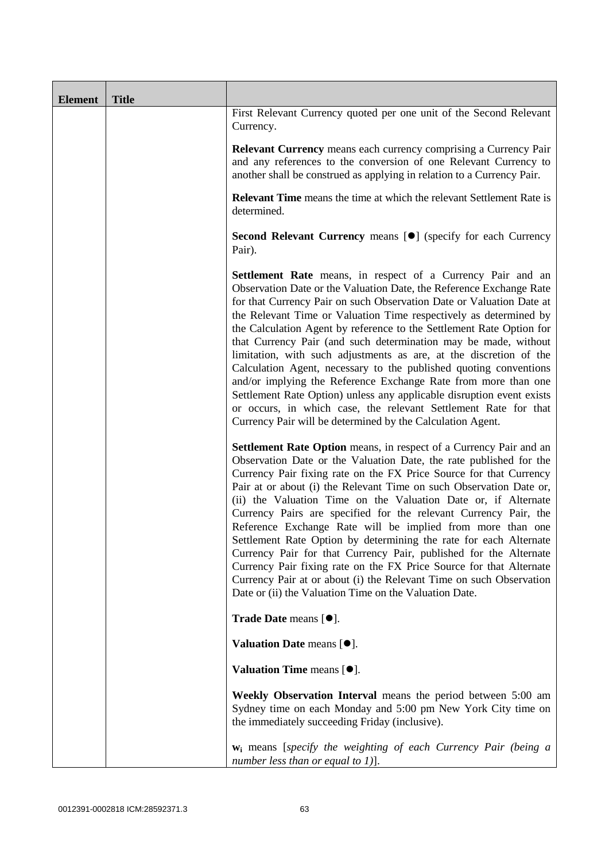| <b>Element</b> | <b>Title</b> |                                                                                                                                                                                                                                                                                                                                                                                                                                                                                                                                                                                                                                                                                                                                                                                                                                                          |
|----------------|--------------|----------------------------------------------------------------------------------------------------------------------------------------------------------------------------------------------------------------------------------------------------------------------------------------------------------------------------------------------------------------------------------------------------------------------------------------------------------------------------------------------------------------------------------------------------------------------------------------------------------------------------------------------------------------------------------------------------------------------------------------------------------------------------------------------------------------------------------------------------------|
|                |              | First Relevant Currency quoted per one unit of the Second Relevant<br>Currency.                                                                                                                                                                                                                                                                                                                                                                                                                                                                                                                                                                                                                                                                                                                                                                          |
|                |              | <b>Relevant Currency</b> means each currency comprising a Currency Pair<br>and any references to the conversion of one Relevant Currency to<br>another shall be construed as applying in relation to a Currency Pair.                                                                                                                                                                                                                                                                                                                                                                                                                                                                                                                                                                                                                                    |
|                |              | <b>Relevant Time</b> means the time at which the relevant Settlement Rate is<br>determined.                                                                                                                                                                                                                                                                                                                                                                                                                                                                                                                                                                                                                                                                                                                                                              |
|                |              | Second Relevant Currency means [ <sup>•</sup> ] (specify for each Currency<br>Pair).                                                                                                                                                                                                                                                                                                                                                                                                                                                                                                                                                                                                                                                                                                                                                                     |
|                |              | <b>Settlement Rate</b> means, in respect of a Currency Pair and an<br>Observation Date or the Valuation Date, the Reference Exchange Rate<br>for that Currency Pair on such Observation Date or Valuation Date at<br>the Relevant Time or Valuation Time respectively as determined by<br>the Calculation Agent by reference to the Settlement Rate Option for<br>that Currency Pair (and such determination may be made, without<br>limitation, with such adjustments as are, at the discretion of the<br>Calculation Agent, necessary to the published quoting conventions<br>and/or implying the Reference Exchange Rate from more than one<br>Settlement Rate Option) unless any applicable disruption event exists<br>or occurs, in which case, the relevant Settlement Rate for that<br>Currency Pair will be determined by the Calculation Agent. |
|                |              | Settlement Rate Option means, in respect of a Currency Pair and an<br>Observation Date or the Valuation Date, the rate published for the<br>Currency Pair fixing rate on the FX Price Source for that Currency<br>Pair at or about (i) the Relevant Time on such Observation Date or,<br>(ii) the Valuation Time on the Valuation Date or, if Alternate<br>Currency Pairs are specified for the relevant Currency Pair, the<br>Reference Exchange Rate will be implied from more than one<br>Settlement Rate Option by determining the rate for each Alternate<br>Currency Pair for that Currency Pair, published for the Alternate<br>Currency Pair fixing rate on the FX Price Source for that Alternate<br>Currency Pair at or about (i) the Relevant Time on such Observation<br>Date or (ii) the Valuation Time on the Valuation Date.              |
|                |              | Trade Date means [ $\bullet$ ].                                                                                                                                                                                                                                                                                                                                                                                                                                                                                                                                                                                                                                                                                                                                                                                                                          |
|                |              | Valuation Date means $[\bullet]$ .                                                                                                                                                                                                                                                                                                                                                                                                                                                                                                                                                                                                                                                                                                                                                                                                                       |
|                |              | Valuation Time means $[\bullet].$                                                                                                                                                                                                                                                                                                                                                                                                                                                                                                                                                                                                                                                                                                                                                                                                                        |
|                |              | Weekly Observation Interval means the period between 5:00 am<br>Sydney time on each Monday and 5:00 pm New York City time on<br>the immediately succeeding Friday (inclusive).                                                                                                                                                                                                                                                                                                                                                                                                                                                                                                                                                                                                                                                                           |
|                |              | $w_i$ means [specify the weighting of each Currency Pair (being a<br>number less than or equal to $1$ ].                                                                                                                                                                                                                                                                                                                                                                                                                                                                                                                                                                                                                                                                                                                                                 |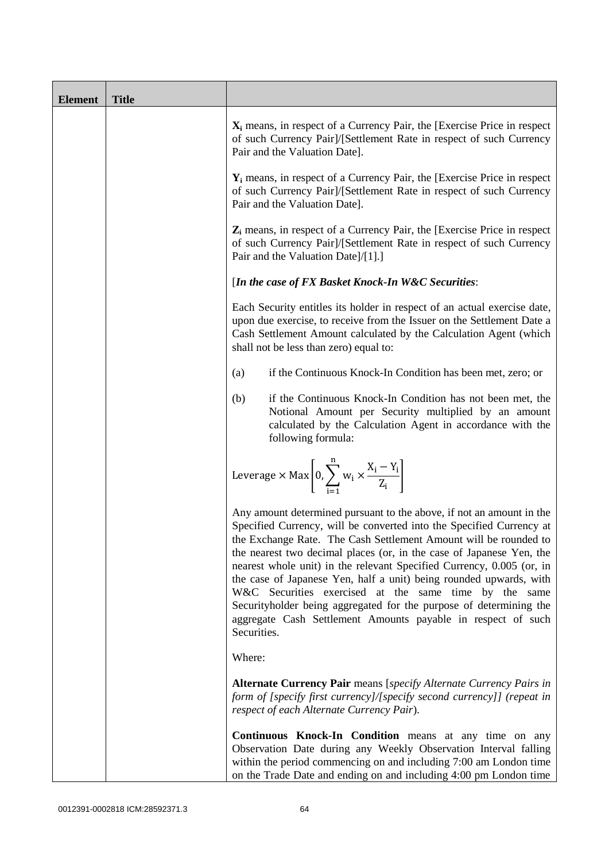| <b>Element</b> | <b>Title</b> |                                                                                                                                                                                                                                                                                                                                                                                                                                                                                                                                                                                                                                                       |
|----------------|--------------|-------------------------------------------------------------------------------------------------------------------------------------------------------------------------------------------------------------------------------------------------------------------------------------------------------------------------------------------------------------------------------------------------------------------------------------------------------------------------------------------------------------------------------------------------------------------------------------------------------------------------------------------------------|
|                |              | $X_i$ means, in respect of a Currency Pair, the [Exercise Price in respect<br>of such Currency Pair]/[Settlement Rate in respect of such Currency<br>Pair and the Valuation Date].                                                                                                                                                                                                                                                                                                                                                                                                                                                                    |
|                |              | $Y_i$ means, in respect of a Currency Pair, the [Exercise Price in respect<br>of such Currency Pair]/[Settlement Rate in respect of such Currency<br>Pair and the Valuation Date].                                                                                                                                                                                                                                                                                                                                                                                                                                                                    |
|                |              | $Z_i$ means, in respect of a Currency Pair, the [Exercise Price in respect<br>of such Currency Pair]/[Settlement Rate in respect of such Currency<br>Pair and the Valuation Date]/[1].]                                                                                                                                                                                                                                                                                                                                                                                                                                                               |
|                |              | [In the case of FX Basket Knock-In W&C Securities:                                                                                                                                                                                                                                                                                                                                                                                                                                                                                                                                                                                                    |
|                |              | Each Security entitles its holder in respect of an actual exercise date,<br>upon due exercise, to receive from the Issuer on the Settlement Date a<br>Cash Settlement Amount calculated by the Calculation Agent (which<br>shall not be less than zero) equal to:                                                                                                                                                                                                                                                                                                                                                                                     |
|                |              | if the Continuous Knock-In Condition has been met, zero; or<br>(a)                                                                                                                                                                                                                                                                                                                                                                                                                                                                                                                                                                                    |
|                |              | if the Continuous Knock-In Condition has not been met, the<br>(b)<br>Notional Amount per Security multiplied by an amount<br>calculated by the Calculation Agent in accordance with the<br>following formula:                                                                                                                                                                                                                                                                                                                                                                                                                                         |
|                |              | Leverage $\times$ Max $\left[0, \sum_{i=1}^{n} w_i \times \frac{X_i - Y_i}{Z_i}\right]$                                                                                                                                                                                                                                                                                                                                                                                                                                                                                                                                                               |
|                |              | Any amount determined pursuant to the above, if not an amount in the<br>Specified Currency, will be converted into the Specified Currency at<br>the Exchange Rate. The Cash Settlement Amount will be rounded to<br>the nearest two decimal places (or, in the case of Japanese Yen, the<br>nearest whole unit) in the relevant Specified Currency, 0.005 (or, in<br>the case of Japanese Yen, half a unit) being rounded upwards, with<br>W&C Securities exercised at the same time by the same<br>Securityholder being aggregated for the purpose of determining the<br>aggregate Cash Settlement Amounts payable in respect of such<br>Securities. |
|                |              | Where:                                                                                                                                                                                                                                                                                                                                                                                                                                                                                                                                                                                                                                                |
|                |              | <b>Alternate Currency Pair</b> means [specify Alternate Currency Pairs in<br>form of [specify first currency]/[specify second currency]] (repeat in<br>respect of each Alternate Currency Pair).                                                                                                                                                                                                                                                                                                                                                                                                                                                      |
|                |              | Continuous Knock-In Condition means at any time on any<br>Observation Date during any Weekly Observation Interval falling<br>within the period commencing on and including 7:00 am London time<br>on the Trade Date and ending on and including 4:00 pm London time                                                                                                                                                                                                                                                                                                                                                                                   |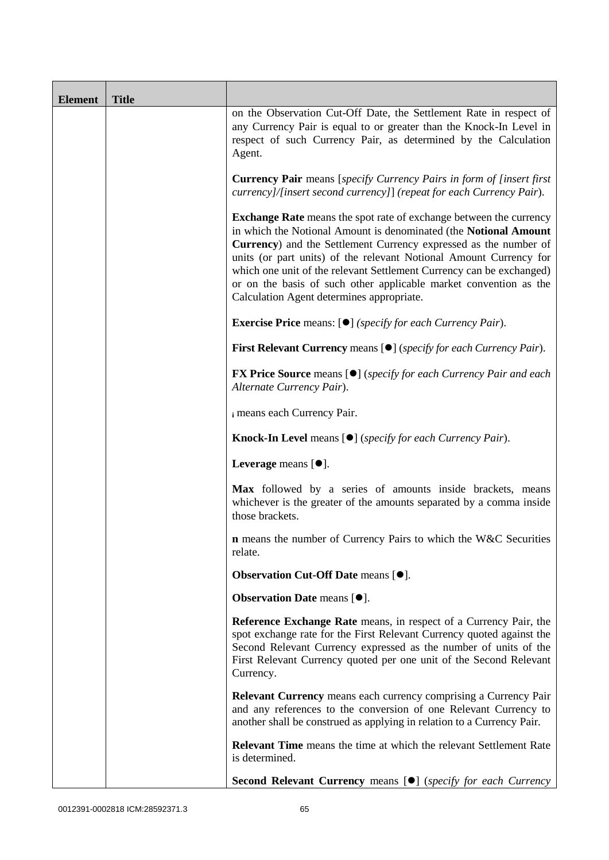| <b>Element</b> | <b>Title</b> |                                                                                                                                                                                                                                                                                                                                                                                                                                                                            |
|----------------|--------------|----------------------------------------------------------------------------------------------------------------------------------------------------------------------------------------------------------------------------------------------------------------------------------------------------------------------------------------------------------------------------------------------------------------------------------------------------------------------------|
|                |              | on the Observation Cut-Off Date, the Settlement Rate in respect of<br>any Currency Pair is equal to or greater than the Knock-In Level in<br>respect of such Currency Pair, as determined by the Calculation<br>Agent.                                                                                                                                                                                                                                                     |
|                |              | <b>Currency Pair</b> means [specify Currency Pairs in form of [insert first]<br>currency]/[insert second currency]] (repeat for each Currency Pair).                                                                                                                                                                                                                                                                                                                       |
|                |              | Exchange Rate means the spot rate of exchange between the currency<br>in which the Notional Amount is denominated (the Notional Amount<br>Currency) and the Settlement Currency expressed as the number of<br>units (or part units) of the relevant Notional Amount Currency for<br>which one unit of the relevant Settlement Currency can be exchanged)<br>or on the basis of such other applicable market convention as the<br>Calculation Agent determines appropriate. |
|                |              | <b>Exercise Price</b> means: $[\bullet]$ ( <i>specify for each Currency Pair</i> ).                                                                                                                                                                                                                                                                                                                                                                                        |
|                |              | <b>First Relevant Currency</b> means [ $\bullet$ ] ( <i>specify for each Currency Pair</i> ).                                                                                                                                                                                                                                                                                                                                                                              |
|                |              | <b>FX Price Source</b> means [ $\bullet$ ] ( <i>specify for each Currency Pair and each</i><br>Alternate Currency Pair).                                                                                                                                                                                                                                                                                                                                                   |
|                |              | i means each Currency Pair.                                                                                                                                                                                                                                                                                                                                                                                                                                                |
|                |              | <b>Knock-In Level</b> means $[①]$ ( <i>specify for each Currency Pair</i> ).                                                                                                                                                                                                                                                                                                                                                                                               |
|                |              | Leverage means $[\bullet].$                                                                                                                                                                                                                                                                                                                                                                                                                                                |
|                |              | Max followed by a series of amounts inside brackets, means<br>whichever is the greater of the amounts separated by a comma inside<br>those brackets.                                                                                                                                                                                                                                                                                                                       |
|                |              | <b>n</b> means the number of Currency Pairs to which the W&C Securities<br>relate.                                                                                                                                                                                                                                                                                                                                                                                         |
|                |              | <b>Observation Cut-Off Date means [<math>\bullet</math>].</b>                                                                                                                                                                                                                                                                                                                                                                                                              |
|                |              | <b>Observation Date means <math>[•]</math>.</b>                                                                                                                                                                                                                                                                                                                                                                                                                            |
|                |              | Reference Exchange Rate means, in respect of a Currency Pair, the<br>spot exchange rate for the First Relevant Currency quoted against the<br>Second Relevant Currency expressed as the number of units of the<br>First Relevant Currency quoted per one unit of the Second Relevant<br>Currency.                                                                                                                                                                          |
|                |              | <b>Relevant Currency</b> means each currency comprising a Currency Pair<br>and any references to the conversion of one Relevant Currency to<br>another shall be construed as applying in relation to a Currency Pair.                                                                                                                                                                                                                                                      |
|                |              | <b>Relevant Time</b> means the time at which the relevant Settlement Rate<br>is determined.                                                                                                                                                                                                                                                                                                                                                                                |
|                |              | Second Relevant Currency means [ $\bullet$ ] (specify for each Currency                                                                                                                                                                                                                                                                                                                                                                                                    |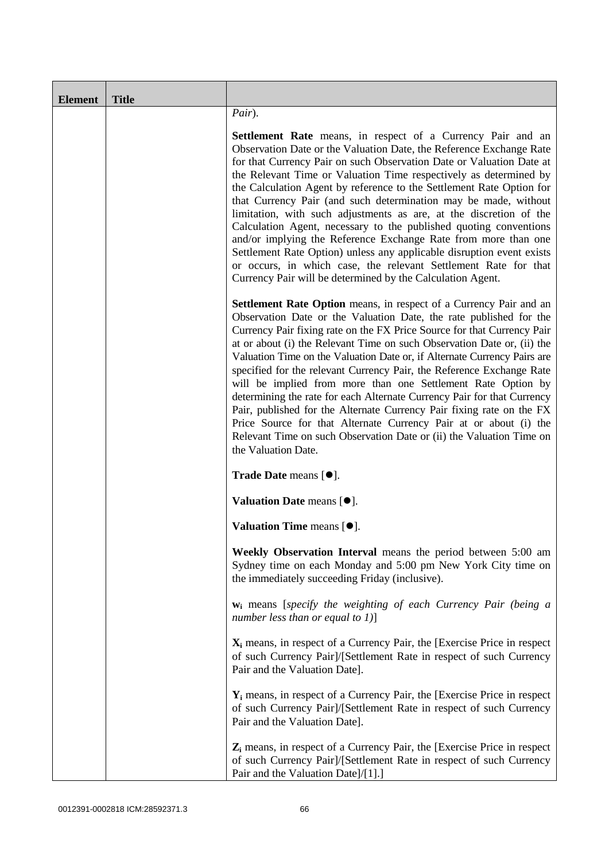| <b>Element</b> | <b>Title</b> |                                                                                                                                                                                                                                                                                                                                                                                                                                                                                                                                                                                                                                                                                                                                                                                                                                                          |
|----------------|--------------|----------------------------------------------------------------------------------------------------------------------------------------------------------------------------------------------------------------------------------------------------------------------------------------------------------------------------------------------------------------------------------------------------------------------------------------------------------------------------------------------------------------------------------------------------------------------------------------------------------------------------------------------------------------------------------------------------------------------------------------------------------------------------------------------------------------------------------------------------------|
|                |              | Pair).                                                                                                                                                                                                                                                                                                                                                                                                                                                                                                                                                                                                                                                                                                                                                                                                                                                   |
|                |              | <b>Settlement Rate</b> means, in respect of a Currency Pair and an<br>Observation Date or the Valuation Date, the Reference Exchange Rate<br>for that Currency Pair on such Observation Date or Valuation Date at<br>the Relevant Time or Valuation Time respectively as determined by<br>the Calculation Agent by reference to the Settlement Rate Option for<br>that Currency Pair (and such determination may be made, without<br>limitation, with such adjustments as are, at the discretion of the<br>Calculation Agent, necessary to the published quoting conventions<br>and/or implying the Reference Exchange Rate from more than one<br>Settlement Rate Option) unless any applicable disruption event exists<br>or occurs, in which case, the relevant Settlement Rate for that<br>Currency Pair will be determined by the Calculation Agent. |
|                |              | <b>Settlement Rate Option</b> means, in respect of a Currency Pair and an<br>Observation Date or the Valuation Date, the rate published for the<br>Currency Pair fixing rate on the FX Price Source for that Currency Pair<br>at or about (i) the Relevant Time on such Observation Date or, (ii) the<br>Valuation Time on the Valuation Date or, if Alternate Currency Pairs are<br>specified for the relevant Currency Pair, the Reference Exchange Rate<br>will be implied from more than one Settlement Rate Option by<br>determining the rate for each Alternate Currency Pair for that Currency<br>Pair, published for the Alternate Currency Pair fixing rate on the FX<br>Price Source for that Alternate Currency Pair at or about (i) the<br>Relevant Time on such Observation Date or (ii) the Valuation Time on<br>the Valuation Date.       |
|                |              | Trade Date means [ $\bullet$ ].                                                                                                                                                                                                                                                                                                                                                                                                                                                                                                                                                                                                                                                                                                                                                                                                                          |
|                |              | Valuation Date means $[\bullet]$ .                                                                                                                                                                                                                                                                                                                                                                                                                                                                                                                                                                                                                                                                                                                                                                                                                       |
|                |              | Valuation Time means $[\bullet].$                                                                                                                                                                                                                                                                                                                                                                                                                                                                                                                                                                                                                                                                                                                                                                                                                        |
|                |              | Weekly Observation Interval means the period between 5:00 am<br>Sydney time on each Monday and 5:00 pm New York City time on<br>the immediately succeeding Friday (inclusive).                                                                                                                                                                                                                                                                                                                                                                                                                                                                                                                                                                                                                                                                           |
|                |              | $w_i$ means [specify the weighting of each Currency Pair (being a<br>number less than or equal to $1$ )]                                                                                                                                                                                                                                                                                                                                                                                                                                                                                                                                                                                                                                                                                                                                                 |
|                |              | $X_i$ means, in respect of a Currency Pair, the [Exercise Price in respect<br>of such Currency Pair]/[Settlement Rate in respect of such Currency<br>Pair and the Valuation Date].                                                                                                                                                                                                                                                                                                                                                                                                                                                                                                                                                                                                                                                                       |
|                |              | $Y_i$ means, in respect of a Currency Pair, the [Exercise Price in respect]<br>of such Currency Pair]/[Settlement Rate in respect of such Currency<br>Pair and the Valuation Date].                                                                                                                                                                                                                                                                                                                                                                                                                                                                                                                                                                                                                                                                      |
|                |              | $Z_i$ means, in respect of a Currency Pair, the [Exercise Price in respect<br>of such Currency Pair]/[Settlement Rate in respect of such Currency<br>Pair and the Valuation Date]/[1].]                                                                                                                                                                                                                                                                                                                                                                                                                                                                                                                                                                                                                                                                  |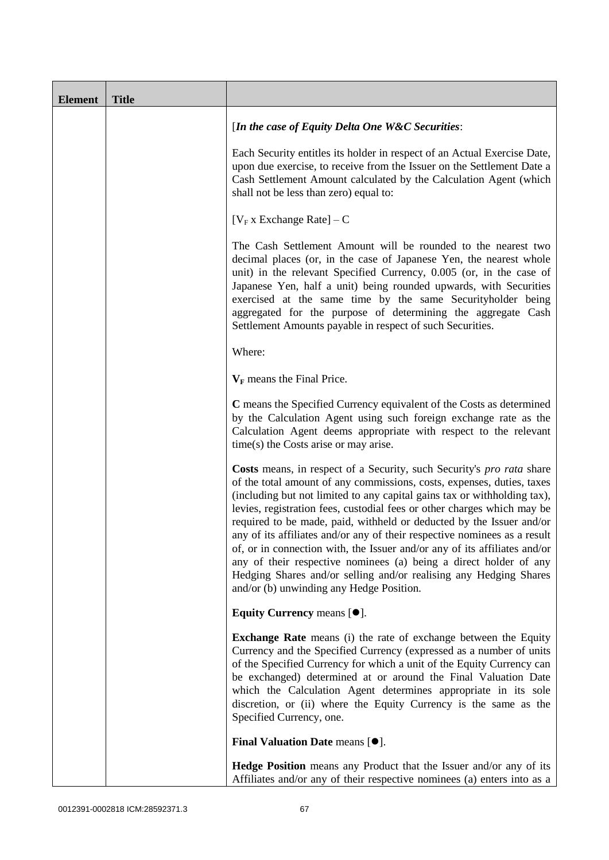| <b>Element</b> | <b>Title</b> |                                                                                                                                                                                                                                                                                                                                                                                                                                                                                                                                                                                                                                                                                                                                |
|----------------|--------------|--------------------------------------------------------------------------------------------------------------------------------------------------------------------------------------------------------------------------------------------------------------------------------------------------------------------------------------------------------------------------------------------------------------------------------------------------------------------------------------------------------------------------------------------------------------------------------------------------------------------------------------------------------------------------------------------------------------------------------|
|                |              | [In the case of Equity Delta One W&C Securities:                                                                                                                                                                                                                                                                                                                                                                                                                                                                                                                                                                                                                                                                               |
|                |              | Each Security entitles its holder in respect of an Actual Exercise Date,<br>upon due exercise, to receive from the Issuer on the Settlement Date a<br>Cash Settlement Amount calculated by the Calculation Agent (which<br>shall not be less than zero) equal to:                                                                                                                                                                                                                                                                                                                                                                                                                                                              |
|                |              | [ $V_F$ x Exchange Rate] – C                                                                                                                                                                                                                                                                                                                                                                                                                                                                                                                                                                                                                                                                                                   |
|                |              | The Cash Settlement Amount will be rounded to the nearest two<br>decimal places (or, in the case of Japanese Yen, the nearest whole<br>unit) in the relevant Specified Currency, 0.005 (or, in the case of<br>Japanese Yen, half a unit) being rounded upwards, with Securities<br>exercised at the same time by the same Securityholder being<br>aggregated for the purpose of determining the aggregate Cash<br>Settlement Amounts payable in respect of such Securities.                                                                                                                                                                                                                                                    |
|                |              | Where:                                                                                                                                                                                                                                                                                                                                                                                                                                                                                                                                                                                                                                                                                                                         |
|                |              | $V_F$ means the Final Price.                                                                                                                                                                                                                                                                                                                                                                                                                                                                                                                                                                                                                                                                                                   |
|                |              | C means the Specified Currency equivalent of the Costs as determined<br>by the Calculation Agent using such foreign exchange rate as the<br>Calculation Agent deems appropriate with respect to the relevant<br>$time(s)$ the Costs arise or may arise.                                                                                                                                                                                                                                                                                                                                                                                                                                                                        |
|                |              | Costs means, in respect of a Security, such Security's pro rata share<br>of the total amount of any commissions, costs, expenses, duties, taxes<br>(including but not limited to any capital gains tax or withholding tax),<br>levies, registration fees, custodial fees or other charges which may be<br>required to be made, paid, withheld or deducted by the Issuer and/or<br>any of its affiliates and/or any of their respective nominees as a result<br>of, or in connection with, the Issuer and/or any of its affiliates and/or<br>any of their respective nominees (a) being a direct holder of any<br>Hedging Shares and/or selling and/or realising any Hedging Shares<br>and/or (b) unwinding any Hedge Position. |
|                |              | Equity Currency means $[\bullet].$                                                                                                                                                                                                                                                                                                                                                                                                                                                                                                                                                                                                                                                                                             |
|                |              | <b>Exchange Rate</b> means (i) the rate of exchange between the Equity<br>Currency and the Specified Currency (expressed as a number of units<br>of the Specified Currency for which a unit of the Equity Currency can<br>be exchanged) determined at or around the Final Valuation Date<br>which the Calculation Agent determines appropriate in its sole<br>discretion, or (ii) where the Equity Currency is the same as the<br>Specified Currency, one.                                                                                                                                                                                                                                                                     |
|                |              | Final Valuation Date means [ $\bullet$ ].                                                                                                                                                                                                                                                                                                                                                                                                                                                                                                                                                                                                                                                                                      |
|                |              | <b>Hedge Position</b> means any Product that the Issuer and/or any of its<br>Affiliates and/or any of their respective nominees (a) enters into as a                                                                                                                                                                                                                                                                                                                                                                                                                                                                                                                                                                           |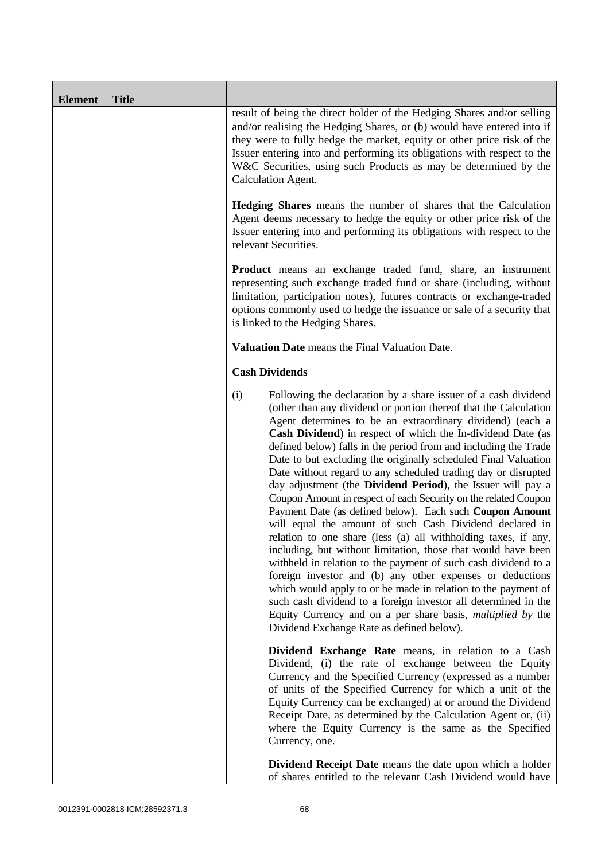| <b>Element</b> | <b>Title</b> |                                                                                                                                                                                                                                                                                                                                                                                                                                                                                                                                                                                                                                                                                                                                                                                                                                                                                                                                                                                                                                                                                                                                                                                                                                                                      |
|----------------|--------------|----------------------------------------------------------------------------------------------------------------------------------------------------------------------------------------------------------------------------------------------------------------------------------------------------------------------------------------------------------------------------------------------------------------------------------------------------------------------------------------------------------------------------------------------------------------------------------------------------------------------------------------------------------------------------------------------------------------------------------------------------------------------------------------------------------------------------------------------------------------------------------------------------------------------------------------------------------------------------------------------------------------------------------------------------------------------------------------------------------------------------------------------------------------------------------------------------------------------------------------------------------------------|
|                |              | result of being the direct holder of the Hedging Shares and/or selling<br>and/or realising the Hedging Shares, or (b) would have entered into if<br>they were to fully hedge the market, equity or other price risk of the<br>Issuer entering into and performing its obligations with respect to the<br>W&C Securities, using such Products as may be determined by the<br>Calculation Agent.                                                                                                                                                                                                                                                                                                                                                                                                                                                                                                                                                                                                                                                                                                                                                                                                                                                                       |
|                |              | <b>Hedging Shares</b> means the number of shares that the Calculation<br>Agent deems necessary to hedge the equity or other price risk of the<br>Issuer entering into and performing its obligations with respect to the<br>relevant Securities.                                                                                                                                                                                                                                                                                                                                                                                                                                                                                                                                                                                                                                                                                                                                                                                                                                                                                                                                                                                                                     |
|                |              | <b>Product</b> means an exchange traded fund, share, an instrument<br>representing such exchange traded fund or share (including, without<br>limitation, participation notes), futures contracts or exchange-traded<br>options commonly used to hedge the issuance or sale of a security that<br>is linked to the Hedging Shares.                                                                                                                                                                                                                                                                                                                                                                                                                                                                                                                                                                                                                                                                                                                                                                                                                                                                                                                                    |
|                |              | Valuation Date means the Final Valuation Date.                                                                                                                                                                                                                                                                                                                                                                                                                                                                                                                                                                                                                                                                                                                                                                                                                                                                                                                                                                                                                                                                                                                                                                                                                       |
|                |              | <b>Cash Dividends</b>                                                                                                                                                                                                                                                                                                                                                                                                                                                                                                                                                                                                                                                                                                                                                                                                                                                                                                                                                                                                                                                                                                                                                                                                                                                |
|                |              | (i)<br>Following the declaration by a share issuer of a cash dividend<br>(other than any dividend or portion thereof that the Calculation<br>Agent determines to be an extraordinary dividend) (each a<br>Cash Dividend) in respect of which the In-dividend Date (as<br>defined below) falls in the period from and including the Trade<br>Date to but excluding the originally scheduled Final Valuation<br>Date without regard to any scheduled trading day or disrupted<br>day adjustment (the <b>Dividend Period</b> ), the Issuer will pay a<br>Coupon Amount in respect of each Security on the related Coupon<br>Payment Date (as defined below). Each such Coupon Amount<br>will equal the amount of such Cash Dividend declared in<br>relation to one share (less (a) all withholding taxes, if any,<br>including, but without limitation, those that would have been<br>withheld in relation to the payment of such cash dividend to a<br>foreign investor and (b) any other expenses or deductions<br>which would apply to or be made in relation to the payment of<br>such cash dividend to a foreign investor all determined in the<br>Equity Currency and on a per share basis, <i>multiplied by</i> the<br>Dividend Exchange Rate as defined below). |
|                |              | Dividend Exchange Rate means, in relation to a Cash<br>Dividend, (i) the rate of exchange between the Equity<br>Currency and the Specified Currency (expressed as a number<br>of units of the Specified Currency for which a unit of the<br>Equity Currency can be exchanged) at or around the Dividend<br>Receipt Date, as determined by the Calculation Agent or, (ii)<br>where the Equity Currency is the same as the Specified<br>Currency, one.                                                                                                                                                                                                                                                                                                                                                                                                                                                                                                                                                                                                                                                                                                                                                                                                                 |
|                |              | <b>Dividend Receipt Date</b> means the date upon which a holder<br>of shares entitled to the relevant Cash Dividend would have                                                                                                                                                                                                                                                                                                                                                                                                                                                                                                                                                                                                                                                                                                                                                                                                                                                                                                                                                                                                                                                                                                                                       |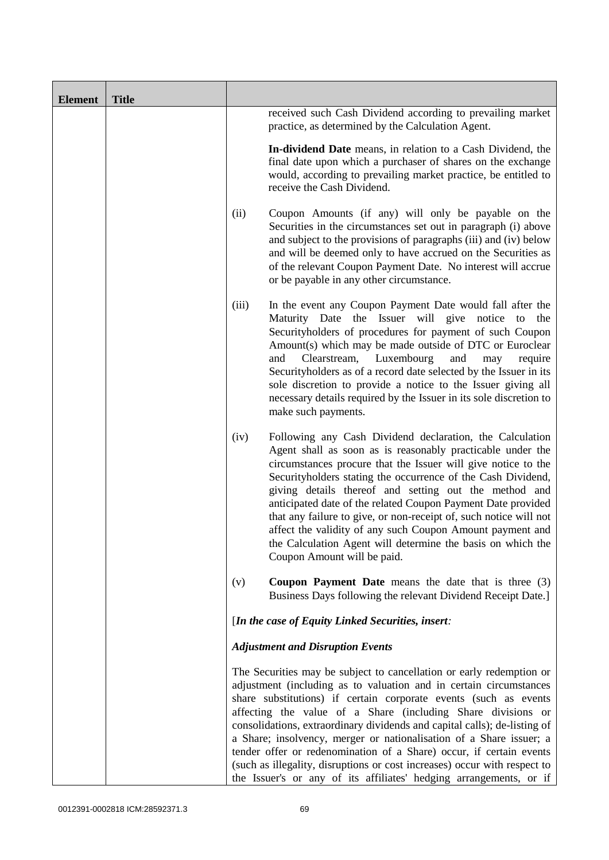| <b>Element</b> | <b>Title</b> |       |                                                                                                                                                                                                                                                                                                                                                                                                                                                                                                                                                                                                                                                              |
|----------------|--------------|-------|--------------------------------------------------------------------------------------------------------------------------------------------------------------------------------------------------------------------------------------------------------------------------------------------------------------------------------------------------------------------------------------------------------------------------------------------------------------------------------------------------------------------------------------------------------------------------------------------------------------------------------------------------------------|
|                |              |       | received such Cash Dividend according to prevailing market<br>practice, as determined by the Calculation Agent.                                                                                                                                                                                                                                                                                                                                                                                                                                                                                                                                              |
|                |              |       | In-dividend Date means, in relation to a Cash Dividend, the<br>final date upon which a purchaser of shares on the exchange<br>would, according to prevailing market practice, be entitled to<br>receive the Cash Dividend.                                                                                                                                                                                                                                                                                                                                                                                                                                   |
|                |              | (ii)  | Coupon Amounts (if any) will only be payable on the<br>Securities in the circumstances set out in paragraph (i) above<br>and subject to the provisions of paragraphs (iii) and (iv) below<br>and will be deemed only to have accrued on the Securities as<br>of the relevant Coupon Payment Date. No interest will accrue<br>or be payable in any other circumstance.                                                                                                                                                                                                                                                                                        |
|                |              | (iii) | In the event any Coupon Payment Date would fall after the<br>Maturity Date the Issuer will give notice to the<br>Securityholders of procedures for payment of such Coupon<br>Amount(s) which may be made outside of DTC or Euroclear<br>Clearstream,<br>Luxembourg<br>and<br>and<br>may<br>require<br>Securityholders as of a record date selected by the Issuer in its<br>sole discretion to provide a notice to the Issuer giving all<br>necessary details required by the Issuer in its sole discretion to<br>make such payments.                                                                                                                         |
|                |              | (iv)  | Following any Cash Dividend declaration, the Calculation<br>Agent shall as soon as is reasonably practicable under the<br>circumstances procure that the Issuer will give notice to the<br>Securityholders stating the occurrence of the Cash Dividend,<br>giving details thereof and setting out the method and<br>anticipated date of the related Coupon Payment Date provided<br>that any failure to give, or non-receipt of, such notice will not<br>affect the validity of any such Coupon Amount payment and<br>the Calculation Agent will determine the basis on which the<br>Coupon Amount will be paid.                                             |
|                |              | (v)   | <b>Coupon Payment Date</b> means the date that is three (3)<br>Business Days following the relevant Dividend Receipt Date.]                                                                                                                                                                                                                                                                                                                                                                                                                                                                                                                                  |
|                |              |       | [In the case of Equity Linked Securities, insert:                                                                                                                                                                                                                                                                                                                                                                                                                                                                                                                                                                                                            |
|                |              |       | <b>Adjustment and Disruption Events</b>                                                                                                                                                                                                                                                                                                                                                                                                                                                                                                                                                                                                                      |
|                |              |       | The Securities may be subject to cancellation or early redemption or<br>adjustment (including as to valuation and in certain circumstances<br>share substitutions) if certain corporate events (such as events<br>affecting the value of a Share (including Share divisions or<br>consolidations, extraordinary dividends and capital calls); de-listing of<br>a Share; insolvency, merger or nationalisation of a Share issuer; a<br>tender offer or redenomination of a Share) occur, if certain events<br>(such as illegality, disruptions or cost increases) occur with respect to<br>the Issuer's or any of its affiliates' hedging arrangements, or if |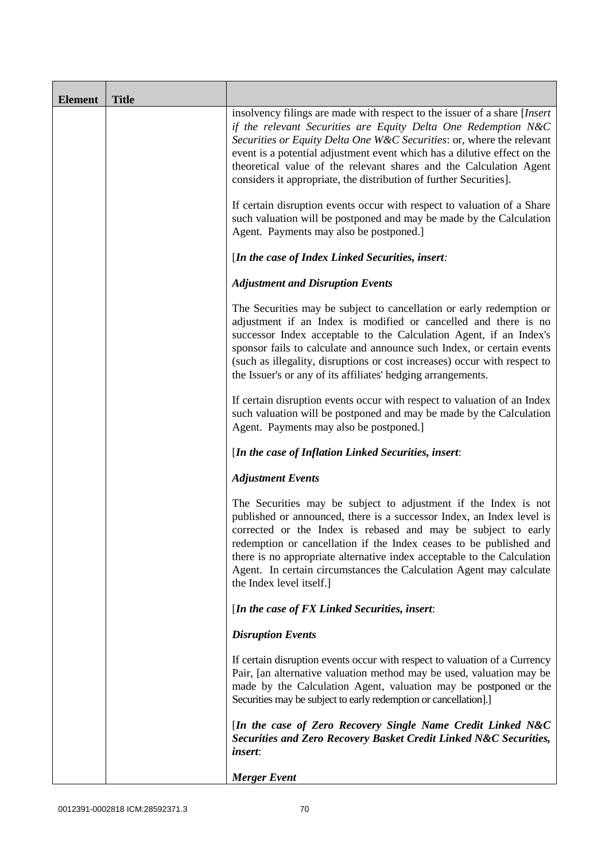| <b>Element</b> | <b>Title</b> |                                                                                                                                                                                                                                                                                                                                                                                                                                                               |
|----------------|--------------|---------------------------------------------------------------------------------------------------------------------------------------------------------------------------------------------------------------------------------------------------------------------------------------------------------------------------------------------------------------------------------------------------------------------------------------------------------------|
|                |              | insolvency filings are made with respect to the issuer of a share [Insert]<br>if the relevant Securities are Equity Delta One Redemption N&C<br>Securities or Equity Delta One W&C Securities: or, where the relevant<br>event is a potential adjustment event which has a dilutive effect on the<br>theoretical value of the relevant shares and the Calculation Agent<br>considers it appropriate, the distribution of further Securities].                 |
|                |              | If certain disruption events occur with respect to valuation of a Share<br>such valuation will be postponed and may be made by the Calculation<br>Agent. Payments may also be postponed.]                                                                                                                                                                                                                                                                     |
|                |              | [In the case of Index Linked Securities, insert:                                                                                                                                                                                                                                                                                                                                                                                                              |
|                |              | <b>Adjustment and Disruption Events</b>                                                                                                                                                                                                                                                                                                                                                                                                                       |
|                |              | The Securities may be subject to cancellation or early redemption or<br>adjustment if an Index is modified or cancelled and there is no<br>successor Index acceptable to the Calculation Agent, if an Index's<br>sponsor fails to calculate and announce such Index, or certain events<br>(such as illegality, disruptions or cost increases) occur with respect to<br>the Issuer's or any of its affiliates' hedging arrangements.                           |
|                |              | If certain disruption events occur with respect to valuation of an Index<br>such valuation will be postponed and may be made by the Calculation<br>Agent. Payments may also be postponed.]                                                                                                                                                                                                                                                                    |
|                |              | [In the case of Inflation Linked Securities, insert:                                                                                                                                                                                                                                                                                                                                                                                                          |
|                |              | <b>Adjustment Events</b>                                                                                                                                                                                                                                                                                                                                                                                                                                      |
|                |              | The Securities may be subject to adjustment if the Index is not<br>published or announced, there is a successor Index, an Index level is<br>corrected or the Index is rebased and may be subject to early<br>redemption or cancellation if the Index ceases to be published and<br>there is no appropriate alternative index acceptable to the Calculation<br>Agent. In certain circumstances the Calculation Agent may calculate<br>the Index level itself.] |
|                |              | [In the case of FX Linked Securities, insert:                                                                                                                                                                                                                                                                                                                                                                                                                 |
|                |              | <b>Disruption Events</b>                                                                                                                                                                                                                                                                                                                                                                                                                                      |
|                |              | If certain disruption events occur with respect to valuation of a Currency<br>Pair, [an alternative valuation method may be used, valuation may be<br>made by the Calculation Agent, valuation may be postponed or the<br>Securities may be subject to early redemption or cancellation].]                                                                                                                                                                    |
|                |              | [In the case of Zero Recovery Single Name Credit Linked N&C<br>Securities and Zero Recovery Basket Credit Linked N&C Securities,<br><i>insert:</i>                                                                                                                                                                                                                                                                                                            |
|                |              | <b>Merger</b> Event                                                                                                                                                                                                                                                                                                                                                                                                                                           |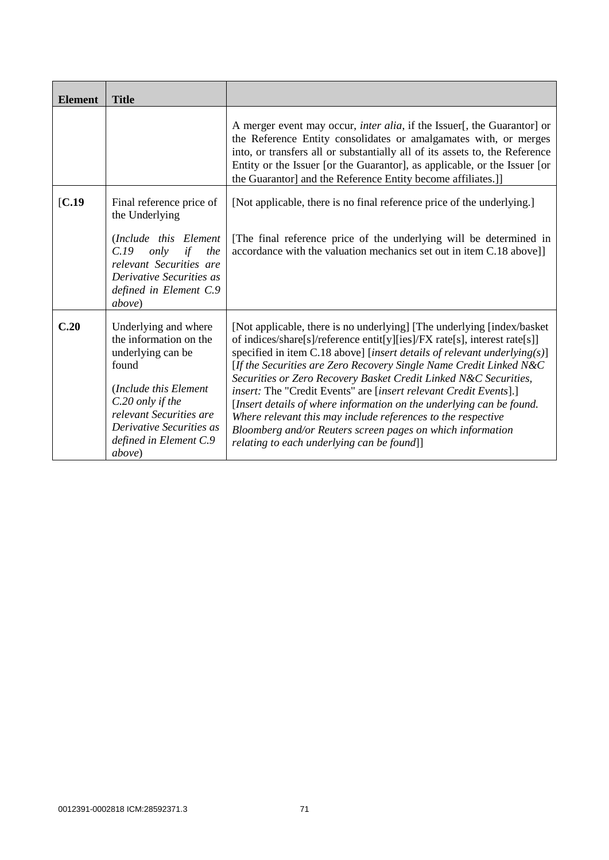| <b>Element</b>    | <b>Title</b>                                                                                                                                                                                                         |                                                                                                                                                                                                                                                                                                                                                                                                                                                                                                                                                                                                                                                                                                        |
|-------------------|----------------------------------------------------------------------------------------------------------------------------------------------------------------------------------------------------------------------|--------------------------------------------------------------------------------------------------------------------------------------------------------------------------------------------------------------------------------------------------------------------------------------------------------------------------------------------------------------------------------------------------------------------------------------------------------------------------------------------------------------------------------------------------------------------------------------------------------------------------------------------------------------------------------------------------------|
|                   |                                                                                                                                                                                                                      | A merger event may occur, <i>inter alia</i> , if the Issuer[, the Guarantor] or<br>the Reference Entity consolidates or amalgamates with, or merges<br>into, or transfers all or substantially all of its assets to, the Reference<br>Entity or the Issuer [or the Guarantor], as applicable, or the Issuer [or<br>the Guarantor] and the Reference Entity become affiliates.]]                                                                                                                                                                                                                                                                                                                        |
| $\mathbf{[C.19]}$ | Final reference price of<br>the Underlying<br>(Include this Element)                                                                                                                                                 | [Not applicable, there is no final reference price of the underlying.]<br>[The final reference price of the underlying will be determined in                                                                                                                                                                                                                                                                                                                                                                                                                                                                                                                                                           |
|                   | C.19<br>only<br>if<br>the<br>relevant Securities are<br>Derivative Securities as<br>defined in Element C.9<br><i>above</i> )                                                                                         | accordance with the valuation mechanics set out in item C.18 above]]                                                                                                                                                                                                                                                                                                                                                                                                                                                                                                                                                                                                                                   |
| C.20              | Underlying and where<br>the information on the<br>underlying can be<br>found<br>(Include this Element<br>C.20 only if the<br>relevant Securities are<br>Derivative Securities as<br>defined in Element C.9<br>above) | [Not applicable, there is no underlying] [The underlying [index/basket]<br>of indices/share[s]/reference entit[y][ies]/FX rate[s], interest rate[s]]<br>specified in item C.18 above] [insert details of relevant underlying(s)]<br>[If the Securities are Zero Recovery Single Name Credit Linked $N\&C$<br>Securities or Zero Recovery Basket Credit Linked N&C Securities,<br>insert: The "Credit Events" are [insert relevant Credit Events].]<br>[Insert details of where information on the underlying can be found.<br>Where relevant this may include references to the respective<br>Bloomberg and/or Reuters screen pages on which information<br>relating to each underlying can be found]] |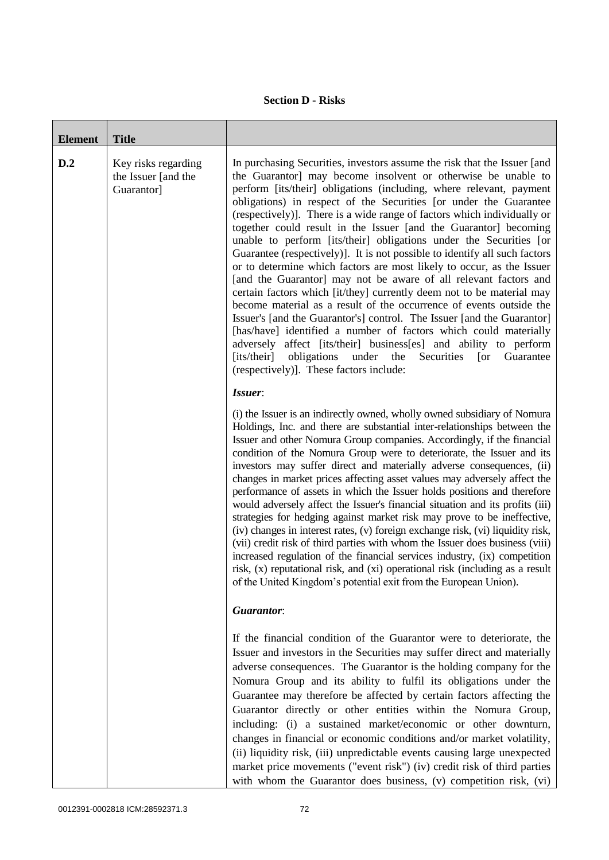## **Section D - Risks**

| <b>Element</b> | <b>Title</b>                                             |                                                                                                                                                                                                                                                                                                                                                                                                                                                                                                                                                                                                                                                                                                                                                                                                                                                                                                                                                                                                                                                                                                                                                                                                                                            |
|----------------|----------------------------------------------------------|--------------------------------------------------------------------------------------------------------------------------------------------------------------------------------------------------------------------------------------------------------------------------------------------------------------------------------------------------------------------------------------------------------------------------------------------------------------------------------------------------------------------------------------------------------------------------------------------------------------------------------------------------------------------------------------------------------------------------------------------------------------------------------------------------------------------------------------------------------------------------------------------------------------------------------------------------------------------------------------------------------------------------------------------------------------------------------------------------------------------------------------------------------------------------------------------------------------------------------------------|
| D.2            | Key risks regarding<br>the Issuer [and the<br>Guarantor] | In purchasing Securities, investors assume the risk that the Issuer [and<br>the Guarantor] may become insolvent or otherwise be unable to<br>perform [its/their] obligations (including, where relevant, payment<br>obligations) in respect of the Securities [or under the Guarantee<br>(respectively)]. There is a wide range of factors which individually or<br>together could result in the Issuer [and the Guarantor] becoming<br>unable to perform [its/their] obligations under the Securities [or<br>Guarantee (respectively)]. It is not possible to identify all such factors<br>or to determine which factors are most likely to occur, as the Issuer<br>[and the Guarantor] may not be aware of all relevant factors and<br>certain factors which [it/they] currently deem not to be material may<br>become material as a result of the occurrence of events outside the<br>Issuer's [and the Guarantor's] control. The Issuer [and the Guarantor]<br>[has/have] identified a number of factors which could materially<br>adversely affect [its/their] business[es] and ability to perform<br>obligations<br>under<br>the<br>[its/their]<br>Securities<br>$\lceil$ or<br>Guarantee<br>(respectively)]. These factors include: |
|                |                                                          | Issuer:<br>(i) the Issuer is an indirectly owned, wholly owned subsidiary of Nomura<br>Holdings, Inc. and there are substantial inter-relationships between the<br>Issuer and other Nomura Group companies. Accordingly, if the financial<br>condition of the Nomura Group were to deteriorate, the Issuer and its<br>investors may suffer direct and materially adverse consequences, (ii)<br>changes in market prices affecting asset values may adversely affect the<br>performance of assets in which the Issuer holds positions and therefore<br>would adversely affect the Issuer's financial situation and its profits (iii)<br>strategies for hedging against market risk may prove to be ineffective,<br>(iv) changes in interest rates, (v) foreign exchange risk, (vi) liquidity risk,<br>(vii) credit risk of third parties with whom the Issuer does business (viii)<br>increased regulation of the financial services industry, (ix) competition<br>risk, (x) reputational risk, and (xi) operational risk (including as a result<br>of the United Kingdom's potential exit from the European Union).                                                                                                                        |
|                |                                                          | <b>Guarantor:</b>                                                                                                                                                                                                                                                                                                                                                                                                                                                                                                                                                                                                                                                                                                                                                                                                                                                                                                                                                                                                                                                                                                                                                                                                                          |
|                |                                                          | If the financial condition of the Guarantor were to deteriorate, the<br>Issuer and investors in the Securities may suffer direct and materially<br>adverse consequences. The Guarantor is the holding company for the<br>Nomura Group and its ability to fulfil its obligations under the<br>Guarantee may therefore be affected by certain factors affecting the<br>Guarantor directly or other entities within the Nomura Group,<br>including: (i) a sustained market/economic or other downturn,<br>changes in financial or economic conditions and/or market volatility,<br>(ii) liquidity risk, (iii) unpredictable events causing large unexpected<br>market price movements ("event risk") (iv) credit risk of third parties<br>with whom the Guarantor does business, (v) competition risk, (vi)                                                                                                                                                                                                                                                                                                                                                                                                                                   |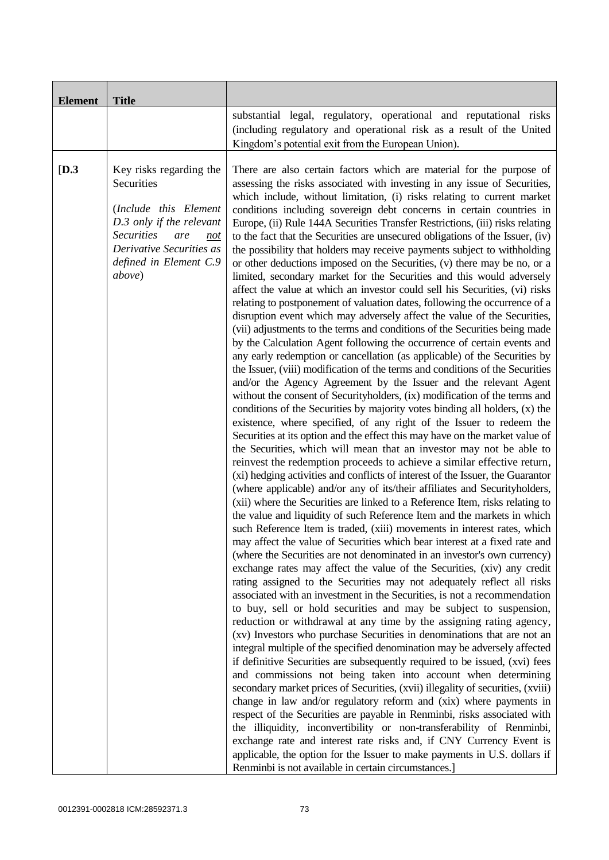| <b>Element</b> | <b>Title</b>                                                                                                                                                                                  |                                                                                                                                                                                                                                                                                                                                                                                                                                                                                                                                                                                                                                                                                                                                                                                                                                                                                                                                                                                                                                                                                                                                                                                                                                                                                                                                                                                                                                                                                                                                                                                                                                                                                                                                                                                                                                                                                                                                                                                                                                                                                                                                                                                                                                                                                                                                                                                                                                                                                                                                                                                                                                                                                                                                                                                                                                                                                                                                                                                                                                                                                                                                                                                                                                                                                                                                                                                                                                                                                                                                                                                                    |
|----------------|-----------------------------------------------------------------------------------------------------------------------------------------------------------------------------------------------|----------------------------------------------------------------------------------------------------------------------------------------------------------------------------------------------------------------------------------------------------------------------------------------------------------------------------------------------------------------------------------------------------------------------------------------------------------------------------------------------------------------------------------------------------------------------------------------------------------------------------------------------------------------------------------------------------------------------------------------------------------------------------------------------------------------------------------------------------------------------------------------------------------------------------------------------------------------------------------------------------------------------------------------------------------------------------------------------------------------------------------------------------------------------------------------------------------------------------------------------------------------------------------------------------------------------------------------------------------------------------------------------------------------------------------------------------------------------------------------------------------------------------------------------------------------------------------------------------------------------------------------------------------------------------------------------------------------------------------------------------------------------------------------------------------------------------------------------------------------------------------------------------------------------------------------------------------------------------------------------------------------------------------------------------------------------------------------------------------------------------------------------------------------------------------------------------------------------------------------------------------------------------------------------------------------------------------------------------------------------------------------------------------------------------------------------------------------------------------------------------------------------------------------------------------------------------------------------------------------------------------------------------------------------------------------------------------------------------------------------------------------------------------------------------------------------------------------------------------------------------------------------------------------------------------------------------------------------------------------------------------------------------------------------------------------------------------------------------------------------------------------------------------------------------------------------------------------------------------------------------------------------------------------------------------------------------------------------------------------------------------------------------------------------------------------------------------------------------------------------------------------------------------------------------------------------------------------------------|
|                |                                                                                                                                                                                               | substantial legal, regulatory, operational and reputational risks<br>(including regulatory and operational risk as a result of the United<br>Kingdom's potential exit from the European Union).                                                                                                                                                                                                                                                                                                                                                                                                                                                                                                                                                                                                                                                                                                                                                                                                                                                                                                                                                                                                                                                                                                                                                                                                                                                                                                                                                                                                                                                                                                                                                                                                                                                                                                                                                                                                                                                                                                                                                                                                                                                                                                                                                                                                                                                                                                                                                                                                                                                                                                                                                                                                                                                                                                                                                                                                                                                                                                                                                                                                                                                                                                                                                                                                                                                                                                                                                                                                    |
| [D.3]          | Key risks regarding the<br>Securities<br>(Include this Element<br>D.3 only if the relevant<br><b>Securities</b><br>are<br>not<br>Derivative Securities as<br>defined in Element C.9<br>above) | There are also certain factors which are material for the purpose of<br>assessing the risks associated with investing in any issue of Securities,<br>which include, without limitation, (i) risks relating to current market<br>conditions including sovereign debt concerns in certain countries in<br>Europe, (ii) Rule 144A Securities Transfer Restrictions, (iii) risks relating<br>to the fact that the Securities are unsecured obligations of the Issuer, (iv)<br>the possibility that holders may receive payments subject to withholding<br>or other deductions imposed on the Securities, (v) there may be no, or a<br>limited, secondary market for the Securities and this would adversely<br>affect the value at which an investor could sell his Securities, (vi) risks<br>relating to postponement of valuation dates, following the occurrence of a<br>disruption event which may adversely affect the value of the Securities,<br>(vii) adjustments to the terms and conditions of the Securities being made<br>by the Calculation Agent following the occurrence of certain events and<br>any early redemption or cancellation (as applicable) of the Securities by<br>the Issuer, (viii) modification of the terms and conditions of the Securities<br>and/or the Agency Agreement by the Issuer and the relevant Agent<br>without the consent of Securityholders, (ix) modification of the terms and<br>conditions of the Securities by majority votes binding all holders, (x) the<br>existence, where specified, of any right of the Issuer to redeem the<br>Securities at its option and the effect this may have on the market value of<br>the Securities, which will mean that an investor may not be able to<br>reinvest the redemption proceeds to achieve a similar effective return,<br>(xi) hedging activities and conflicts of interest of the Issuer, the Guarantor<br>(where applicable) and/or any of its/their affiliates and Securityholders,<br>(xii) where the Securities are linked to a Reference Item, risks relating to<br>the value and liquidity of such Reference Item and the markets in which<br>such Reference Item is traded, (xiii) movements in interest rates, which<br>may affect the value of Securities which bear interest at a fixed rate and<br>(where the Securities are not denominated in an investor's own currency)<br>exchange rates may affect the value of the Securities, (xiv) any credit<br>rating assigned to the Securities may not adequately reflect all risks<br>associated with an investment in the Securities, is not a recommendation<br>to buy, sell or hold securities and may be subject to suspension,<br>reduction or withdrawal at any time by the assigning rating agency,<br>(xv) Investors who purchase Securities in denominations that are not an<br>integral multiple of the specified denomination may be adversely affected<br>if definitive Securities are subsequently required to be issued, (xvi) fees<br>and commissions not being taken into account when determining<br>secondary market prices of Securities, (xvii) illegality of securities, (xviii)<br>change in law and/or regulatory reform and (xix) where payments in<br>respect of the Securities are payable in Renminbi, risks associated with<br>the illiquidity, inconvertibility or non-transferability of Renminbi,<br>exchange rate and interest rate risks and, if CNY Currency Event is<br>applicable, the option for the Issuer to make payments in U.S. dollars if<br>Renminbi is not available in certain circumstances.] |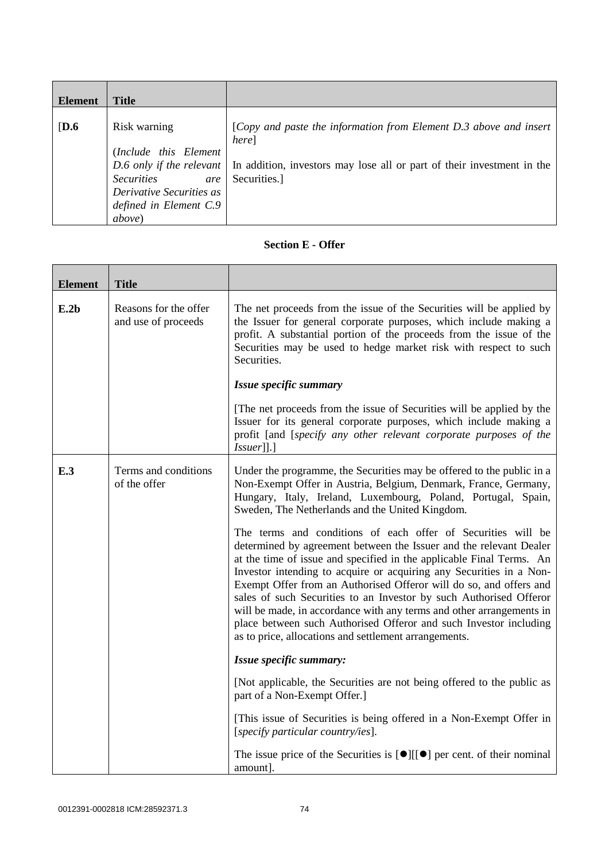| <b>Element</b>   | <b>Title</b>                                                                                                                              |                                                                                                                                                                                               |
|------------------|-------------------------------------------------------------------------------------------------------------------------------------------|-----------------------------------------------------------------------------------------------------------------------------------------------------------------------------------------------|
| $\overline{D.6}$ | Risk warning<br>(Include this Element<br><i>Securities</i><br>are<br>Derivative Securities as<br>defined in Element C.9<br><i>above</i> ) | [Copy and paste the information from Element D.3 above and insert<br>here]<br>D.6 only if the relevant In addition, investors may lose all or part of their investment in the<br>Securities.] |

## **Section E - Offer**

| <b>Element</b> | <b>Title</b>                                 |                                                                                                                                                                                                                                                                                                                                                                                                                                                                                                                                                                                                                                     |
|----------------|----------------------------------------------|-------------------------------------------------------------------------------------------------------------------------------------------------------------------------------------------------------------------------------------------------------------------------------------------------------------------------------------------------------------------------------------------------------------------------------------------------------------------------------------------------------------------------------------------------------------------------------------------------------------------------------------|
| E.2b           | Reasons for the offer<br>and use of proceeds | The net proceeds from the issue of the Securities will be applied by<br>the Issuer for general corporate purposes, which include making a<br>profit. A substantial portion of the proceeds from the issue of the<br>Securities may be used to hedge market risk with respect to such<br>Securities.                                                                                                                                                                                                                                                                                                                                 |
|                |                                              | Issue specific summary                                                                                                                                                                                                                                                                                                                                                                                                                                                                                                                                                                                                              |
|                |                                              | The net proceeds from the issue of Securities will be applied by the<br>Issuer for its general corporate purposes, which include making a<br>profit [and [specify any other relevant corporate purposes of the<br> Issuer ].]                                                                                                                                                                                                                                                                                                                                                                                                       |
| E.3            | Terms and conditions<br>of the offer         | Under the programme, the Securities may be offered to the public in a<br>Non-Exempt Offer in Austria, Belgium, Denmark, France, Germany,<br>Hungary, Italy, Ireland, Luxembourg, Poland, Portugal, Spain,<br>Sweden, The Netherlands and the United Kingdom.                                                                                                                                                                                                                                                                                                                                                                        |
|                |                                              | The terms and conditions of each offer of Securities will be<br>determined by agreement between the Issuer and the relevant Dealer<br>at the time of issue and specified in the applicable Final Terms. An<br>Investor intending to acquire or acquiring any Securities in a Non-<br>Exempt Offer from an Authorised Offeror will do so, and offers and<br>sales of such Securities to an Investor by such Authorised Offeror<br>will be made, in accordance with any terms and other arrangements in<br>place between such Authorised Offeror and such Investor including<br>as to price, allocations and settlement arrangements. |
|                |                                              | Issue specific summary:                                                                                                                                                                                                                                                                                                                                                                                                                                                                                                                                                                                                             |
|                |                                              | [Not applicable, the Securities are not being offered to the public as<br>part of a Non-Exempt Offer.]                                                                                                                                                                                                                                                                                                                                                                                                                                                                                                                              |
|                |                                              | [This issue of Securities is being offered in a Non-Exempt Offer in<br>[specify particular country/ies].                                                                                                                                                                                                                                                                                                                                                                                                                                                                                                                            |
|                |                                              | The issue price of the Securities is $[\bullet][[\bullet]$ per cent. of their nominal<br>amount].                                                                                                                                                                                                                                                                                                                                                                                                                                                                                                                                   |